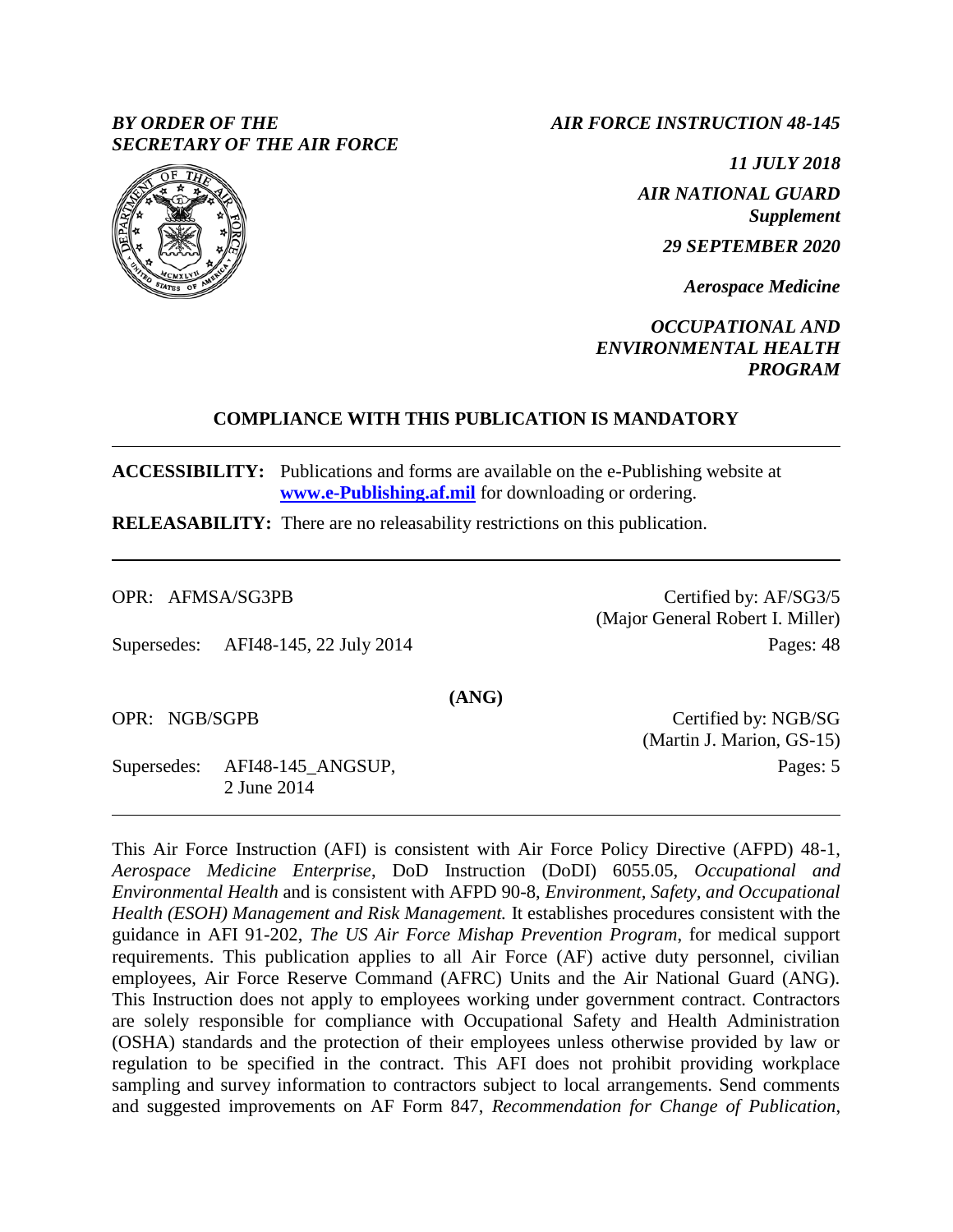## *BY ORDER OF THE SECRETARY OF THE AIR FORCE*

*AIR FORCE INSTRUCTION 48-145*

*11 JULY 2018 AIR NATIONAL GUARD Supplement*

*29 SEPTEMBER 2020*

*Aerospace Medicine*

*OCCUPATIONAL AND ENVIRONMENTAL HEALTH PROGRAM*

### **COMPLIANCE WITH THIS PUBLICATION IS MANDATORY**

**ACCESSIBILITY:** Publications and forms are available on the e-Publishing website at **[www.e-Publishing.af.mil](http://www.e-publishing.af.mil/)** for downloading or ordering.

**RELEASABILITY:** There are no releasability restrictions on this publication.

OPR: AFMSA/SG3PB

Supersedes: AFI48-145, 22 July 2014

Certified by: AF/SG3/5 (Major General Robert I. Miller) Pages: 48

OPR: NGB/SGPB

Supersedes: AFI48-145\_ANGSUP, 2 June 2014

Certified by: NGB/SG (Martin J. Marion, GS-15) Pages: 5

This Air Force Instruction (AFI) is consistent with Air Force Policy Directive (AFPD) 48-1, *Aerospace Medicine Enterprise*, DoD Instruction (DoDI) 6055.05, *Occupational and Environmental Health* and is consistent with AFPD 90-8, *Environment, Safety, and Occupational Health (ESOH) Management and Risk Management.* It establishes procedures consistent with the guidance in AFI 91-202, *The US Air Force Mishap Prevention Program*, for medical support requirements. This publication applies to all Air Force (AF) active duty personnel, civilian employees, Air Force Reserve Command (AFRC) Units and the Air National Guard (ANG). This Instruction does not apply to employees working under government contract. Contractors are solely responsible for compliance with Occupational Safety and Health Administration (OSHA) standards and the protection of their employees unless otherwise provided by law or regulation to be specified in the contract. This AFI does not prohibit providing workplace sampling and survey information to contractors subject to local arrangements. Send comments and suggested improvements on AF Form 847, *Recommendation for Change of Publication*,



**(ANG)**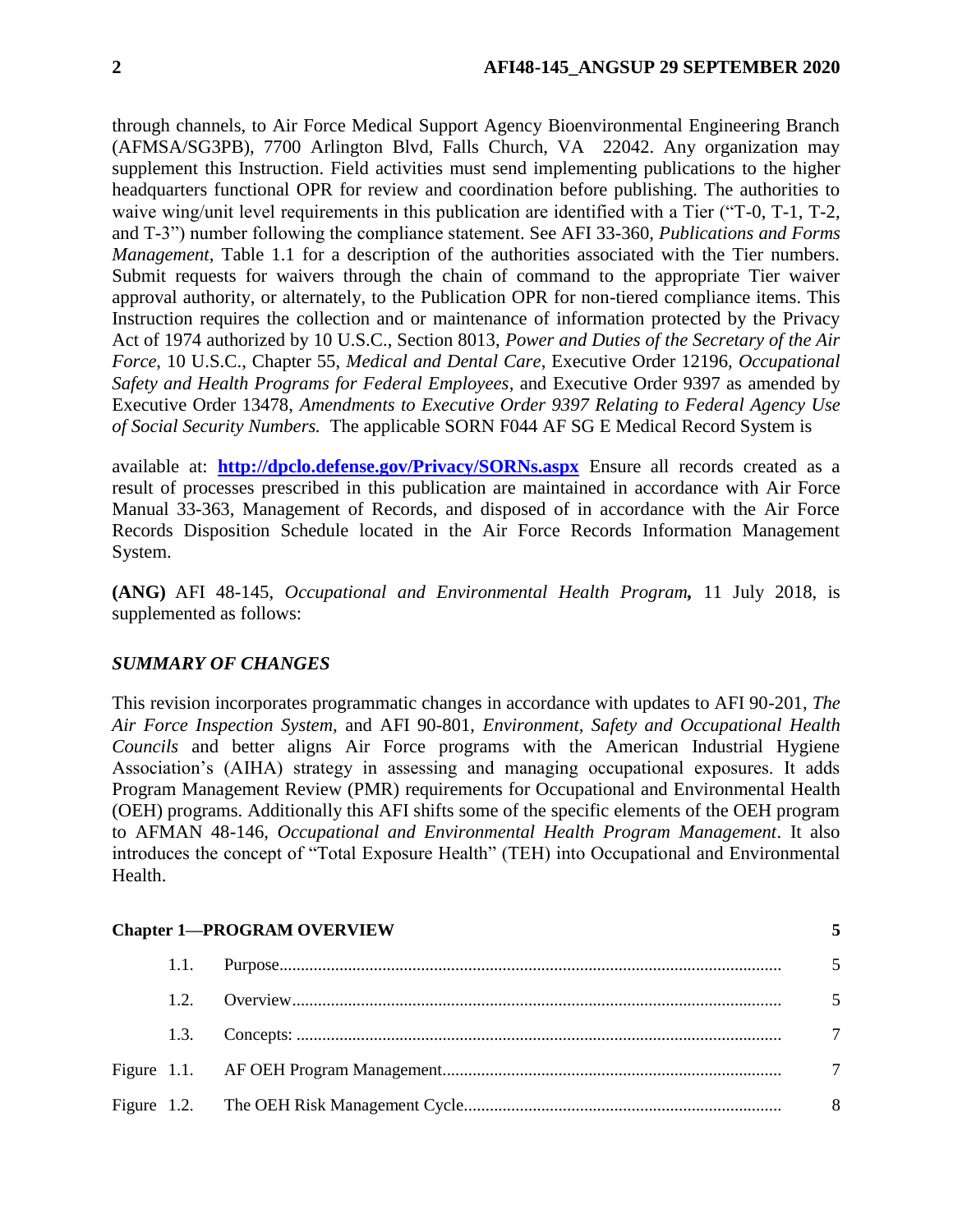through channels, to Air Force Medical Support Agency Bioenvironmental Engineering Branch (AFMSA/SG3PB), 7700 Arlington Blvd, Falls Church, VA 22042. Any organization may supplement this Instruction. Field activities must send implementing publications to the higher headquarters functional OPR for review and coordination before publishing. The authorities to waive wing/unit level requirements in this publication are identified with a Tier ("T-0, T-1, T-2, and T-3") number following the compliance statement. See AFI 33-360, *Publications and Forms Management*, Table 1.1 for a description of the authorities associated with the Tier numbers. Submit requests for waivers through the chain of command to the appropriate Tier waiver approval authority, or alternately, to the Publication OPR for non-tiered compliance items. This Instruction requires the collection and or maintenance of information protected by the Privacy Act of 1974 authorized by 10 U.S.C., Section 8013, *Power and Duties of the Secretary of the Air Force*, 10 U.S.C., Chapter 55, *Medical and Dental Care*, Executive Order 12196, *Occupational Safety and Health Programs for Federal Employees*, and Executive Order 9397 as amended by Executive Order 13478, *Amendments to Executive Order 9397 Relating to Federal Agency Use of Social Security Numbers.* The applicable SORN F044 AF SG E Medical Record System is

available at: **<http://dpclo.defense.gov/Privacy/SORNs.aspx>** Ensure all records created as a result of processes prescribed in this publication are maintained in accordance with Air Force Manual 33-363, Management of Records, and disposed of in accordance with the Air Force Records Disposition Schedule located in the Air Force Records Information Management System.

**(ANG)** AFI 48-145, *Occupational and Environmental Health Program,* 11 July 2018, is supplemented as follows:

# *SUMMARY OF CHANGES*

This revision incorporates programmatic changes in accordance with updates to AFI 90-201, *The Air Force Inspection System,* and AFI 90-801, *Environment, Safety and Occupational Health Councils* and better aligns Air Force programs with the American Industrial Hygiene Association's (AIHA) strategy in assessing and managing occupational exposures. It adds Program Management Review (PMR) requirements for Occupational and Environmental Health (OEH) programs. Additionally this AFI shifts some of the specific elements of the OEH program to AFMAN 48-146, *Occupational and Environmental Health Program Management*. It also introduces the concept of "Total Exposure Health" (TEH) into Occupational and Environmental Health.

#### **[Chapter 1—PROGRAM OVERVIEW](#page-4-0) [5](#page-4-0)**

|  | $\overline{5}$ |  |
|--|----------------|--|
|  | $\overline{5}$ |  |
|  |                |  |
|  |                |  |
|  |                |  |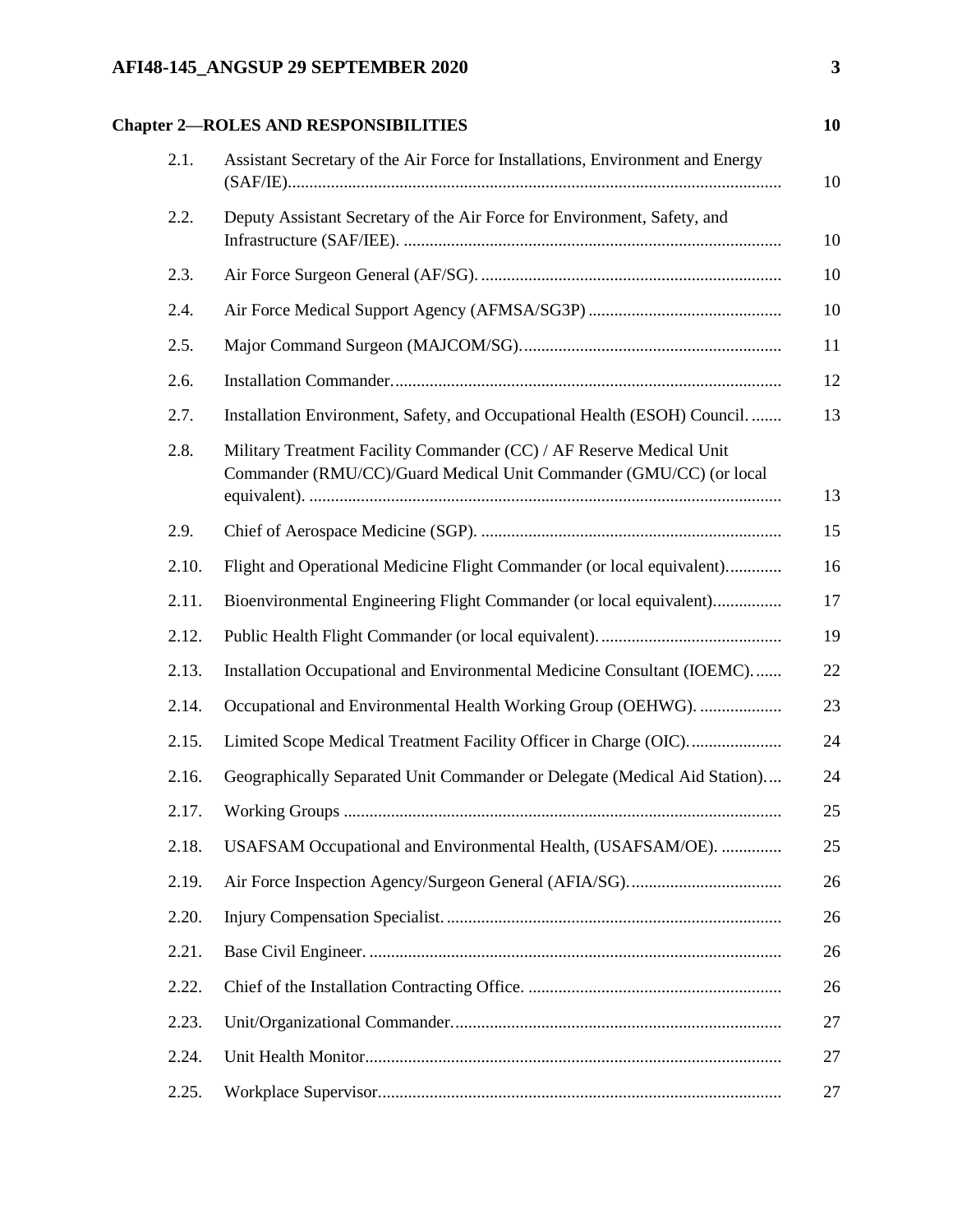# **AFI48-145\_ANGSUP 29 SEPTEMBER 2020 3**

# **[Chapter 2—ROLES AND RESPONSIBILITIES](#page-9-0) [10](#page-9-0)**

| 2.1.  | Assistant Secretary of the Air Force for Installations, Environment and Energy                                                             |
|-------|--------------------------------------------------------------------------------------------------------------------------------------------|
| 2.2.  | Deputy Assistant Secretary of the Air Force for Environment, Safety, and                                                                   |
| 2.3.  |                                                                                                                                            |
| 2.4.  |                                                                                                                                            |
| 2.5.  |                                                                                                                                            |
| 2.6.  |                                                                                                                                            |
| 2.7.  | Installation Environment, Safety, and Occupational Health (ESOH) Council.                                                                  |
| 2.8.  | Military Treatment Facility Commander (CC) / AF Reserve Medical Unit<br>Commander (RMU/CC)/Guard Medical Unit Commander (GMU/CC) (or local |
| 2.9.  |                                                                                                                                            |
| 2.10. | Flight and Operational Medicine Flight Commander (or local equivalent)                                                                     |
| 2.11. | Bioenvironmental Engineering Flight Commander (or local equivalent)                                                                        |
| 2.12. |                                                                                                                                            |
| 2.13. | Installation Occupational and Environmental Medicine Consultant (IOEMC)                                                                    |
| 2.14. | Occupational and Environmental Health Working Group (OEHWG).                                                                               |
| 2.15. | Limited Scope Medical Treatment Facility Officer in Charge (OIC)                                                                           |
| 2.16. | Geographically Separated Unit Commander or Delegate (Medical Aid Station)                                                                  |
| 2.17. |                                                                                                                                            |
| 2.18. | USAFSAM Occupational and Environmental Health, (USAFSAM/OE).                                                                               |
| 2.19. |                                                                                                                                            |
| 2.20. |                                                                                                                                            |
| 2.21. |                                                                                                                                            |
| 2.22. |                                                                                                                                            |
| 2.23. |                                                                                                                                            |
| 2.24. |                                                                                                                                            |
| 2.25. |                                                                                                                                            |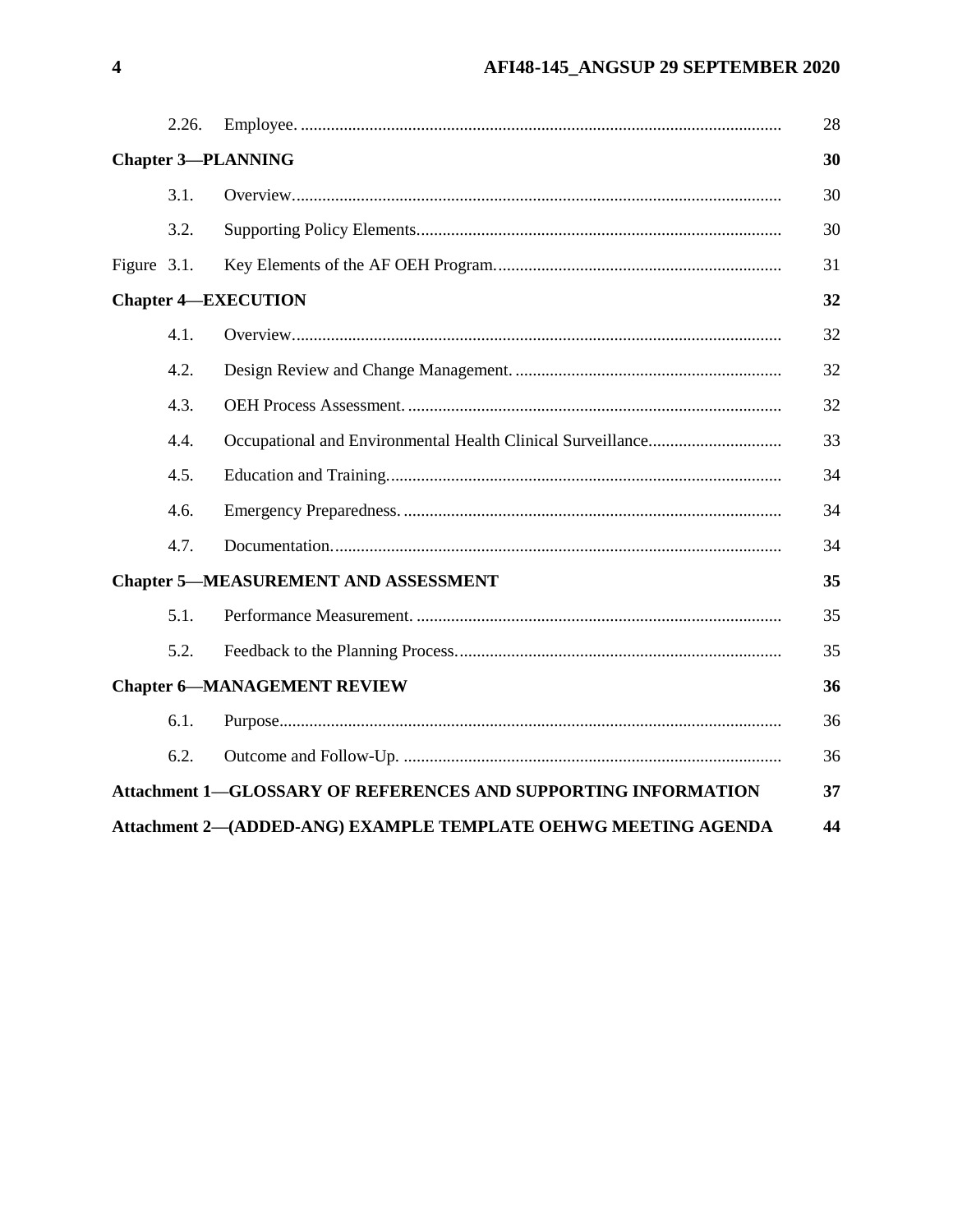|             | 2.26. |                                                                       | 28 |
|-------------|-------|-----------------------------------------------------------------------|----|
|             |       | <b>Chapter 3-PLANNING</b>                                             | 30 |
|             | 3.1.  |                                                                       | 30 |
|             | 3.2.  |                                                                       | 30 |
| Figure 3.1. |       |                                                                       | 31 |
|             |       | <b>Chapter 4-EXECUTION</b>                                            | 32 |
|             | 4.1.  |                                                                       | 32 |
|             | 4.2.  |                                                                       | 32 |
|             | 4.3.  |                                                                       | 32 |
|             | 4.4.  |                                                                       | 33 |
|             | 4.5.  |                                                                       | 34 |
|             | 4.6.  |                                                                       | 34 |
|             | 4.7.  |                                                                       | 34 |
|             |       | <b>Chapter 5-MEASUREMENT AND ASSESSMENT</b>                           | 35 |
|             | 5.1.  |                                                                       | 35 |
|             | 5.2.  |                                                                       | 35 |
|             |       | <b>Chapter 6-MANAGEMENT REVIEW</b>                                    | 36 |
|             | 6.1.  |                                                                       | 36 |
|             | 6.2.  |                                                                       | 36 |
|             |       | <b>Attachment 1-GLOSSARY OF REFERENCES AND SUPPORTING INFORMATION</b> | 37 |
|             |       | Attachment 2-(ADDED-ANG) EXAMPLE TEMPLATE OEHWG MEETING AGENDA        | 44 |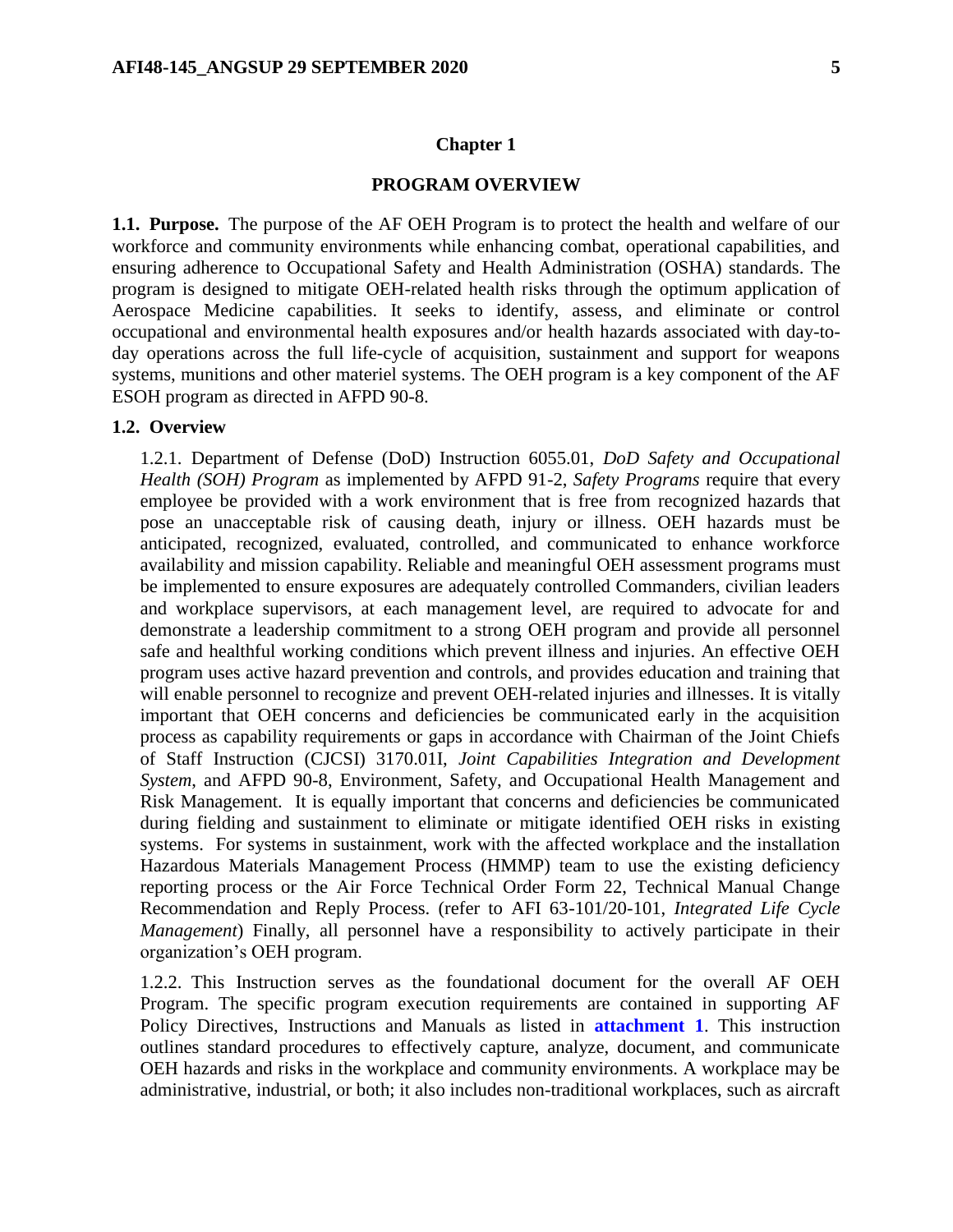### **Chapter 1**

#### **PROGRAM OVERVIEW**

<span id="page-4-1"></span><span id="page-4-0"></span>**1.1. Purpose.** The purpose of the AF OEH Program is to protect the health and welfare of our workforce and community environments while enhancing combat, operational capabilities, and ensuring adherence to Occupational Safety and Health Administration (OSHA) standards. The program is designed to mitigate OEH-related health risks through the optimum application of Aerospace Medicine capabilities. It seeks to identify, assess, and eliminate or control occupational and environmental health exposures and/or health hazards associated with day-today operations across the full life-cycle of acquisition, sustainment and support for weapons systems, munitions and other materiel systems. The OEH program is a key component of the AF ESOH program as directed in AFPD 90-8.

#### <span id="page-4-2"></span>**1.2. Overview**

1.2.1. Department of Defense (DoD) Instruction 6055.01, *DoD Safety and Occupational Health (SOH) Program* as implemented by AFPD 91-2, *Safety Programs* require that every employee be provided with a work environment that is free from recognized hazards that pose an unacceptable risk of causing death, injury or illness. OEH hazards must be anticipated, recognized, evaluated, controlled, and communicated to enhance workforce availability and mission capability. Reliable and meaningful OEH assessment programs must be implemented to ensure exposures are adequately controlled Commanders, civilian leaders and workplace supervisors, at each management level, are required to advocate for and demonstrate a leadership commitment to a strong OEH program and provide all personnel safe and healthful working conditions which prevent illness and injuries. An effective OEH program uses active hazard prevention and controls, and provides education and training that will enable personnel to recognize and prevent OEH-related injuries and illnesses. It is vitally important that OEH concerns and deficiencies be communicated early in the acquisition process as capability requirements or gaps in accordance with Chairman of the Joint Chiefs of Staff Instruction (CJCSI) 3170.01I, *Joint Capabilities Integration and Development System*, and AFPD 90-8, Environment, Safety, and Occupational Health Management and Risk Management. It is equally important that concerns and deficiencies be communicated during fielding and sustainment to eliminate or mitigate identified OEH risks in existing systems. For systems in sustainment, work with the affected workplace and the installation Hazardous Materials Management Process (HMMP) team to use the existing deficiency reporting process or the Air Force Technical Order Form 22, Technical Manual Change Recommendation and Reply Process. (refer to AFI 63-101/20-101, *Integrated Life Cycle Management*) Finally, all personnel have a responsibility to actively participate in their organization's OEH program.

1.2.2. This Instruction serves as the foundational document for the overall AF OEH Program. The specific program execution requirements are contained in supporting AF Policy Directives, Instructions and Manuals as listed in **[attachment](#page-36-0) 1**. This instruction outlines standard procedures to effectively capture, analyze, document, and communicate OEH hazards and risks in the workplace and community environments. A workplace may be administrative, industrial, or both; it also includes non-traditional workplaces, such as aircraft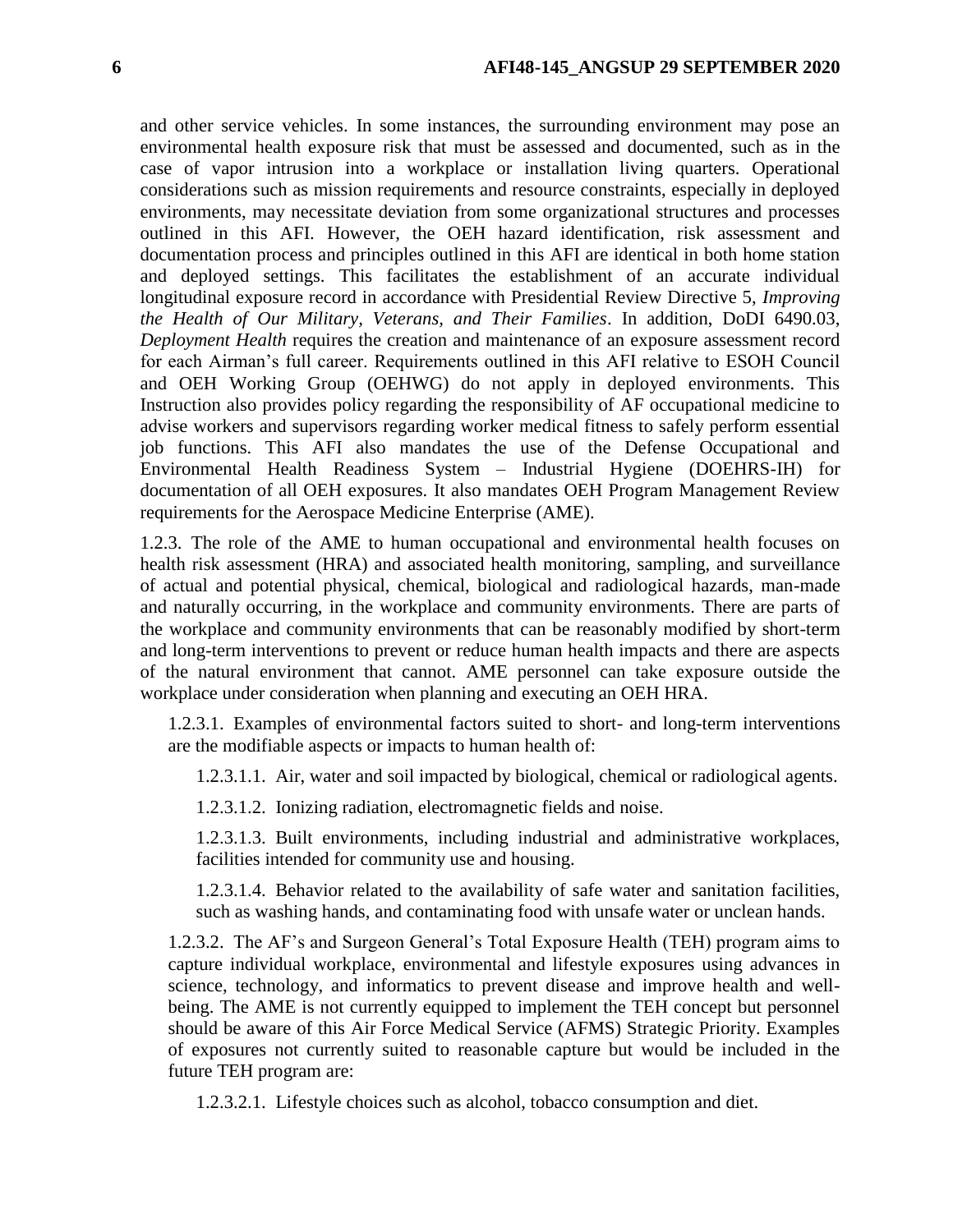and other service vehicles. In some instances, the surrounding environment may pose an environmental health exposure risk that must be assessed and documented, such as in the case of vapor intrusion into a workplace or installation living quarters. Operational considerations such as mission requirements and resource constraints, especially in deployed environments, may necessitate deviation from some organizational structures and processes outlined in this AFI. However, the OEH hazard identification, risk assessment and documentation process and principles outlined in this AFI are identical in both home station and deployed settings. This facilitates the establishment of an accurate individual longitudinal exposure record in accordance with Presidential Review Directive 5, *Improving the Health of Our Military, Veterans, and Their Families*. In addition, DoDI 6490.03, *Deployment Health* requires the creation and maintenance of an exposure assessment record for each Airman's full career. Requirements outlined in this AFI relative to ESOH Council and OEH Working Group (OEHWG) do not apply in deployed environments. This Instruction also provides policy regarding the responsibility of AF occupational medicine to advise workers and supervisors regarding worker medical fitness to safely perform essential job functions. This AFI also mandates the use of the Defense Occupational and Environmental Health Readiness System – Industrial Hygiene (DOEHRS-IH) for documentation of all OEH exposures. It also mandates OEH Program Management Review requirements for the Aerospace Medicine Enterprise (AME).

1.2.3. The role of the AME to human occupational and environmental health focuses on health risk assessment (HRA) and associated health monitoring, sampling, and surveillance of actual and potential physical, chemical, biological and radiological hazards, man-made and naturally occurring, in the workplace and community environments. There are parts of the workplace and community environments that can be reasonably modified by short-term and long-term interventions to prevent or reduce human health impacts and there are aspects of the natural environment that cannot. AME personnel can take exposure outside the workplace under consideration when planning and executing an OEH HRA.

1.2.3.1. Examples of environmental factors suited to short- and long-term interventions are the modifiable aspects or impacts to human health of:

1.2.3.1.1. Air, water and soil impacted by biological, chemical or radiological agents.

1.2.3.1.2. Ionizing radiation, electromagnetic fields and noise.

1.2.3.1.3. Built environments, including industrial and administrative workplaces, facilities intended for community use and housing.

1.2.3.1.4. Behavior related to the availability of safe water and sanitation facilities, such as washing hands, and contaminating food with unsafe water or unclean hands.

1.2.3.2. The AF's and Surgeon General's Total Exposure Health (TEH) program aims to capture individual workplace, environmental and lifestyle exposures using advances in science, technology, and informatics to prevent disease and improve health and wellbeing. The AME is not currently equipped to implement the TEH concept but personnel should be aware of this Air Force Medical Service (AFMS) Strategic Priority. Examples of exposures not currently suited to reasonable capture but would be included in the future TEH program are:

1.2.3.2.1. Lifestyle choices such as alcohol, tobacco consumption and diet.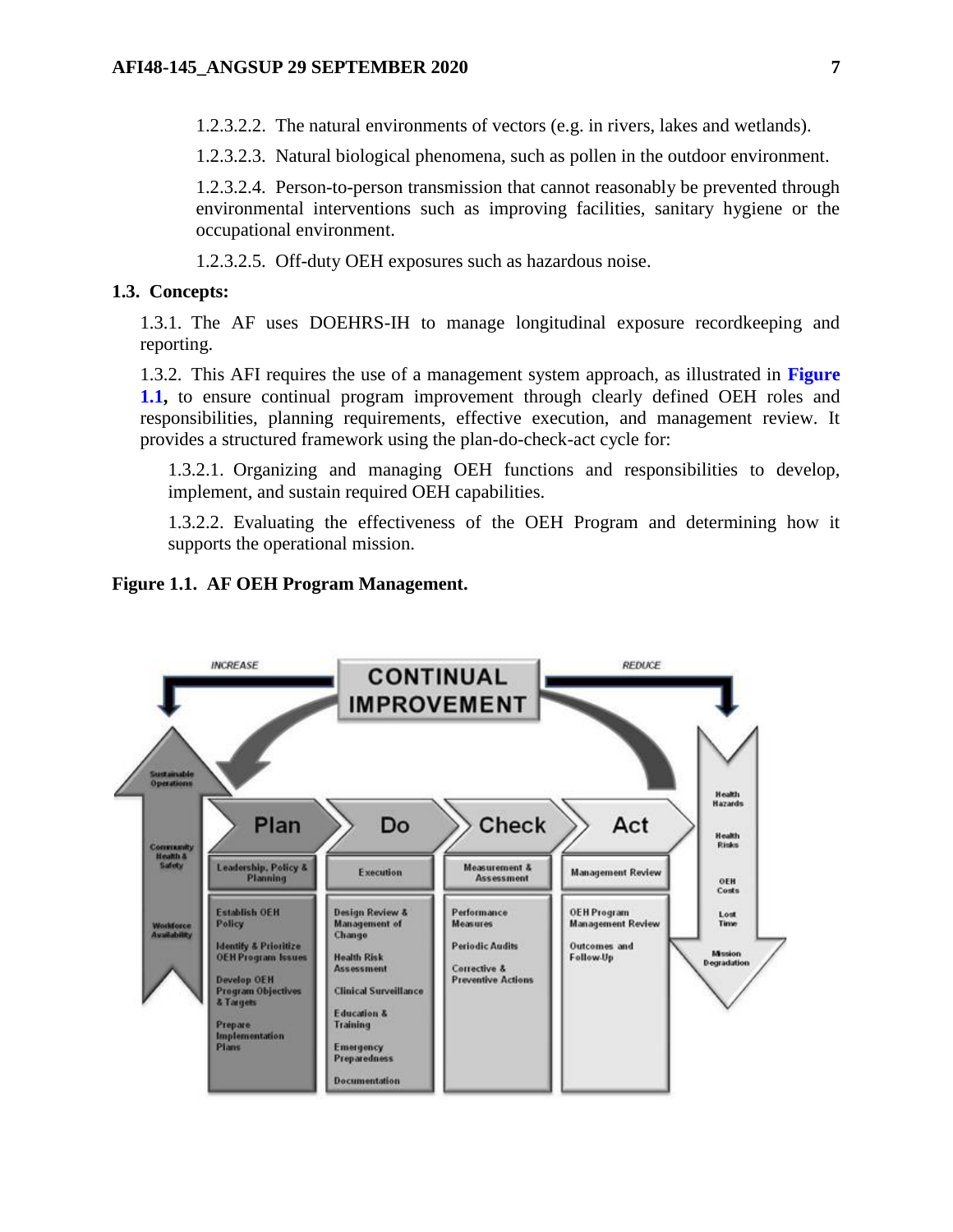1.2.3.2.2. The natural environments of vectors (e.g. in rivers, lakes and wetlands).

1.2.3.2.3. Natural biological phenomena, such as pollen in the outdoor environment.

1.2.3.2.4. Person-to-person transmission that cannot reasonably be prevented through environmental interventions such as improving facilities, sanitary hygiene or the occupational environment.

1.2.3.2.5. Off-duty OEH exposures such as hazardous noise.

### <span id="page-6-0"></span>**1.3. Concepts:**

1.3.1. The AF uses DOEHRS-IH to manage longitudinal exposure recordkeeping and reporting.

1.3.2. This AFI requires the use of a management system approach, as illustrated in **[Figure](#page-6-1) [1.1,](#page-6-1)** to ensure continual program improvement through clearly defined OEH roles and responsibilities, planning requirements, effective execution, and management review. It provides a structured framework using the plan-do-check-act cycle for:

1.3.2.1. Organizing and managing OEH functions and responsibilities to develop, implement, and sustain required OEH capabilities.

1.3.2.2. Evaluating the effectiveness of the OEH Program and determining how it supports the operational mission.

### <span id="page-6-1"></span>**Figure 1.1. AF OEH Program Management.**

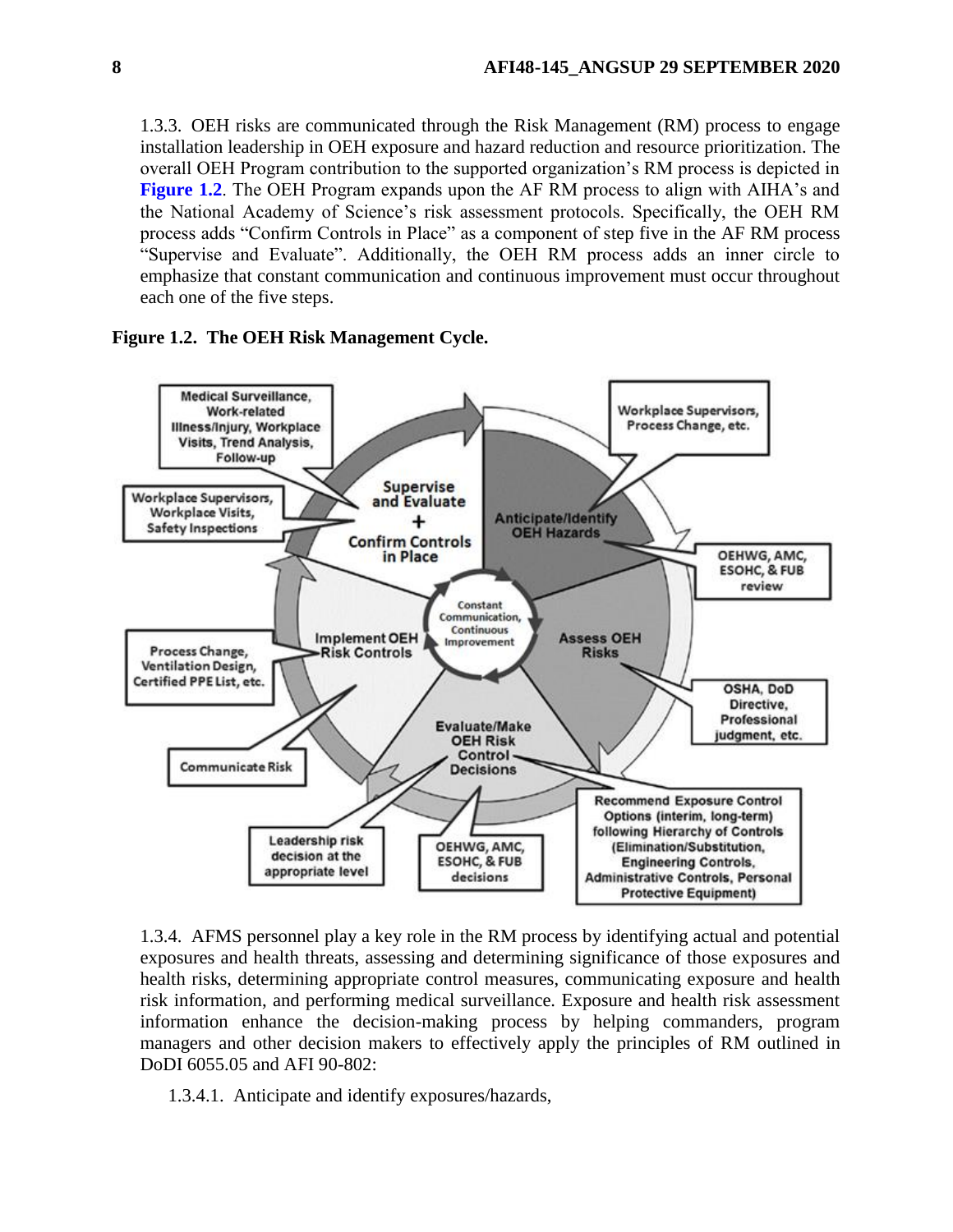1.3.3. OEH risks are communicated through the Risk Management (RM) process to engage installation leadership in OEH exposure and hazard reduction and resource prioritization. The overall OEH Program contribution to the supported organization's RM process is depicted in **[Figure](#page-7-0) 1.2**. The OEH Program expands upon the AF RM process to align with AIHA's and the National Academy of Science's risk assessment protocols. Specifically, the OEH RM process adds "Confirm Controls in Place" as a component of step five in the AF RM process "Supervise and Evaluate". Additionally, the OEH RM process adds an inner circle to emphasize that constant communication and continuous improvement must occur throughout each one of the five steps.

### <span id="page-7-0"></span>**Figure 1.2. The OEH Risk Management Cycle.**



1.3.4. AFMS personnel play a key role in the RM process by identifying actual and potential exposures and health threats, assessing and determining significance of those exposures and health risks, determining appropriate control measures, communicating exposure and health risk information, and performing medical surveillance. Exposure and health risk assessment information enhance the decision-making process by helping commanders, program managers and other decision makers to effectively apply the principles of RM outlined in DoDI 6055.05 and AFI 90-802:

1.3.4.1. Anticipate and identify exposures/hazards,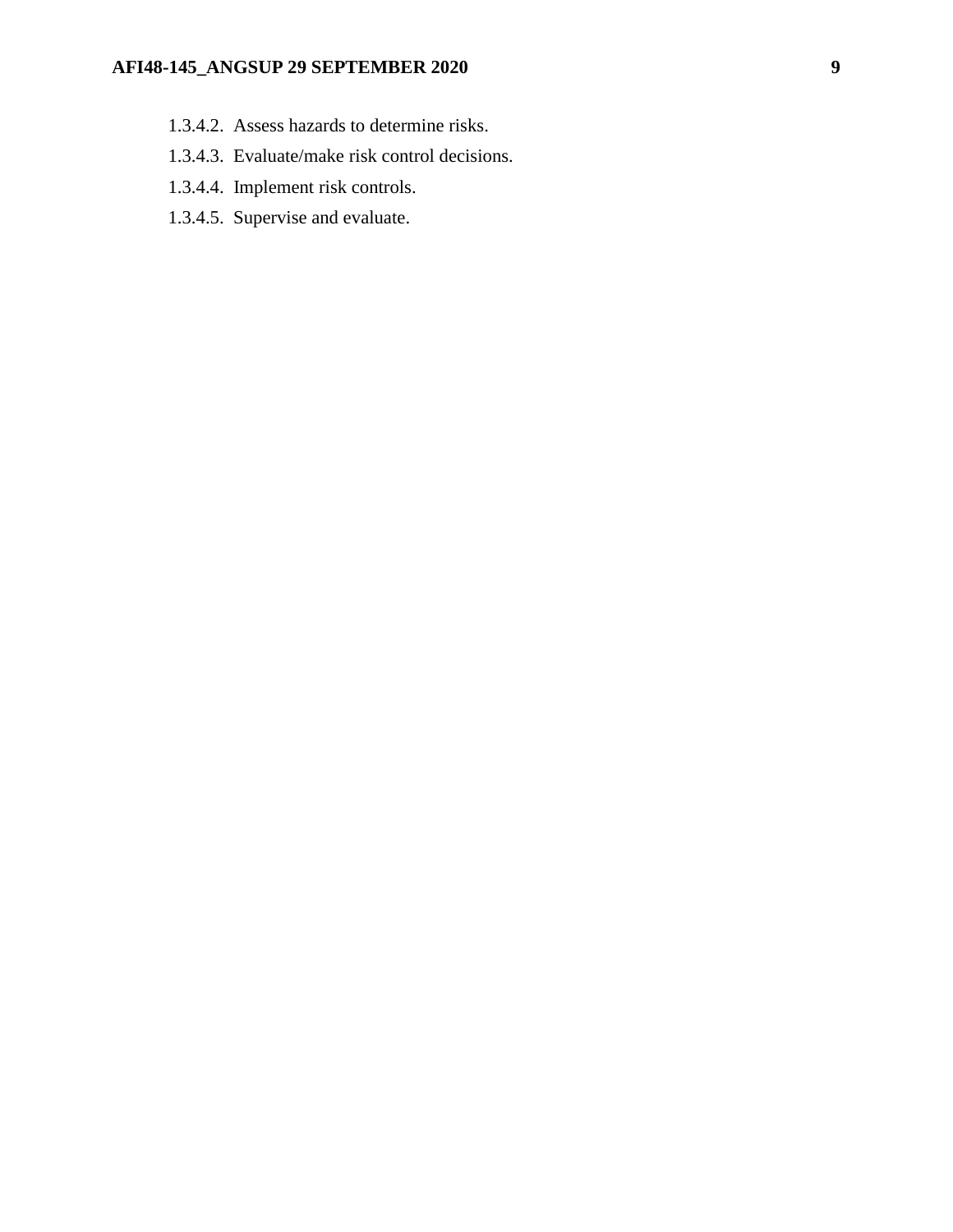# **AFI48-145\_ANGSUP 29 SEPTEMBER 2020 9**

- 1.3.4.2. Assess hazards to determine risks.
- 1.3.4.3. Evaluate/make risk control decisions.
- 1.3.4.4. Implement risk controls.
- 1.3.4.5. Supervise and evaluate.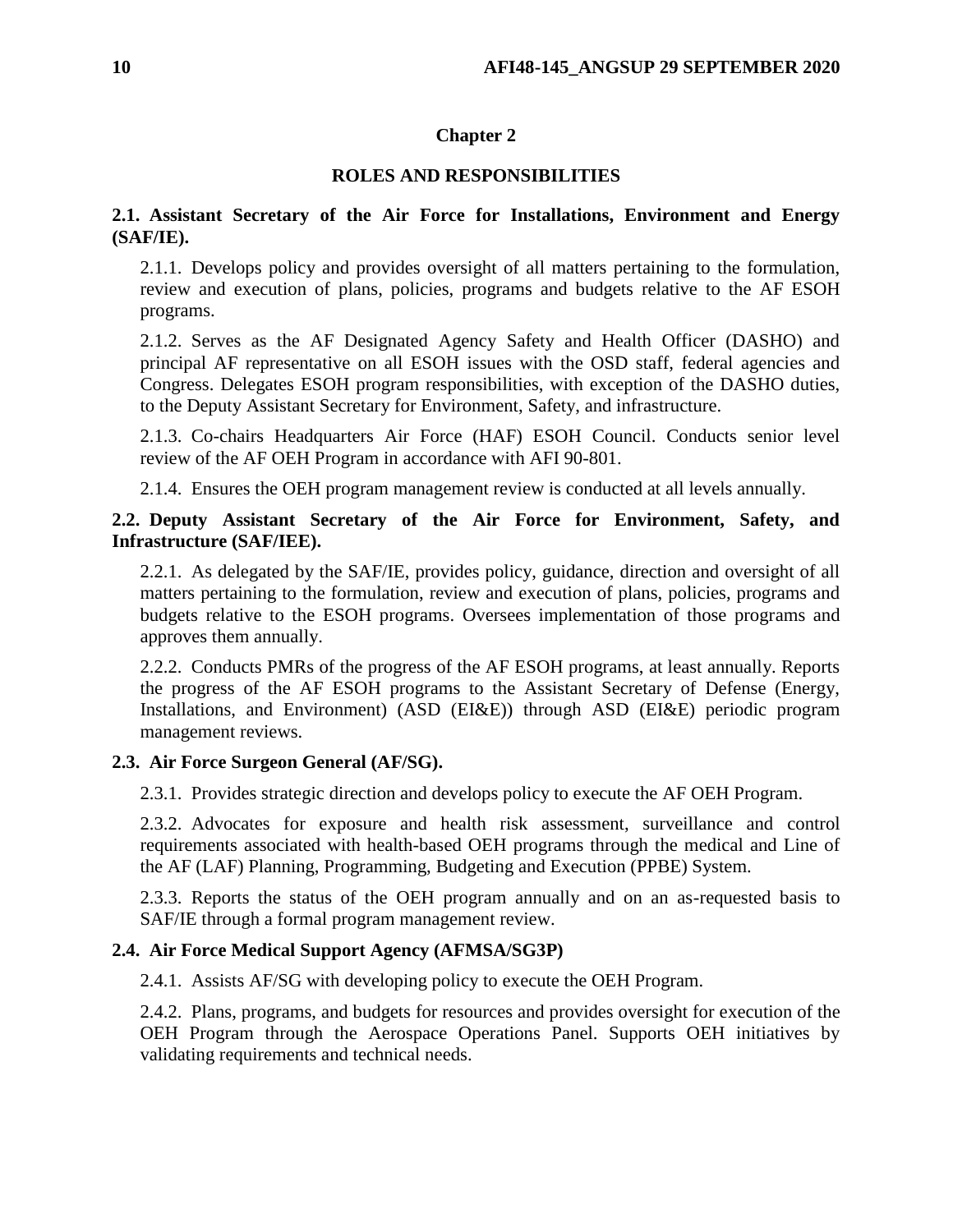# **Chapter 2**

# **ROLES AND RESPONSIBILITIES**

# <span id="page-9-1"></span><span id="page-9-0"></span>**2.1. Assistant Secretary of the Air Force for Installations, Environment and Energy (SAF/IE).**

2.1.1. Develops policy and provides oversight of all matters pertaining to the formulation, review and execution of plans, policies, programs and budgets relative to the AF ESOH programs.

2.1.2. Serves as the AF Designated Agency Safety and Health Officer (DASHO) and principal AF representative on all ESOH issues with the OSD staff, federal agencies and Congress. Delegates ESOH program responsibilities, with exception of the DASHO duties, to the Deputy Assistant Secretary for Environment, Safety, and infrastructure.

2.1.3. Co-chairs Headquarters Air Force (HAF) ESOH Council. Conducts senior level review of the AF OEH Program in accordance with AFI 90-801.

2.1.4. Ensures the OEH program management review is conducted at all levels annually.

# <span id="page-9-2"></span>**2.2. Deputy Assistant Secretary of the Air Force for Environment, Safety, and Infrastructure (SAF/IEE).**

2.2.1. As delegated by the SAF/IE, provides policy, guidance, direction and oversight of all matters pertaining to the formulation, review and execution of plans, policies, programs and budgets relative to the ESOH programs. Oversees implementation of those programs and approves them annually.

2.2.2. Conducts PMRs of the progress of the AF ESOH programs, at least annually. Reports the progress of the AF ESOH programs to the Assistant Secretary of Defense (Energy, Installations, and Environment) (ASD (EI&E)) through ASD (EI&E) periodic program management reviews.

# <span id="page-9-3"></span>**2.3. Air Force Surgeon General (AF/SG).**

2.3.1. Provides strategic direction and develops policy to execute the AF OEH Program.

2.3.2. Advocates for exposure and health risk assessment, surveillance and control requirements associated with health-based OEH programs through the medical and Line of the AF (LAF) Planning, Programming, Budgeting and Execution (PPBE) System.

2.3.3. Reports the status of the OEH program annually and on an as-requested basis to SAF/IE through a formal program management review.

# <span id="page-9-4"></span>**2.4. Air Force Medical Support Agency (AFMSA/SG3P)**

2.4.1. Assists AF/SG with developing policy to execute the OEH Program.

2.4.2. Plans, programs, and budgets for resources and provides oversight for execution of the OEH Program through the Aerospace Operations Panel. Supports OEH initiatives by validating requirements and technical needs.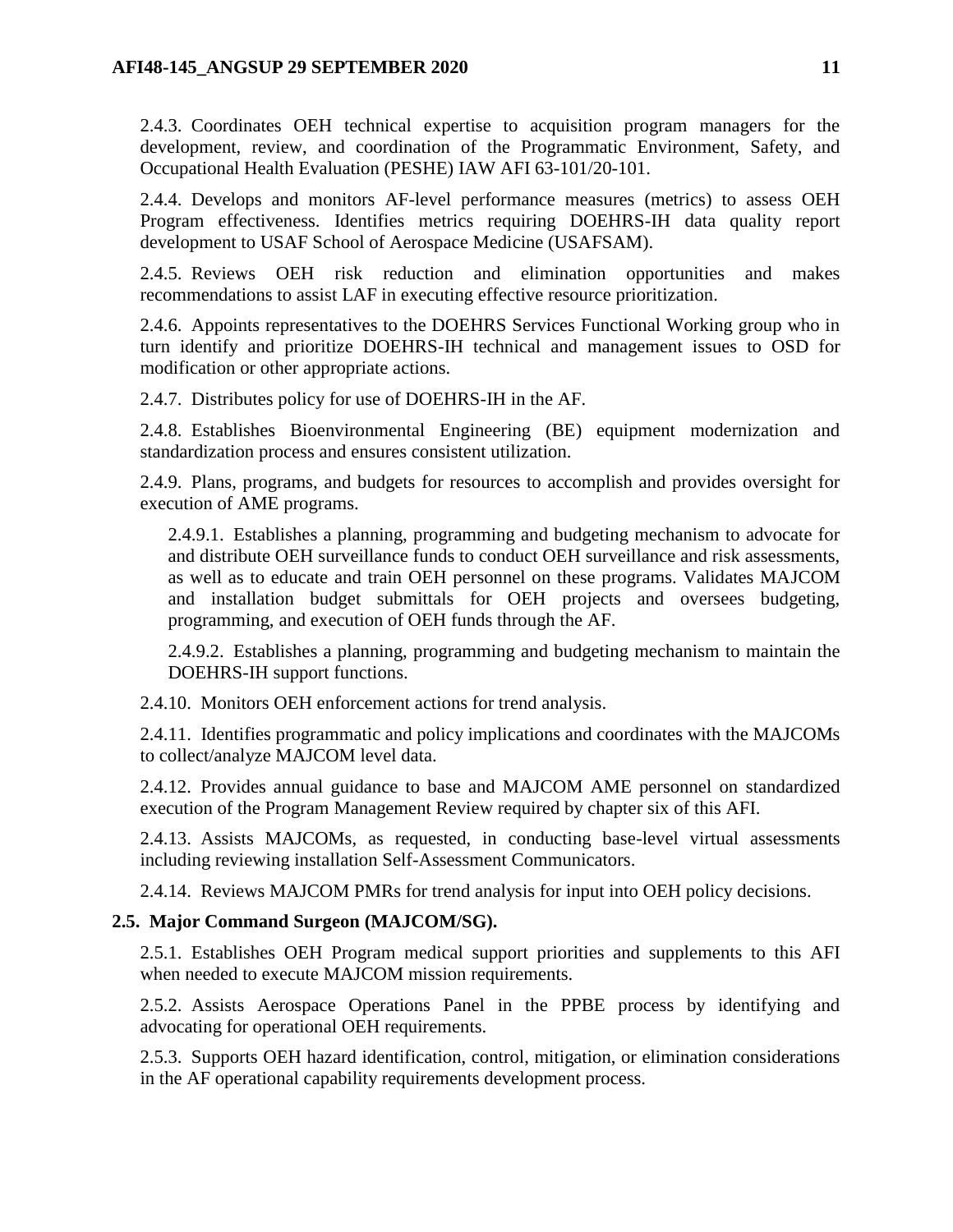2.4.3. Coordinates OEH technical expertise to acquisition program managers for the development, review, and coordination of the Programmatic Environment, Safety, and Occupational Health Evaluation (PESHE) IAW AFI 63-101/20-101.

2.4.4. Develops and monitors AF-level performance measures (metrics) to assess OEH Program effectiveness. Identifies metrics requiring DOEHRS-IH data quality report development to USAF School of Aerospace Medicine (USAFSAM).

2.4.5. Reviews OEH risk reduction and elimination opportunities and makes recommendations to assist LAF in executing effective resource prioritization.

2.4.6. Appoints representatives to the DOEHRS Services Functional Working group who in turn identify and prioritize DOEHRS-IH technical and management issues to OSD for modification or other appropriate actions.

2.4.7. Distributes policy for use of DOEHRS-IH in the AF.

2.4.8. Establishes Bioenvironmental Engineering (BE) equipment modernization and standardization process and ensures consistent utilization.

2.4.9. Plans, programs, and budgets for resources to accomplish and provides oversight for execution of AME programs.

2.4.9.1. Establishes a planning, programming and budgeting mechanism to advocate for and distribute OEH surveillance funds to conduct OEH surveillance and risk assessments, as well as to educate and train OEH personnel on these programs. Validates MAJCOM and installation budget submittals for OEH projects and oversees budgeting, programming, and execution of OEH funds through the AF.

2.4.9.2. Establishes a planning, programming and budgeting mechanism to maintain the DOEHRS-IH support functions.

2.4.10. Monitors OEH enforcement actions for trend analysis.

2.4.11. Identifies programmatic and policy implications and coordinates with the MAJCOMs to collect/analyze MAJCOM level data.

2.4.12. Provides annual guidance to base and MAJCOM AME personnel on standardized execution of the Program Management Review required by chapter six of this AFI.

2.4.13. Assists MAJCOMs, as requested, in conducting base-level virtual assessments including reviewing installation Self-Assessment Communicators.

2.4.14. Reviews MAJCOM PMRs for trend analysis for input into OEH policy decisions.

# <span id="page-10-0"></span>**2.5. Major Command Surgeon (MAJCOM/SG).**

2.5.1. Establishes OEH Program medical support priorities and supplements to this AFI when needed to execute MAJCOM mission requirements.

2.5.2. Assists Aerospace Operations Panel in the PPBE process by identifying and advocating for operational OEH requirements.

2.5.3. Supports OEH hazard identification, control, mitigation, or elimination considerations in the AF operational capability requirements development process.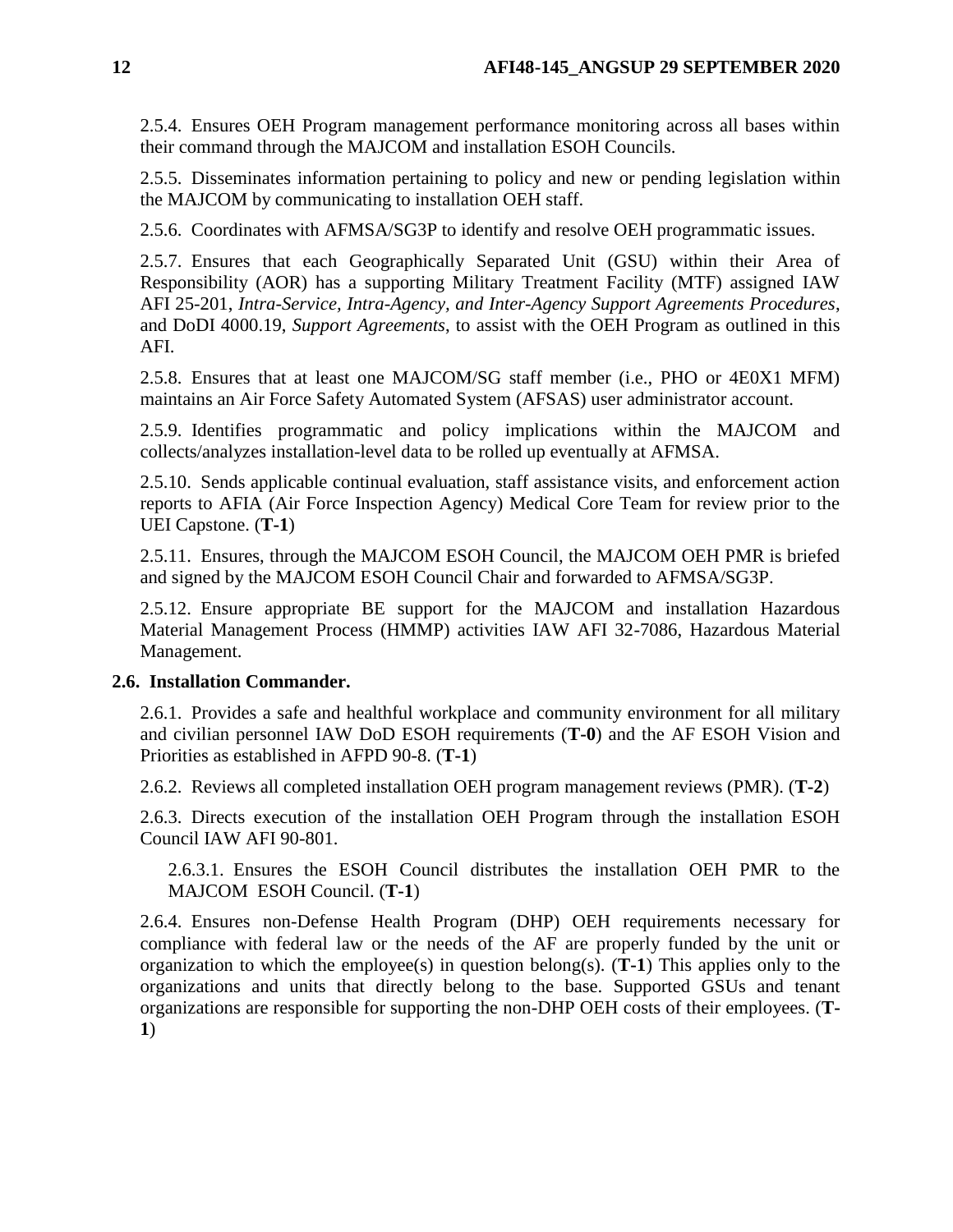2.5.4. Ensures OEH Program management performance monitoring across all bases within their command through the MAJCOM and installation ESOH Councils.

2.5.5. Disseminates information pertaining to policy and new or pending legislation within the MAJCOM by communicating to installation OEH staff.

2.5.6. Coordinates with AFMSA/SG3P to identify and resolve OEH programmatic issues.

2.5.7. Ensures that each Geographically Separated Unit (GSU) within their Area of Responsibility (AOR) has a supporting Military Treatment Facility (MTF) assigned IAW AFI 25-201, *Intra-Service, Intra-Agency, and Inter-Agency Support Agreements Procedures*, and DoDI 4000.19, *Support Agreements*, to assist with the OEH Program as outlined in this AFI.

2.5.8. Ensures that at least one MAJCOM/SG staff member (i.e., PHO or 4E0X1 MFM) maintains an Air Force Safety Automated System (AFSAS) user administrator account.

2.5.9. Identifies programmatic and policy implications within the MAJCOM and collects/analyzes installation-level data to be rolled up eventually at AFMSA.

2.5.10. Sends applicable continual evaluation, staff assistance visits, and enforcement action reports to AFIA (Air Force Inspection Agency) Medical Core Team for review prior to the UEI Capstone. (**T-1**)

2.5.11. Ensures, through the MAJCOM ESOH Council, the MAJCOM OEH PMR is briefed and signed by the MAJCOM ESOH Council Chair and forwarded to AFMSA/SG3P.

2.5.12. Ensure appropriate BE support for the MAJCOM and installation Hazardous Material Management Process (HMMP) activities IAW AFI 32-7086, Hazardous Material Management.

### <span id="page-11-0"></span>**2.6. Installation Commander.**

2.6.1. Provides a safe and healthful workplace and community environment for all military and civilian personnel IAW DoD ESOH requirements (**T-0**) and the AF ESOH Vision and Priorities as established in AFPD 90-8. (**T-1**)

2.6.2. Reviews all completed installation OEH program management reviews (PMR). (**T-2**)

2.6.3. Directs execution of the installation OEH Program through the installation ESOH Council IAW AFI 90-801.

2.6.3.1. Ensures the ESOH Council distributes the installation OEH PMR to the MAJCOM ESOH Council. (**T-1**)

2.6.4. Ensures non-Defense Health Program (DHP) OEH requirements necessary for compliance with federal law or the needs of the AF are properly funded by the unit or organization to which the employee(s) in question belong(s). (**T-1**) This applies only to the organizations and units that directly belong to the base. Supported GSUs and tenant organizations are responsible for supporting the non-DHP OEH costs of their employees. (**T-1**)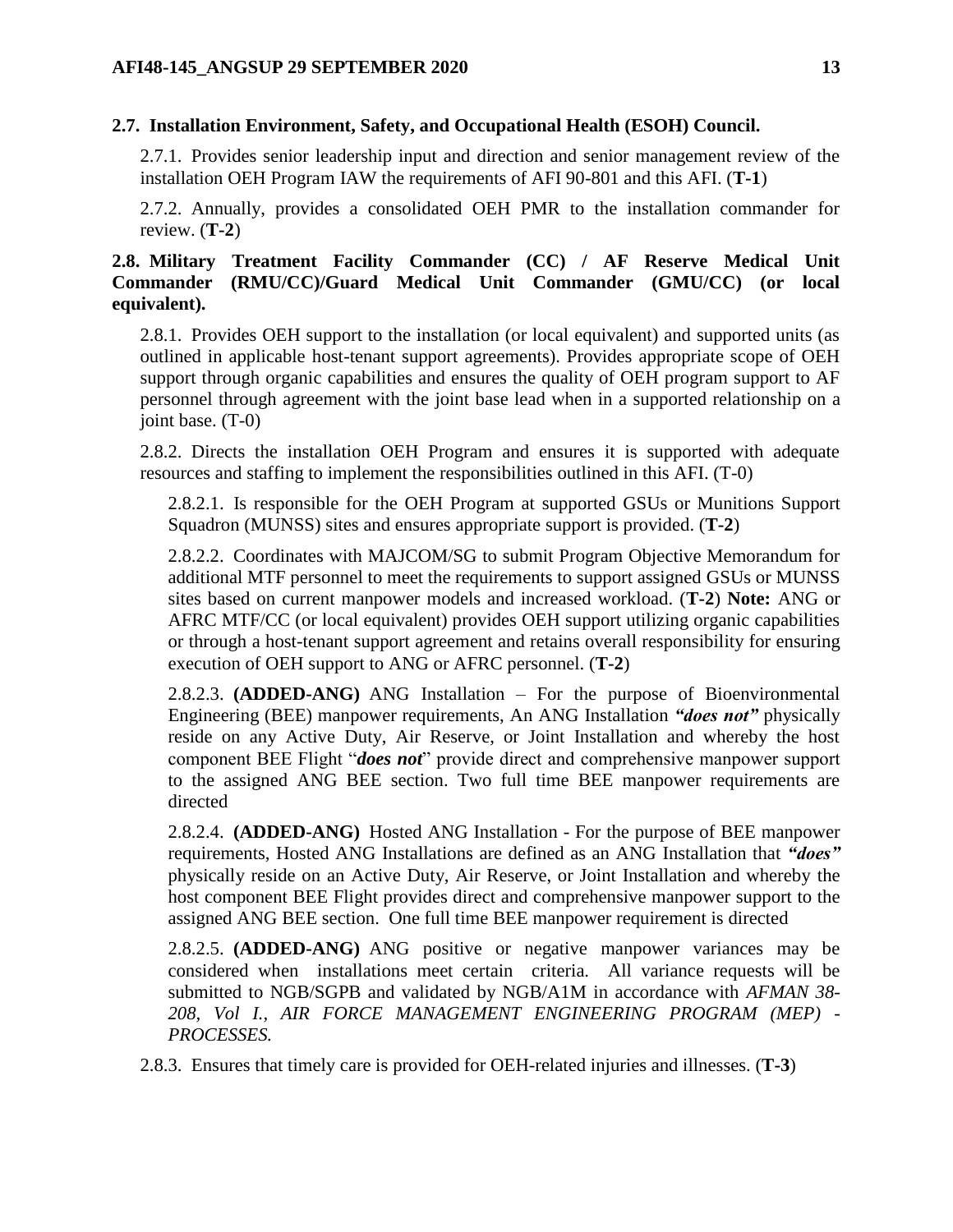# <span id="page-12-0"></span>**2.7. Installation Environment, Safety, and Occupational Health (ESOH) Council.**

2.7.1. Provides senior leadership input and direction and senior management review of the installation OEH Program IAW the requirements of AFI 90-801 and this AFI. (**T-1**)

2.7.2. Annually, provides a consolidated OEH PMR to the installation commander for review. (**T-2**)

# <span id="page-12-1"></span>**2.8. Military Treatment Facility Commander (CC) / AF Reserve Medical Unit Commander (RMU/CC)/Guard Medical Unit Commander (GMU/CC) (or local equivalent).**

2.8.1. Provides OEH support to the installation (or local equivalent) and supported units (as outlined in applicable host-tenant support agreements). Provides appropriate scope of OEH support through organic capabilities and ensures the quality of OEH program support to AF personnel through agreement with the joint base lead when in a supported relationship on a joint base. (T-0)

2.8.2. Directs the installation OEH Program and ensures it is supported with adequate resources and staffing to implement the responsibilities outlined in this AFI. (T-0)

2.8.2.1. Is responsible for the OEH Program at supported GSUs or Munitions Support Squadron (MUNSS) sites and ensures appropriate support is provided. (**T-2**)

2.8.2.2. Coordinates with MAJCOM/SG to submit Program Objective Memorandum for additional MTF personnel to meet the requirements to support assigned GSUs or MUNSS sites based on current manpower models and increased workload. (**T-2**) **Note:** ANG or AFRC MTF/CC (or local equivalent) provides OEH support utilizing organic capabilities or through a host-tenant support agreement and retains overall responsibility for ensuring execution of OEH support to ANG or AFRC personnel. (**T-2**)

2.8.2.3. **(ADDED-ANG)** ANG Installation – For the purpose of Bioenvironmental Engineering (BEE) manpower requirements, An ANG Installation *"does not"* physically reside on any Active Duty, Air Reserve, or Joint Installation and whereby the host component BEE Flight "*does not*" provide direct and comprehensive manpower support to the assigned ANG BEE section. Two full time BEE manpower requirements are directed

2.8.2.4. **(ADDED-ANG)** Hosted ANG Installation - For the purpose of BEE manpower requirements, Hosted ANG Installations are defined as an ANG Installation that *"does"*  physically reside on an Active Duty, Air Reserve, or Joint Installation and whereby the host component BEE Flight provides direct and comprehensive manpower support to the assigned ANG BEE section. One full time BEE manpower requirement is directed

2.8.2.5. **(ADDED-ANG)** ANG positive or negative manpower variances may be considered when installations meet certain criteria. All variance requests will be submitted to NGB/SGPB and validated by NGB/A1M in accordance with *AFMAN 38- 208, Vol I., AIR FORCE MANAGEMENT ENGINEERING PROGRAM (MEP) - PROCESSES.*

2.8.3. Ensures that timely care is provided for OEH-related injuries and illnesses. (**T-3**)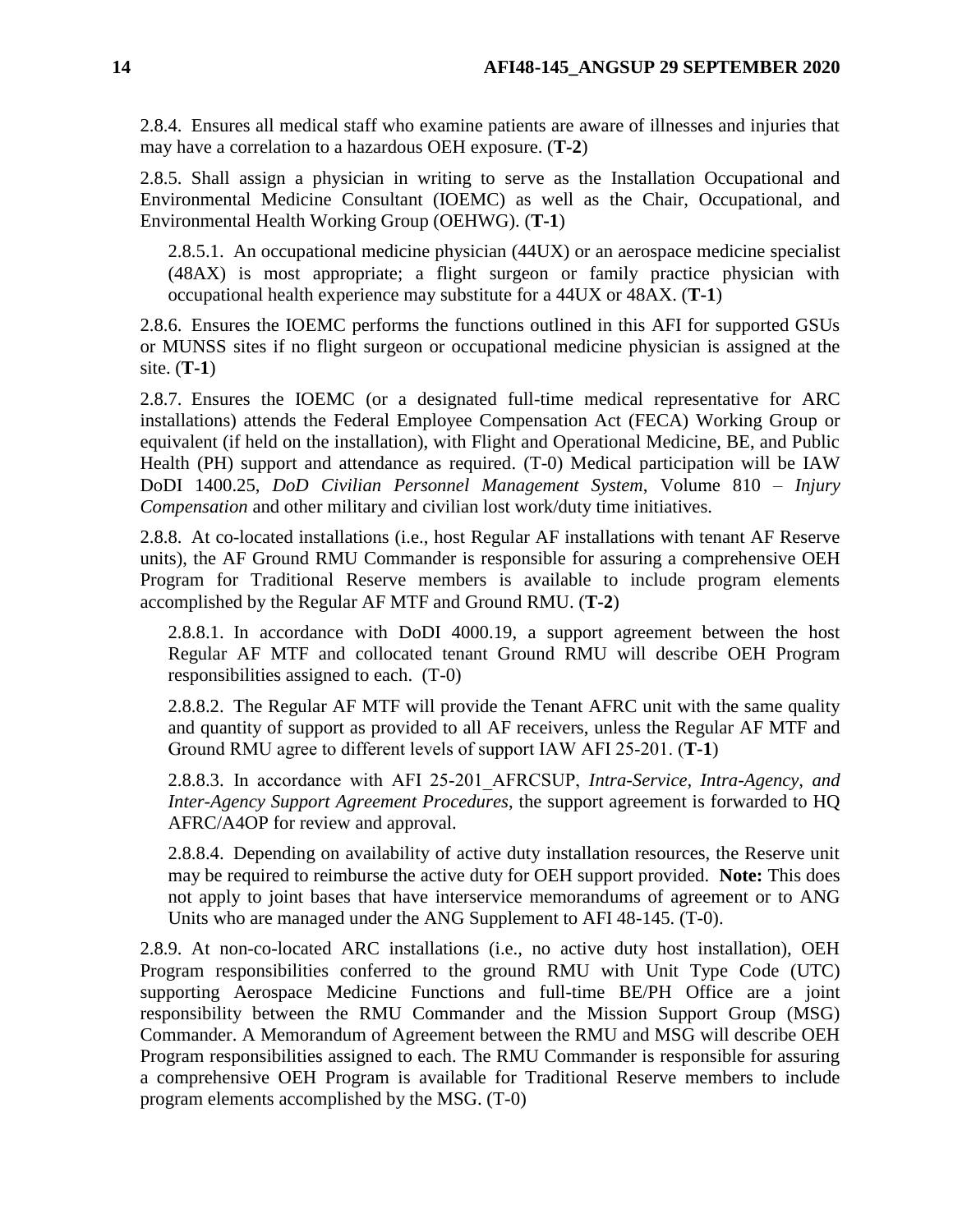2.8.4. Ensures all medical staff who examine patients are aware of illnesses and injuries that may have a correlation to a hazardous OEH exposure. (**T-2**)

2.8.5. Shall assign a physician in writing to serve as the Installation Occupational and Environmental Medicine Consultant (IOEMC) as well as the Chair, Occupational, and Environmental Health Working Group (OEHWG). (**T-1**)

2.8.5.1. An occupational medicine physician (44UX) or an aerospace medicine specialist (48AX) is most appropriate; a flight surgeon or family practice physician with occupational health experience may substitute for a 44UX or 48AX. (**T-1**)

2.8.6. Ensures the IOEMC performs the functions outlined in this AFI for supported GSUs or MUNSS sites if no flight surgeon or occupational medicine physician is assigned at the site. (**T-1**)

2.8.7. Ensures the IOEMC (or a designated full-time medical representative for ARC installations) attends the Federal Employee Compensation Act (FECA) Working Group or equivalent (if held on the installation), with Flight and Operational Medicine, BE, and Public Health (PH) support and attendance as required. (T-0) Medical participation will be IAW DoDI 1400.25, *DoD Civilian Personnel Management System*, Volume 810 – *Injury Compensation* and other military and civilian lost work/duty time initiatives.

2.8.8. At co-located installations (i.e., host Regular AF installations with tenant AF Reserve units), the AF Ground RMU Commander is responsible for assuring a comprehensive OEH Program for Traditional Reserve members is available to include program elements accomplished by the Regular AF MTF and Ground RMU. (**T-2**)

2.8.8.1. In accordance with DoDI 4000.19, a support agreement between the host Regular AF MTF and collocated tenant Ground RMU will describe OEH Program responsibilities assigned to each. (T-0)

2.8.8.2. The Regular AF MTF will provide the Tenant AFRC unit with the same quality and quantity of support as provided to all AF receivers, unless the Regular AF MTF and Ground RMU agree to different levels of support IAW AFI 25‐201. (**T-1**)

2.8.8.3. In accordance with AFI 25‐201\_AFRCSUP, *Intra-Service, Intra-Agency, and Inter-Agency Support Agreement Procedures*, the support agreement is forwarded to HQ AFRC/A4OP for review and approval.

2.8.8.4. Depending on availability of active duty installation resources, the Reserve unit may be required to reimburse the active duty for OEH support provided. **Note:** This does not apply to joint bases that have interservice memorandums of agreement or to ANG Units who are managed under the ANG Supplement to AFI 48-145. (T-0).

2.8.9. At non-co-located ARC installations (i.e., no active duty host installation), OEH Program responsibilities conferred to the ground RMU with Unit Type Code (UTC) supporting Aerospace Medicine Functions and full-time BE/PH Office are a joint responsibility between the RMU Commander and the Mission Support Group (MSG) Commander. A Memorandum of Agreement between the RMU and MSG will describe OEH Program responsibilities assigned to each. The RMU Commander is responsible for assuring a comprehensive OEH Program is available for Traditional Reserve members to include program elements accomplished by the MSG. (T-0)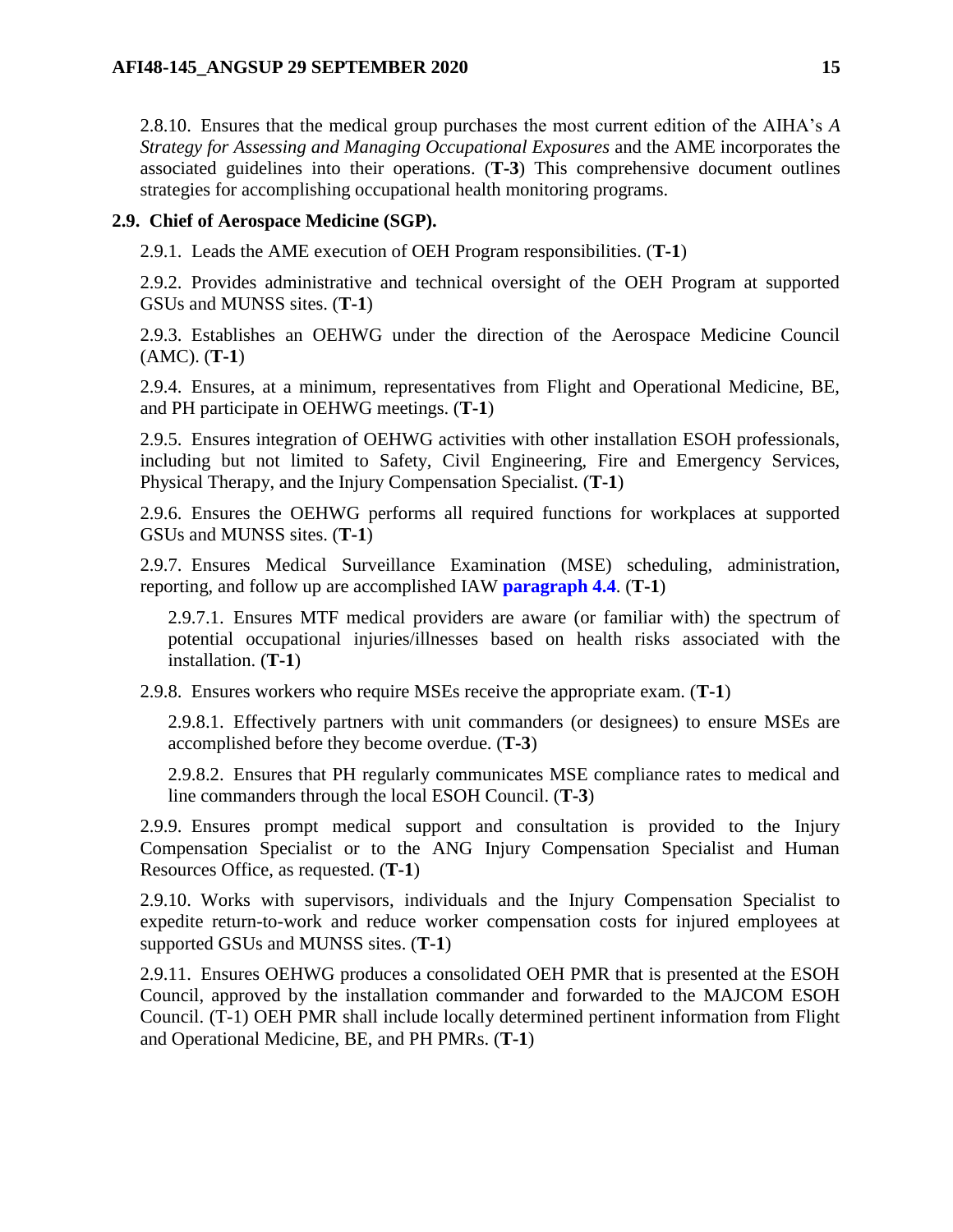2.8.10. Ensures that the medical group purchases the most current edition of the AIHA's *A Strategy for Assessing and Managing Occupational Exposures* and the AME incorporates the associated guidelines into their operations. (**T-3**) This comprehensive document outlines strategies for accomplishing occupational health monitoring programs.

# <span id="page-14-0"></span>**2.9. Chief of Aerospace Medicine (SGP).**

2.9.1. Leads the AME execution of OEH Program responsibilities. (**T-1**)

2.9.2. Provides administrative and technical oversight of the OEH Program at supported GSUs and MUNSS sites. (**T-1**)

2.9.3. Establishes an OEHWG under the direction of the Aerospace Medicine Council (AMC). (**T-1**)

2.9.4. Ensures, at a minimum, representatives from Flight and Operational Medicine, BE, and PH participate in OEHWG meetings. (**T-1**)

2.9.5. Ensures integration of OEHWG activities with other installation ESOH professionals, including but not limited to Safety, Civil Engineering, Fire and Emergency Services, Physical Therapy, and the Injury Compensation Specialist. (**T-1**)

2.9.6. Ensures the OEHWG performs all required functions for workplaces at supported GSUs and MUNSS sites. (**T-1**)

2.9.7. Ensures Medical Surveillance Examination (MSE) scheduling, administration, reporting, and follow up are accomplished IAW **[paragraph](#page-32-0) 4.4**. (**T-1**)

2.9.7.1. Ensures MTF medical providers are aware (or familiar with) the spectrum of potential occupational injuries/illnesses based on health risks associated with the installation. (**T-1**)

2.9.8. Ensures workers who require MSEs receive the appropriate exam. (**T-1**)

2.9.8.1. Effectively partners with unit commanders (or designees) to ensure MSEs are accomplished before they become overdue. (**T-3**)

2.9.8.2. Ensures that PH regularly communicates MSE compliance rates to medical and line commanders through the local ESOH Council. (**T-3**)

2.9.9. Ensures prompt medical support and consultation is provided to the Injury Compensation Specialist or to the ANG Injury Compensation Specialist and Human Resources Office, as requested. (**T-1**)

2.9.10. Works with supervisors, individuals and the Injury Compensation Specialist to expedite return-to-work and reduce worker compensation costs for injured employees at supported GSUs and MUNSS sites. (**T-1**)

2.9.11. Ensures OEHWG produces a consolidated OEH PMR that is presented at the ESOH Council, approved by the installation commander and forwarded to the MAJCOM ESOH Council. (T-1) OEH PMR shall include locally determined pertinent information from Flight and Operational Medicine, BE, and PH PMRs. (**T-1**)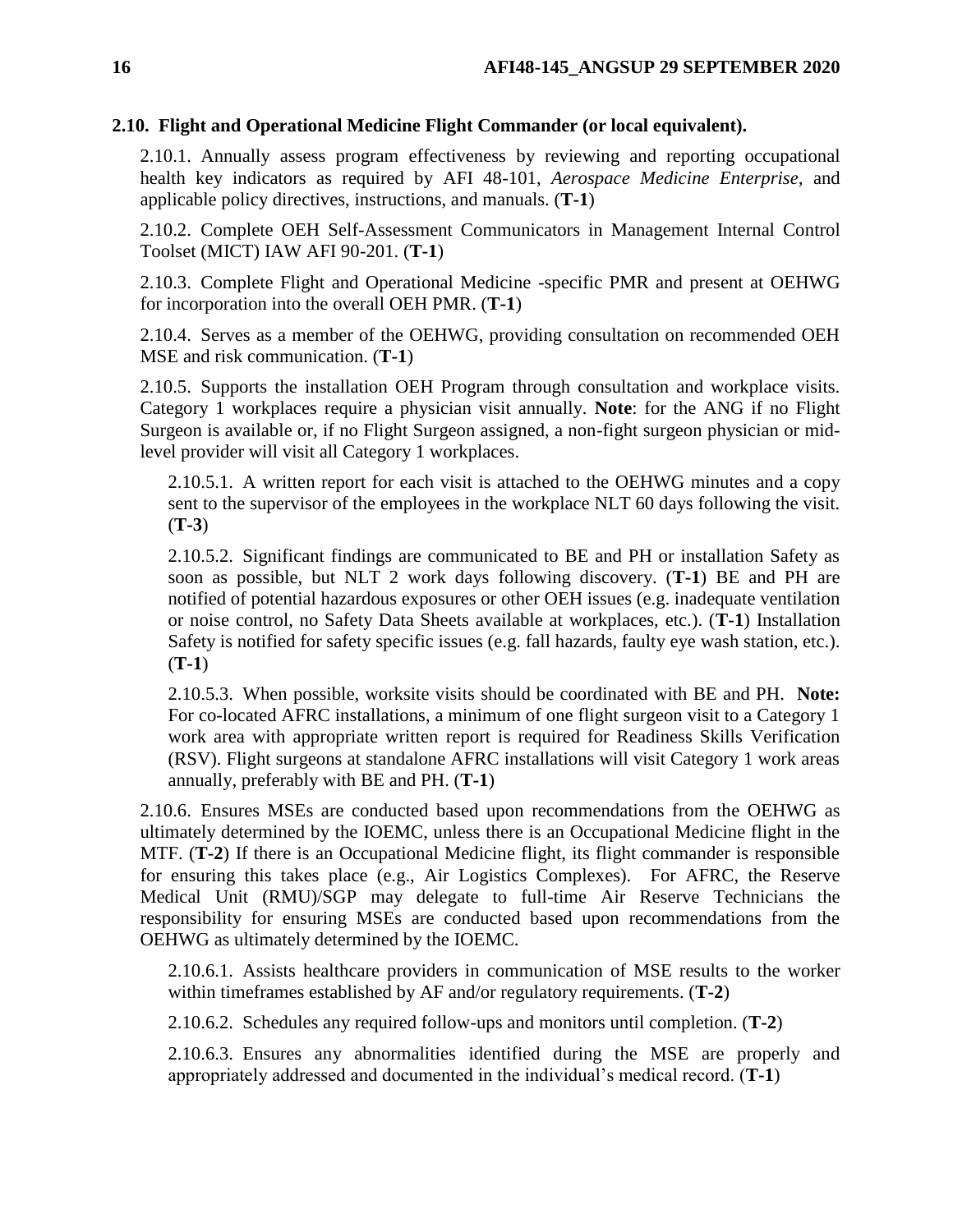### <span id="page-15-0"></span>**2.10. Flight and Operational Medicine Flight Commander (or local equivalent).**

2.10.1. Annually assess program effectiveness by reviewing and reporting occupational health key indicators as required by AFI 48-101, *Aerospace Medicine Enterprise,* and applicable policy directives, instructions, and manuals. (**T-1**)

2.10.2. Complete OEH Self-Assessment Communicators in Management Internal Control Toolset (MICT) IAW AFI 90-201. (**T-1**)

2.10.3. Complete Flight and Operational Medicine -specific PMR and present at OEHWG for incorporation into the overall OEH PMR. (**T-1**)

2.10.4. Serves as a member of the OEHWG, providing consultation on recommended OEH MSE and risk communication. (**T-1**)

2.10.5. Supports the installation OEH Program through consultation and workplace visits. Category 1 workplaces require a physician visit annually. **Note**: for the ANG if no Flight Surgeon is available or, if no Flight Surgeon assigned, a non-fight surgeon physician or midlevel provider will visit all Category 1 workplaces.

2.10.5.1. A written report for each visit is attached to the OEHWG minutes and a copy sent to the supervisor of the employees in the workplace NLT 60 days following the visit. (**T-3**)

2.10.5.2. Significant findings are communicated to BE and PH or installation Safety as soon as possible, but NLT 2 work days following discovery. (**T-1**) BE and PH are notified of potential hazardous exposures or other OEH issues (e.g. inadequate ventilation or noise control, no Safety Data Sheets available at workplaces, etc.). (**T-1**) Installation Safety is notified for safety specific issues (e.g. fall hazards, faulty eye wash station, etc.). (**T-1**)

2.10.5.3. When possible, worksite visits should be coordinated with BE and PH. **Note:**  For co-located AFRC installations, a minimum of one flight surgeon visit to a Category 1 work area with appropriate written report is required for Readiness Skills Verification (RSV). Flight surgeons at standalone AFRC installations will visit Category 1 work areas annually, preferably with BE and PH. (**T-1**)

2.10.6. Ensures MSEs are conducted based upon recommendations from the OEHWG as ultimately determined by the IOEMC, unless there is an Occupational Medicine flight in the MTF. (**T-2**) If there is an Occupational Medicine flight, its flight commander is responsible for ensuring this takes place (e.g., Air Logistics Complexes). For AFRC, the Reserve Medical Unit (RMU)/SGP may delegate to full-time Air Reserve Technicians the responsibility for ensuring MSEs are conducted based upon recommendations from the OEHWG as ultimately determined by the IOEMC.

2.10.6.1. Assists healthcare providers in communication of MSE results to the worker within timeframes established by AF and/or regulatory requirements. (**T-2**)

2.10.6.2. Schedules any required follow-ups and monitors until completion. (**T-2**)

2.10.6.3. Ensures any abnormalities identified during the MSE are properly and appropriately addressed and documented in the individual's medical record. (**T-1**)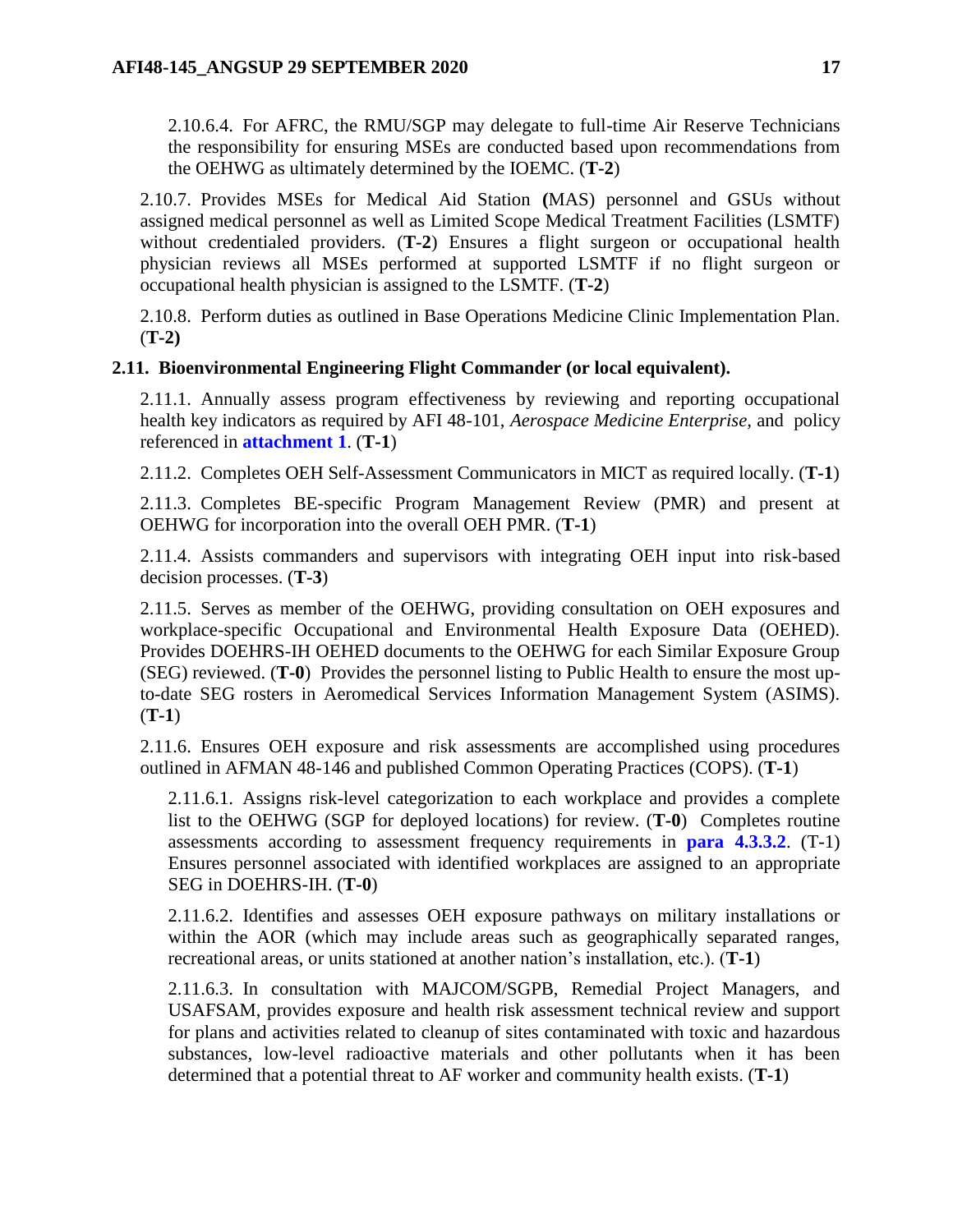2.10.6.4. For AFRC, the RMU/SGP may delegate to full-time Air Reserve Technicians the responsibility for ensuring MSEs are conducted based upon recommendations from the OEHWG as ultimately determined by the IOEMC. (**T-2**)

2.10.7. Provides MSEs for Medical Aid Station **(**MAS) personnel and GSUs without assigned medical personnel as well as Limited Scope Medical Treatment Facilities (LSMTF) without credentialed providers. **(T-2)** Ensures a flight surgeon or occupational health physician reviews all MSEs performed at supported LSMTF if no flight surgeon or occupational health physician is assigned to the LSMTF. (**T-2**)

2.10.8. Perform duties as outlined in Base Operations Medicine Clinic Implementation Plan. (**T-2)**

# <span id="page-16-0"></span>**2.11. Bioenvironmental Engineering Flight Commander (or local equivalent).**

2.11.1. Annually assess program effectiveness by reviewing and reporting occupational health key indicators as required by AFI 48-101, *Aerospace Medicine Enterprise,* and policy referenced in **[attachment](#page-36-0) 1**. (**T-1**)

2.11.2. Completes OEH Self-Assessment Communicators in MICT as required locally. (**T-1**)

2.11.3. Completes BE-specific Program Management Review (PMR) and present at OEHWG for incorporation into the overall OEH PMR. (**T-1**)

2.11.4. Assists commanders and supervisors with integrating OEH input into risk-based decision processes. (**T-3**)

2.11.5. Serves as member of the OEHWG, providing consultation on OEH exposures and workplace-specific Occupational and Environmental Health Exposure Data (OEHED). Provides DOEHRS-IH OEHED documents to the OEHWG for each Similar Exposure Group (SEG) reviewed. (**T-0**) Provides the personnel listing to Public Health to ensure the most upto-date SEG rosters in Aeromedical Services Information Management System (ASIMS). (**T-1**)

2.11.6. Ensures OEH exposure and risk assessments are accomplished using procedures outlined in AFMAN 48-146 and published Common Operating Practices (COPS). (**T-1**)

2.11.6.1. Assigns risk-level categorization to each workplace and provides a complete list to the OEHWG (SGP for deployed locations) for review. (**T-0**) Completes routine assessments according to assessment frequency requirements in **para 4.3.3.2**. (T-1) Ensures personnel associated with identified workplaces are assigned to an appropriate SEG in DOEHRS-IH. (**T-0**)

2.11.6.2. Identifies and assesses OEH exposure pathways on military installations or within the AOR (which may include areas such as geographically separated ranges, recreational areas, or units stationed at another nation's installation, etc.). (**T-1**)

2.11.6.3. In consultation with MAJCOM/SGPB, Remedial Project Managers, and USAFSAM, provides exposure and health risk assessment technical review and support for plans and activities related to cleanup of sites contaminated with toxic and hazardous substances, low-level radioactive materials and other pollutants when it has been determined that a potential threat to AF worker and community health exists. (**T-1**)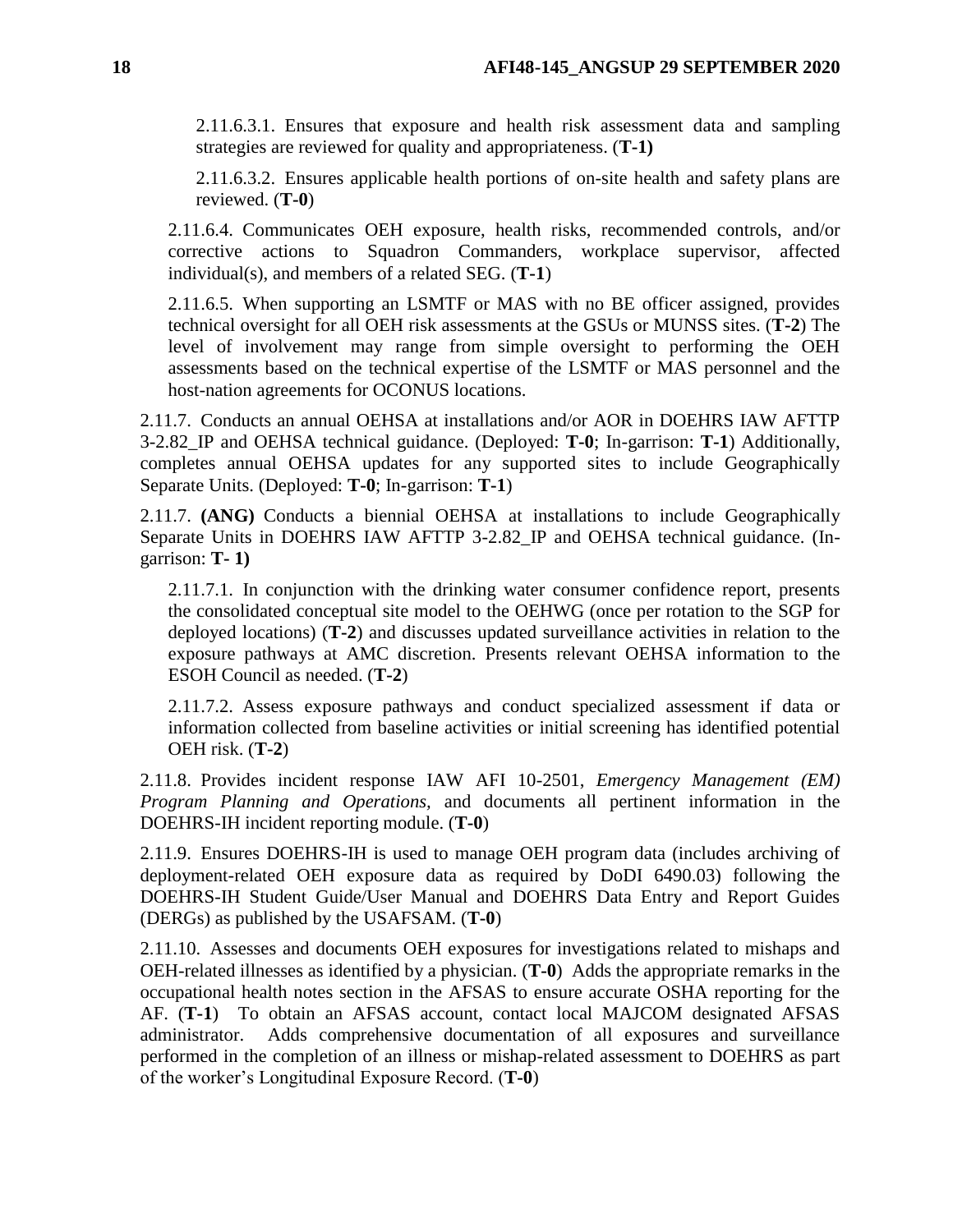2.11.6.3.1. Ensures that exposure and health risk assessment data and sampling strategies are reviewed for quality and appropriateness. (**T-1)**

2.11.6.3.2. Ensures applicable health portions of on-site health and safety plans are reviewed. (**T-0**)

2.11.6.4. Communicates OEH exposure, health risks, recommended controls, and/or corrective actions to Squadron Commanders, workplace supervisor, affected individual(s), and members of a related SEG. (**T-1**)

2.11.6.5. When supporting an LSMTF or MAS with no BE officer assigned, provides technical oversight for all OEH risk assessments at the GSUs or MUNSS sites. (**T-2**) The level of involvement may range from simple oversight to performing the OEH assessments based on the technical expertise of the LSMTF or MAS personnel and the host-nation agreements for OCONUS locations.

2.11.7. Conducts an annual OEHSA at installations and/or AOR in DOEHRS IAW AFTTP 3-2.82\_IP and OEHSA technical guidance. (Deployed: **T-0**; In-garrison: **T-1**) Additionally, completes annual OEHSA updates for any supported sites to include Geographically Separate Units. (Deployed: **T-0**; In-garrison: **T-1**)

2.11.7. **(ANG)** Conducts a biennial OEHSA at installations to include Geographically Separate Units in DOEHRS IAW AFTTP 3-2.82\_IP and OEHSA technical guidance. (Ingarrison: **T- 1)**

2.11.7.1. In conjunction with the drinking water consumer confidence report, presents the consolidated conceptual site model to the OEHWG (once per rotation to the SGP for deployed locations) (**T-2**) and discusses updated surveillance activities in relation to the exposure pathways at AMC discretion. Presents relevant OEHSA information to the ESOH Council as needed. (**T-2**)

2.11.7.2. Assess exposure pathways and conduct specialized assessment if data or information collected from baseline activities or initial screening has identified potential OEH risk. (**T-2**)

2.11.8. Provides incident response IAW AFI 10-2501, *Emergency Management (EM) Program Planning and Operations,* and documents all pertinent information in the DOEHRS-IH incident reporting module. (**T-0**)

2.11.9. Ensures DOEHRS-IH is used to manage OEH program data (includes archiving of deployment-related OEH exposure data as required by DoDI 6490.03) following the DOEHRS-IH Student Guide/User Manual and DOEHRS Data Entry and Report Guides (DERGs) as published by the USAFSAM. (**T-0**)

2.11.10. Assesses and documents OEH exposures for investigations related to mishaps and OEH-related illnesses as identified by a physician. (**T-0**) Adds the appropriate remarks in the occupational health notes section in the AFSAS to ensure accurate OSHA reporting for the AF. (**T-1**) To obtain an AFSAS account, contact local MAJCOM designated AFSAS administrator. Adds comprehensive documentation of all exposures and surveillance performed in the completion of an illness or mishap-related assessment to DOEHRS as part of the worker's Longitudinal Exposure Record. (**T-0**)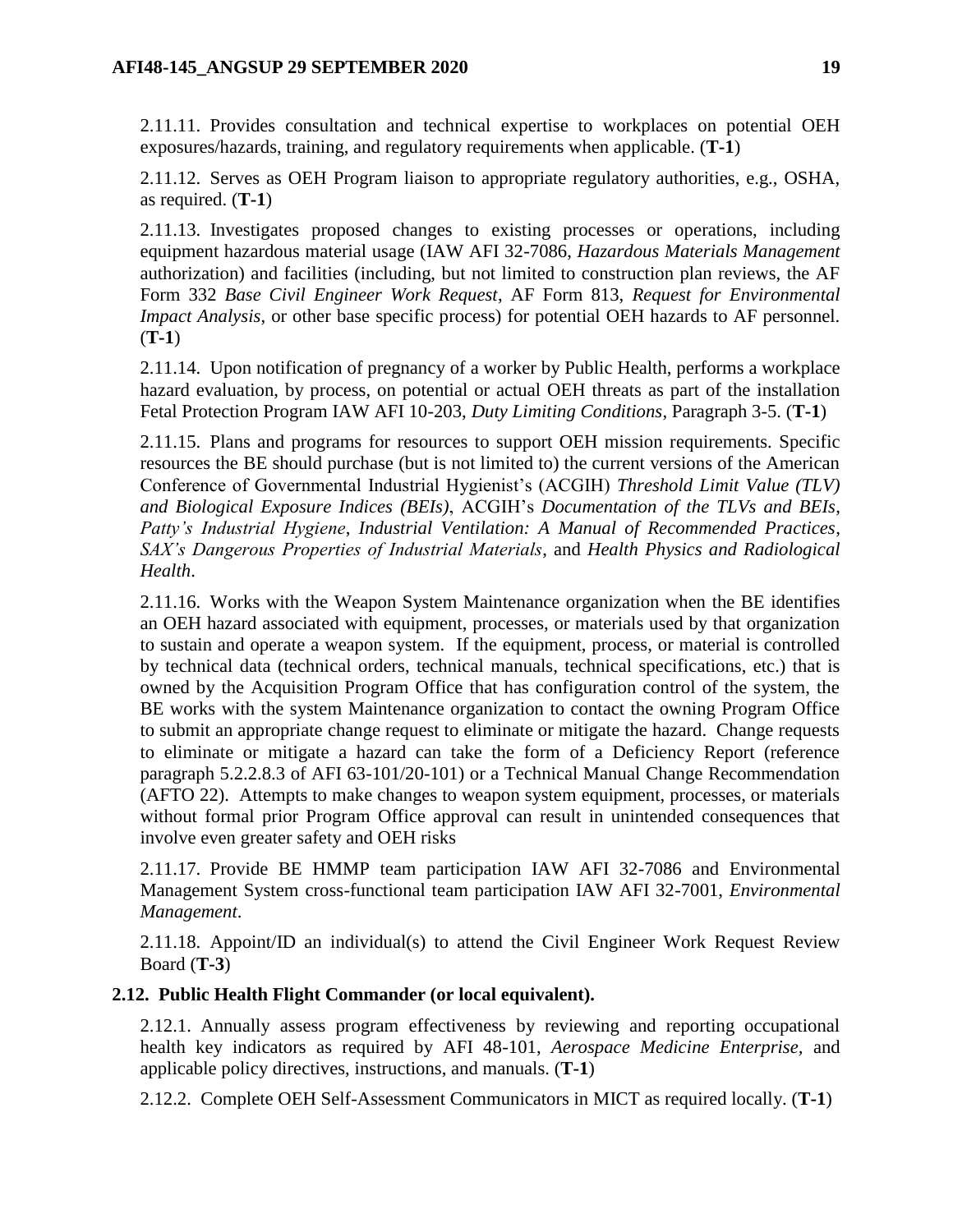2.11.11. Provides consultation and technical expertise to workplaces on potential OEH exposures/hazards, training, and regulatory requirements when applicable. (**T-1**)

2.11.12. Serves as OEH Program liaison to appropriate regulatory authorities, e.g., OSHA, as required. (**T-1**)

2.11.13. Investigates proposed changes to existing processes or operations, including equipment hazardous material usage (IAW AFI 32-7086, *Hazardous Materials Management* authorization) and facilities (including, but not limited to construction plan reviews, the AF Form 332 *Base Civil Engineer Work Request*, AF Form 813, *Request for Environmental Impact Analysis*, or other base specific process) for potential OEH hazards to AF personnel. (**T-1**)

2.11.14. Upon notification of pregnancy of a worker by Public Health, performs a workplace hazard evaluation, by process, on potential or actual OEH threats as part of the installation Fetal Protection Program IAW AFI 10-203, *Duty Limiting Conditions*, Paragraph 3-5. (**T-1**)

2.11.15. Plans and programs for resources to support OEH mission requirements. Specific resources the BE should purchase (but is not limited to) the current versions of the American Conference of Governmental Industrial Hygienist's (ACGIH) *Threshold Limit Value (TLV) and Biological Exposure Indices (BEIs)*, ACGIH's *Documentation of the TLVs and BEIs*, *Patty's Industrial Hygiene*, *Industrial Ventilation: A Manual of Recommended Practices*, *SAX's Dangerous Properties of Industrial Materials*, and *Health Physics and Radiological Health*.

2.11.16. Works with the Weapon System Maintenance organization when the BE identifies an OEH hazard associated with equipment, processes, or materials used by that organization to sustain and operate a weapon system. If the equipment, process, or material is controlled by technical data (technical orders, technical manuals, technical specifications, etc.) that is owned by the Acquisition Program Office that has configuration control of the system, the BE works with the system Maintenance organization to contact the owning Program Office to submit an appropriate change request to eliminate or mitigate the hazard. Change requests to eliminate or mitigate a hazard can take the form of a Deficiency Report (reference paragraph 5.2.2.8.3 of AFI 63-101/20-101) or a Technical Manual Change Recommendation (AFTO 22). Attempts to make changes to weapon system equipment, processes, or materials without formal prior Program Office approval can result in unintended consequences that involve even greater safety and OEH risks

2.11.17. Provide BE HMMP team participation IAW AFI 32-7086 and Environmental Management System cross-functional team participation IAW AFI 32-7001, *Environmental Management*.

2.11.18. Appoint/ID an individual(s) to attend the Civil Engineer Work Request Review Board (**T-3**)

# <span id="page-18-0"></span>**2.12. Public Health Flight Commander (or local equivalent).**

2.12.1. Annually assess program effectiveness by reviewing and reporting occupational health key indicators as required by AFI 48-101, *Aerospace Medicine Enterprise,* and applicable policy directives, instructions, and manuals. (**T-1**)

2.12.2. Complete OEH Self-Assessment Communicators in MICT as required locally. (**T-1**)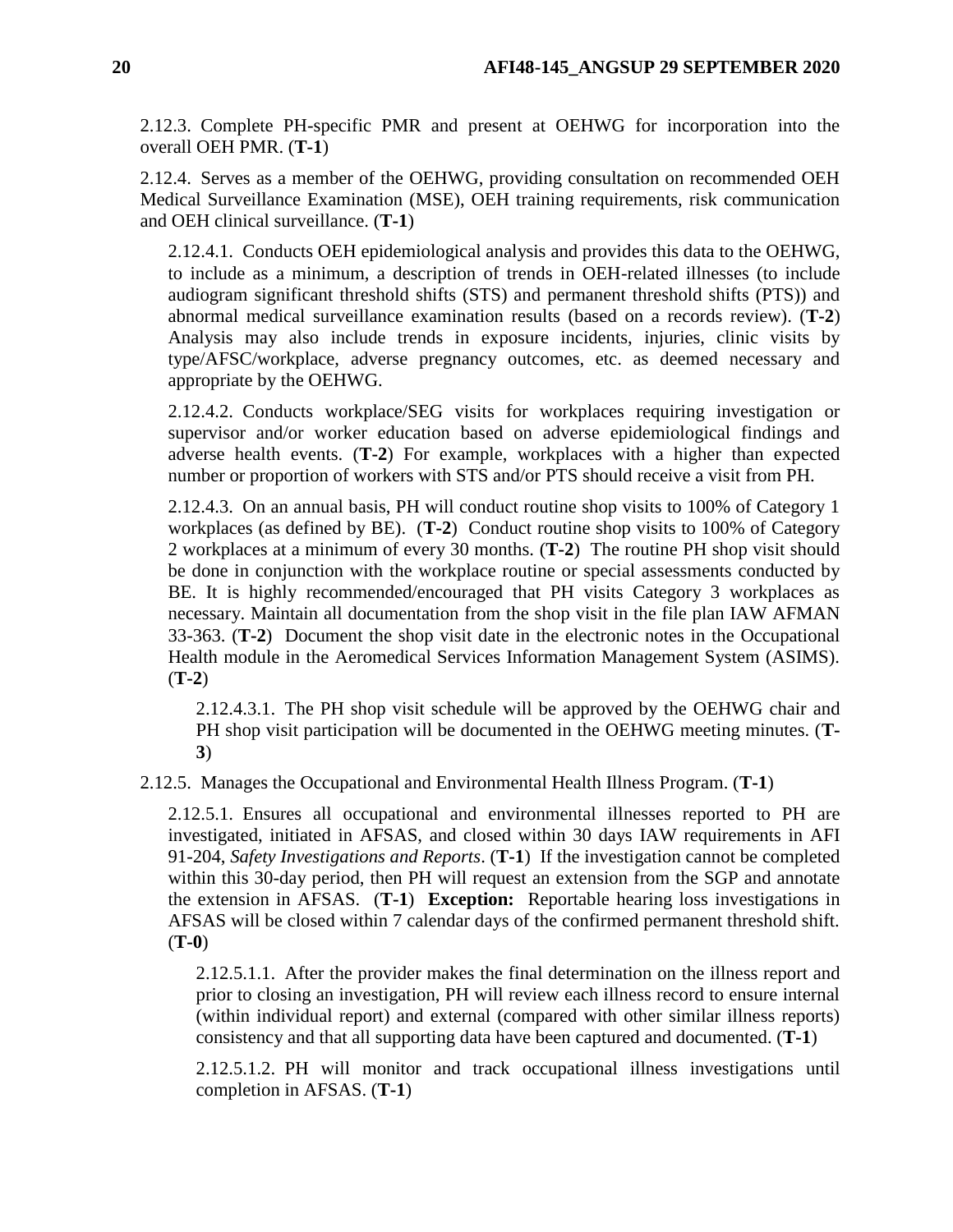2.12.3. Complete PH-specific PMR and present at OEHWG for incorporation into the overall OEH PMR. (**T-1**)

2.12.4. Serves as a member of the OEHWG, providing consultation on recommended OEH Medical Surveillance Examination (MSE), OEH training requirements, risk communication and OEH clinical surveillance. (**T-1**)

2.12.4.1. Conducts OEH epidemiological analysis and provides this data to the OEHWG, to include as a minimum, a description of trends in OEH-related illnesses (to include audiogram significant threshold shifts (STS) and permanent threshold shifts (PTS)) and abnormal medical surveillance examination results (based on a records review). (**T-2**) Analysis may also include trends in exposure incidents, injuries, clinic visits by type/AFSC/workplace, adverse pregnancy outcomes, etc. as deemed necessary and appropriate by the OEHWG.

2.12.4.2. Conducts workplace/SEG visits for workplaces requiring investigation or supervisor and/or worker education based on adverse epidemiological findings and adverse health events. (**T-2**) For example, workplaces with a higher than expected number or proportion of workers with STS and/or PTS should receive a visit from PH.

2.12.4.3. On an annual basis, PH will conduct routine shop visits to 100% of Category 1 workplaces (as defined by BE). (**T-2**) Conduct routine shop visits to 100% of Category 2 workplaces at a minimum of every 30 months. (**T-2**) The routine PH shop visit should be done in conjunction with the workplace routine or special assessments conducted by BE. It is highly recommended/encouraged that PH visits Category 3 workplaces as necessary. Maintain all documentation from the shop visit in the file plan IAW AFMAN 33-363. (**T-2**) Document the shop visit date in the electronic notes in the Occupational Health module in the Aeromedical Services Information Management System (ASIMS). (**T-2**)

2.12.4.3.1. The PH shop visit schedule will be approved by the OEHWG chair and PH shop visit participation will be documented in the OEHWG meeting minutes. (**T-3**)

2.12.5. Manages the Occupational and Environmental Health Illness Program. (**T-1**)

2.12.5.1. Ensures all occupational and environmental illnesses reported to PH are investigated, initiated in AFSAS, and closed within 30 days IAW requirements in AFI 91-204, *Safety Investigations and Reports*. (**T-1**) If the investigation cannot be completed within this 30-day period, then PH will request an extension from the SGP and annotate the extension in AFSAS. (**T-1**) **Exception:** Reportable hearing loss investigations in AFSAS will be closed within 7 calendar days of the confirmed permanent threshold shift. (**T-0**)

2.12.5.1.1. After the provider makes the final determination on the illness report and prior to closing an investigation, PH will review each illness record to ensure internal (within individual report) and external (compared with other similar illness reports) consistency and that all supporting data have been captured and documented. (**T-1**)

2.12.5.1.2. PH will monitor and track occupational illness investigations until completion in AFSAS. (**T-1**)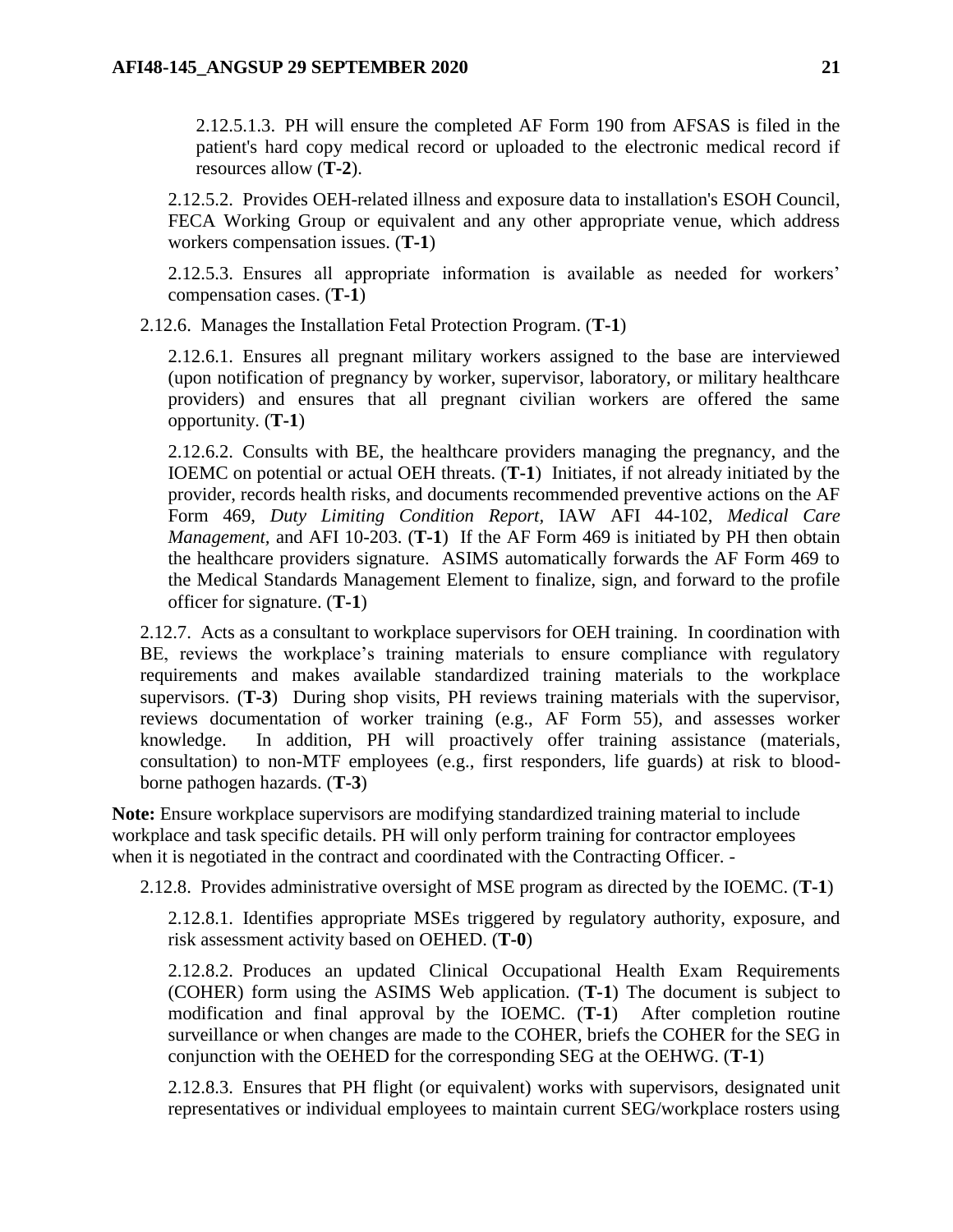2.12.5.1.3. PH will ensure the completed AF Form 190 from AFSAS is filed in the patient's hard copy medical record or uploaded to the electronic medical record if resources allow (**T-2**).

2.12.5.2. Provides OEH-related illness and exposure data to installation's ESOH Council, FECA Working Group or equivalent and any other appropriate venue, which address workers compensation issues. (**T-1**)

2.12.5.3. Ensures all appropriate information is available as needed for workers' compensation cases. (**T-1**)

2.12.6. Manages the Installation Fetal Protection Program. (**T-1**)

2.12.6.1. Ensures all pregnant military workers assigned to the base are interviewed (upon notification of pregnancy by worker, supervisor, laboratory, or military healthcare providers) and ensures that all pregnant civilian workers are offered the same opportunity. (**T-1**)

2.12.6.2. Consults with BE, the healthcare providers managing the pregnancy, and the IOEMC on potential or actual OEH threats. (**T-1**) Initiates, if not already initiated by the provider, records health risks, and documents recommended preventive actions on the AF Form 469, *Duty Limiting Condition Report,* IAW AFI 44-102, *Medical Care Management,* and AFI 10-203. (**T-1**) If the AF Form 469 is initiated by PH then obtain the healthcare providers signature. ASIMS automatically forwards the AF Form 469 to the Medical Standards Management Element to finalize, sign, and forward to the profile officer for signature. (**T-1**)

2.12.7. Acts as a consultant to workplace supervisors for OEH training. In coordination with BE, reviews the workplace's training materials to ensure compliance with regulatory requirements and makes available standardized training materials to the workplace supervisors. (**T-3**) During shop visits, PH reviews training materials with the supervisor, reviews documentation of worker training (e.g., AF Form 55), and assesses worker knowledge. In addition, PH will proactively offer training assistance (materials, consultation) to non-MTF employees (e.g., first responders, life guards) at risk to bloodborne pathogen hazards. (**T-3**)

**Note:** Ensure workplace supervisors are modifying standardized training material to include workplace and task specific details. PH will only perform training for contractor employees when it is negotiated in the contract and coordinated with the Contracting Officer. -

2.12.8. Provides administrative oversight of MSE program as directed by the IOEMC. (**T-1**)

2.12.8.1. Identifies appropriate MSEs triggered by regulatory authority, exposure, and risk assessment activity based on OEHED. (**T-0**)

2.12.8.2. Produces an updated Clinical Occupational Health Exam Requirements (COHER) form using the ASIMS Web application. (**T-1**) The document is subject to modification and final approval by the IOEMC. (**T-1**) After completion routine surveillance or when changes are made to the COHER, briefs the COHER for the SEG in conjunction with the OEHED for the corresponding SEG at the OEHWG. (**T-1**)

<span id="page-20-0"></span>2.12.8.3. Ensures that PH flight (or equivalent) works with supervisors, designated unit representatives or individual employees to maintain current SEG/workplace rosters using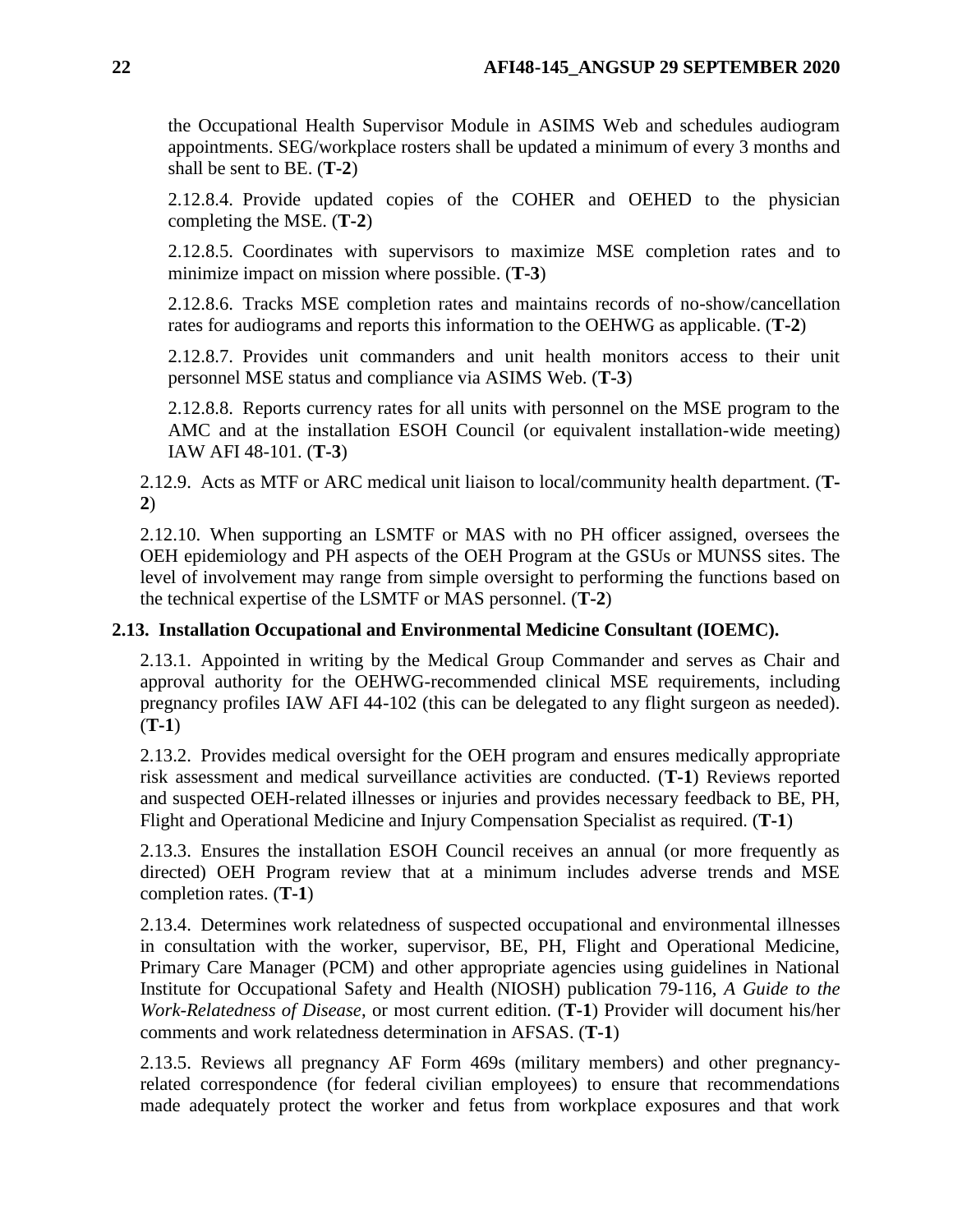the Occupational Health Supervisor Module in ASIMS Web and schedules audiogram appointments. SEG/workplace rosters shall be updated a minimum of every 3 months and shall be sent to BE. (**T-2**)

2.12.8.4. Provide updated copies of the COHER and OEHED to the physician completing the MSE. (**T-2**)

2.12.8.5. Coordinates with supervisors to maximize MSE completion rates and to minimize impact on mission where possible. (**T-3**)

2.12.8.6. Tracks MSE completion rates and maintains records of no-show/cancellation rates for audiograms and reports this information to the OEHWG as applicable. (**T-2**)

2.12.8.7. Provides unit commanders and unit health monitors access to their unit personnel MSE status and compliance via ASIMS Web. (**T-3**)

2.12.8.8. Reports currency rates for all units with personnel on the MSE program to the AMC and at the installation ESOH Council (or equivalent installation-wide meeting) IAW AFI 48-101. (**T-3**)

2.12.9. Acts as MTF or ARC medical unit liaison to local/community health department. (**T-2**)

2.12.10. When supporting an LSMTF or MAS with no PH officer assigned, oversees the OEH epidemiology and PH aspects of the OEH Program at the GSUs or MUNSS sites. The level of involvement may range from simple oversight to performing the functions based on the technical expertise of the LSMTF or MAS personnel. (**T-2**)

# <span id="page-21-0"></span>**2.13. Installation Occupational and Environmental Medicine Consultant (IOEMC).**

2.13.1. Appointed in writing by the Medical Group Commander and serves as Chair and approval authority for the OEHWG-recommended clinical MSE requirements, including pregnancy profiles IAW AFI 44-102 (this can be delegated to any flight surgeon as needed). (**T-1**)

2.13.2. Provides medical oversight for the OEH program and ensures medically appropriate risk assessment and medical surveillance activities are conducted. (**T-1**) Reviews reported and suspected OEH-related illnesses or injuries and provides necessary feedback to BE, PH, Flight and Operational Medicine and Injury Compensation Specialist as required. (**T-1**)

2.13.3. Ensures the installation ESOH Council receives an annual (or more frequently as directed) OEH Program review that at a minimum includes adverse trends and MSE completion rates. (**T-1**)

2.13.4. Determines work relatedness of suspected occupational and environmental illnesses in consultation with the worker, supervisor, BE, PH, Flight and Operational Medicine, Primary Care Manager (PCM) and other appropriate agencies using guidelines in National Institute for Occupational Safety and Health (NIOSH) publication 79-116, *A Guide to the Work-Relatedness of Disease*, or most current edition*.* (**T-1**) Provider will document his/her comments and work relatedness determination in AFSAS. (**T-1**)

2.13.5. Reviews all pregnancy AF Form 469s (military members) and other pregnancyrelated correspondence (for federal civilian employees) to ensure that recommendations made adequately protect the worker and fetus from workplace exposures and that work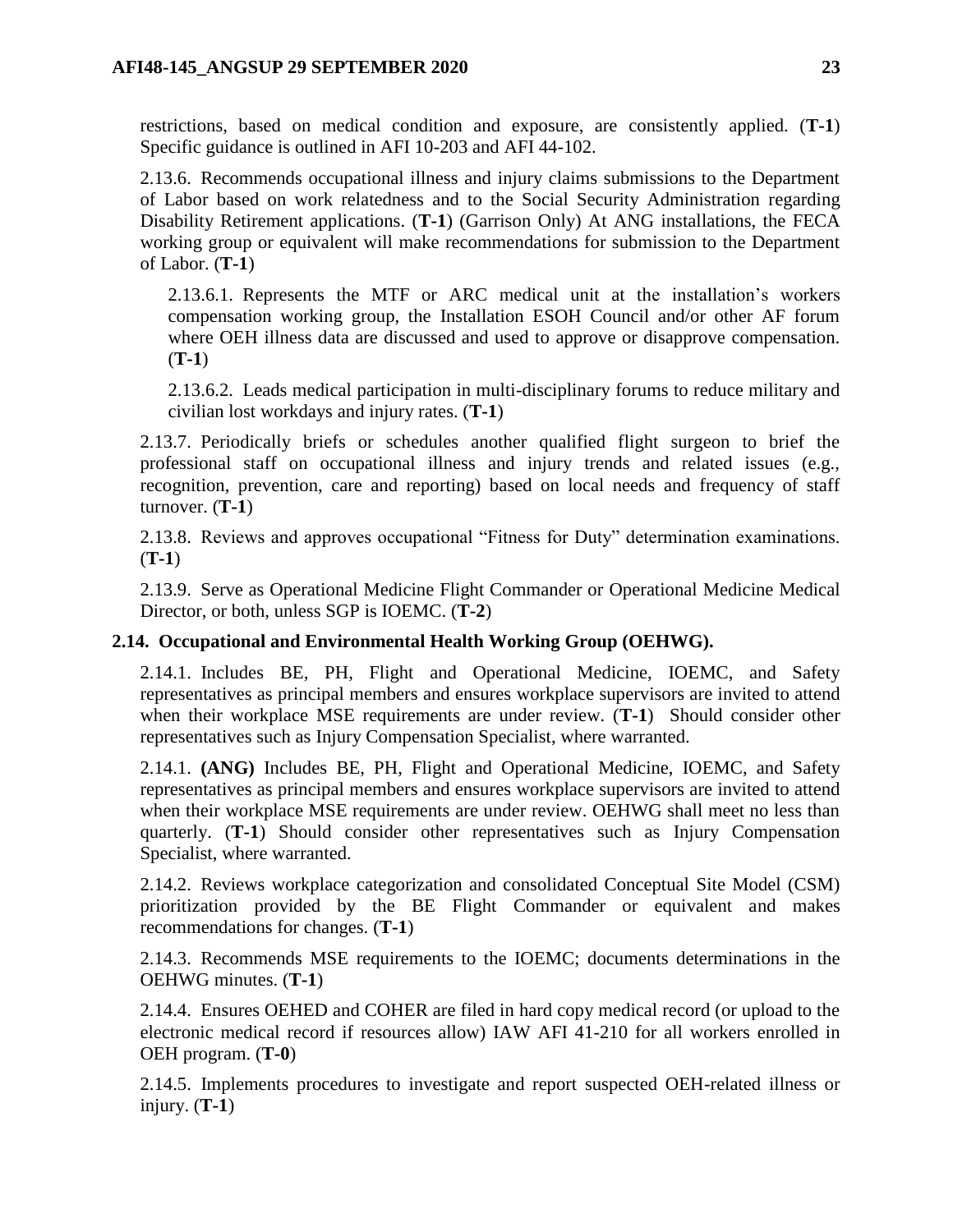restrictions, based on medical condition and exposure, are consistently applied. (**T-1**) Specific guidance is outlined in AFI 10-203 and AFI 44-102.

2.13.6. Recommends occupational illness and injury claims submissions to the Department of Labor based on work relatedness and to the Social Security Administration regarding Disability Retirement applications. (**T-1**) (Garrison Only) At ANG installations, the FECA working group or equivalent will make recommendations for submission to the Department of Labor. (**T-1**)

2.13.6.1. Represents the MTF or ARC medical unit at the installation's workers compensation working group, the Installation ESOH Council and/or other AF forum where OEH illness data are discussed and used to approve or disapprove compensation. (**T-1**)

2.13.6.2. Leads medical participation in multi-disciplinary forums to reduce military and civilian lost workdays and injury rates. (**T-1**)

2.13.7. Periodically briefs or schedules another qualified flight surgeon to brief the professional staff on occupational illness and injury trends and related issues (e.g., recognition, prevention, care and reporting) based on local needs and frequency of staff turnover. (**T-1**)

2.13.8. Reviews and approves occupational "Fitness for Duty" determination examinations. (**T-1**)

2.13.9. Serve as Operational Medicine Flight Commander or Operational Medicine Medical Director, or both, unless SGP is IOEMC. (**T-2**)

# <span id="page-22-0"></span>**2.14. Occupational and Environmental Health Working Group (OEHWG).**

2.14.1. Includes BE, PH, Flight and Operational Medicine, IOEMC, and Safety representatives as principal members and ensures workplace supervisors are invited to attend when their workplace MSE requirements are under review. (**T-1**) Should consider other representatives such as Injury Compensation Specialist, where warranted.

2.14.1. **(ANG)** Includes BE, PH, Flight and Operational Medicine, IOEMC, and Safety representatives as principal members and ensures workplace supervisors are invited to attend when their workplace MSE requirements are under review. OEHWG shall meet no less than quarterly. (**T-1**) Should consider other representatives such as Injury Compensation Specialist, where warranted.

2.14.2. Reviews workplace categorization and consolidated Conceptual Site Model (CSM) prioritization provided by the BE Flight Commander or equivalent and makes recommendations for changes. (**T-1**)

2.14.3. Recommends MSE requirements to the IOEMC; documents determinations in the OEHWG minutes. (**T-1**)

2.14.4. Ensures OEHED and COHER are filed in hard copy medical record (or upload to the electronic medical record if resources allow) IAW AFI 41-210 for all workers enrolled in OEH program. (**T-0**)

2.14.5. Implements procedures to investigate and report suspected OEH-related illness or injury. (**T-1**)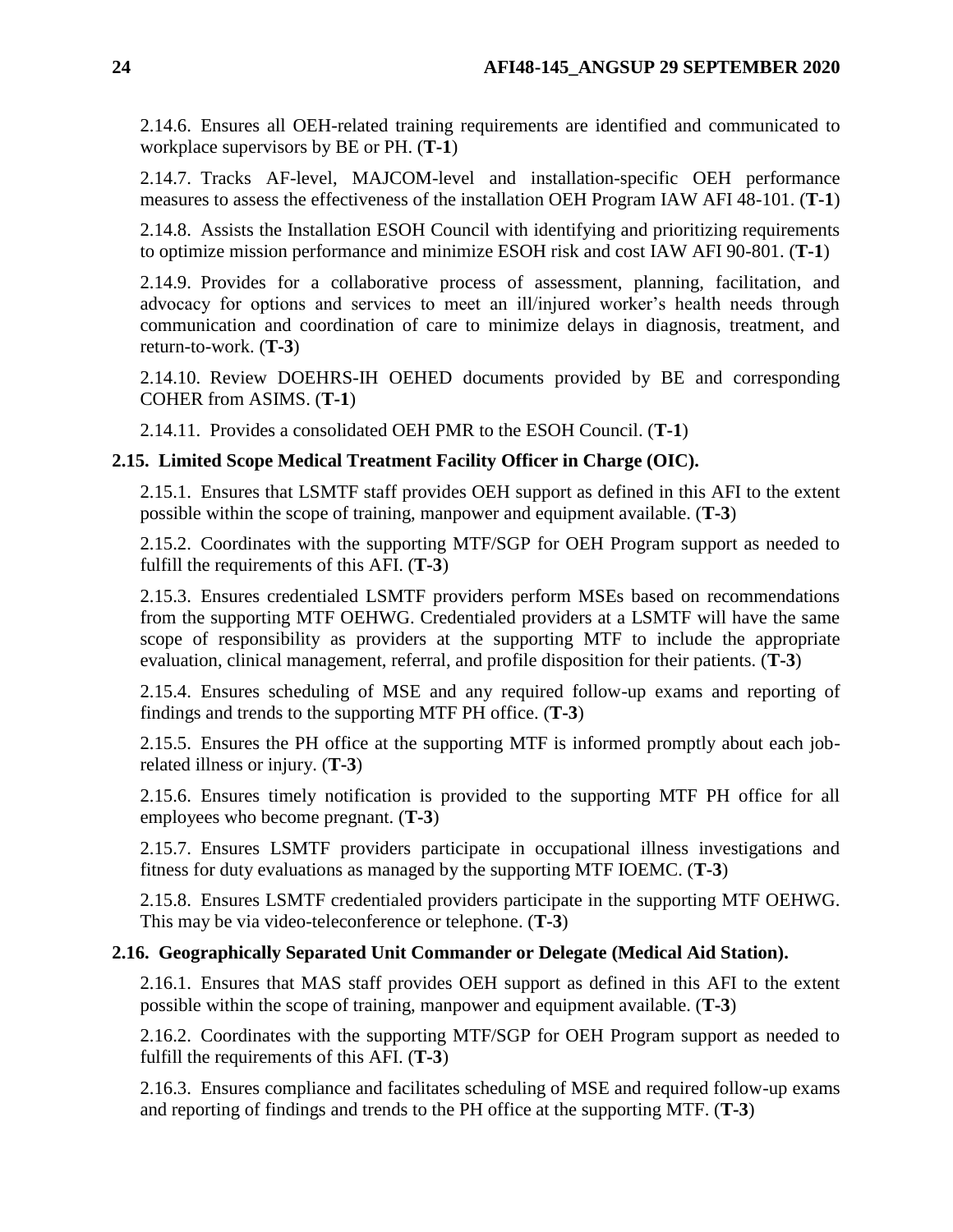2.14.6. Ensures all OEH-related training requirements are identified and communicated to workplace supervisors by BE or PH. (**T-1**)

2.14.7. Tracks AF-level, MAJCOM-level and installation-specific OEH performance measures to assess the effectiveness of the installation OEH Program IAW AFI 48-101. (**T-1**)

2.14.8. Assists the Installation ESOH Council with identifying and prioritizing requirements to optimize mission performance and minimize ESOH risk and cost IAW AFI 90-801. (**T-1**)

2.14.9. Provides for a collaborative process of assessment, planning, facilitation, and advocacy for options and services to meet an ill/injured worker's health needs through communication and coordination of care to minimize delays in diagnosis, treatment, and return-to-work. (**T-3**)

2.14.10. Review DOEHRS-IH OEHED documents provided by BE and corresponding COHER from ASIMS. (**T-1**)

2.14.11. Provides a consolidated OEH PMR to the ESOH Council. (**T-1**)

# <span id="page-23-0"></span>**2.15. Limited Scope Medical Treatment Facility Officer in Charge (OIC).**

2.15.1. Ensures that LSMTF staff provides OEH support as defined in this AFI to the extent possible within the scope of training, manpower and equipment available. (**T-3**)

2.15.2. Coordinates with the supporting MTF/SGP for OEH Program support as needed to fulfill the requirements of this AFI. (**T-3**)

2.15.3. Ensures credentialed LSMTF providers perform MSEs based on recommendations from the supporting MTF OEHWG. Credentialed providers at a LSMTF will have the same scope of responsibility as providers at the supporting MTF to include the appropriate evaluation, clinical management, referral, and profile disposition for their patients. (**T-3**)

2.15.4. Ensures scheduling of MSE and any required follow-up exams and reporting of findings and trends to the supporting MTF PH office. (**T-3**)

2.15.5. Ensures the PH office at the supporting MTF is informed promptly about each jobrelated illness or injury. (**T-3**)

2.15.6. Ensures timely notification is provided to the supporting MTF PH office for all employees who become pregnant. (**T-3**)

2.15.7. Ensures LSMTF providers participate in occupational illness investigations and fitness for duty evaluations as managed by the supporting MTF IOEMC. (**T-3**)

2.15.8. Ensures LSMTF credentialed providers participate in the supporting MTF OEHWG. This may be via video-teleconference or telephone. (**T-3**)

# <span id="page-23-1"></span>**2.16. Geographically Separated Unit Commander or Delegate (Medical Aid Station).**

2.16.1. Ensures that MAS staff provides OEH support as defined in this AFI to the extent possible within the scope of training, manpower and equipment available. (**T-3**)

2.16.2. Coordinates with the supporting MTF/SGP for OEH Program support as needed to fulfill the requirements of this AFI. (**T-3**)

2.16.3. Ensures compliance and facilitates scheduling of MSE and required follow-up exams and reporting of findings and trends to the PH office at the supporting MTF. (**T-3**)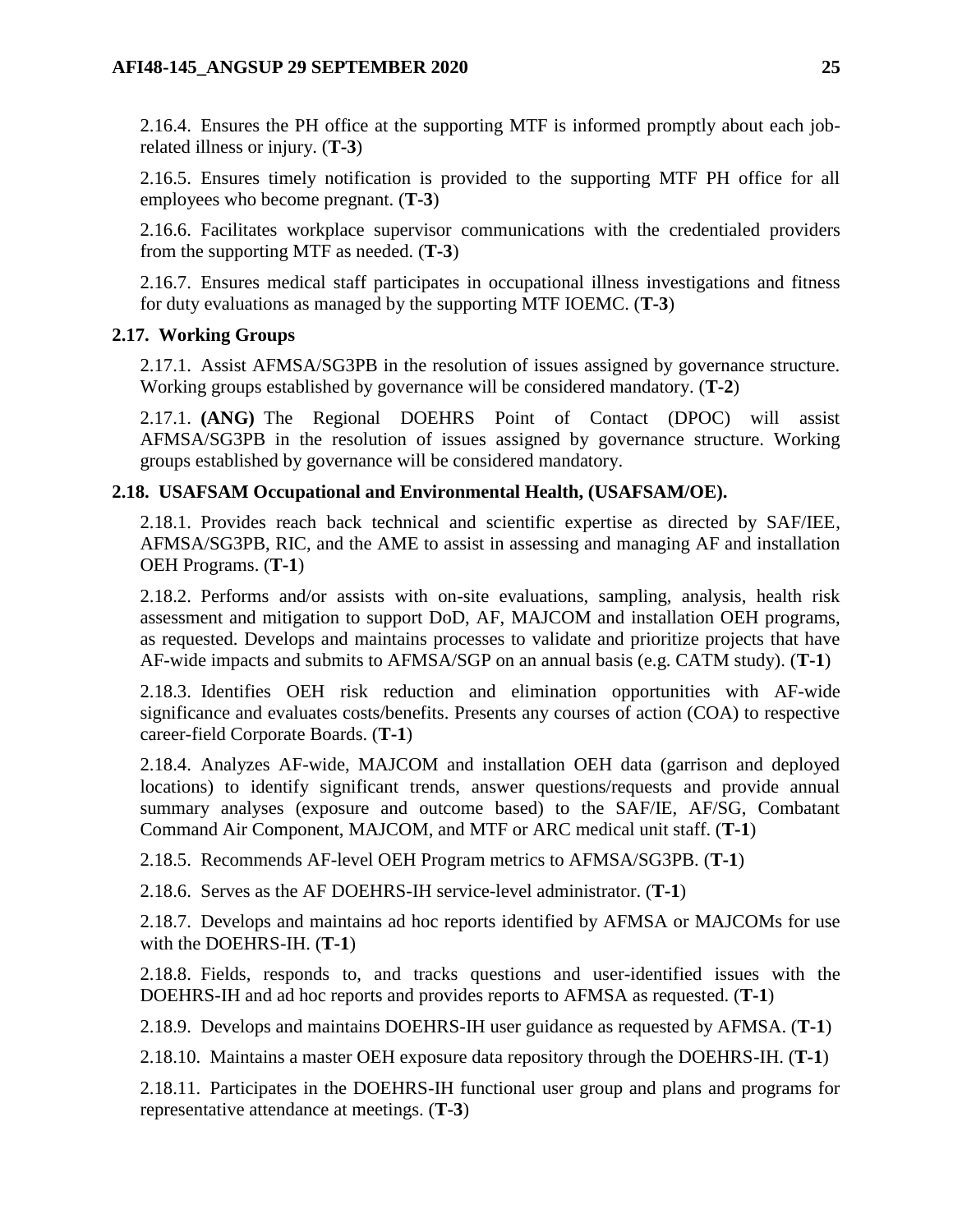2.16.4. Ensures the PH office at the supporting MTF is informed promptly about each jobrelated illness or injury. (**T-3**)

2.16.5. Ensures timely notification is provided to the supporting MTF PH office for all employees who become pregnant. (**T-3**)

2.16.6. Facilitates workplace supervisor communications with the credentialed providers from the supporting MTF as needed. (**T-3**)

2.16.7. Ensures medical staff participates in occupational illness investigations and fitness for duty evaluations as managed by the supporting MTF IOEMC. (**T-3**)

# <span id="page-24-0"></span>**2.17. Working Groups**

2.17.1. Assist AFMSA/SG3PB in the resolution of issues assigned by governance structure. Working groups established by governance will be considered mandatory. (**T-2**)

2.17.1. **(ANG)** The Regional DOEHRS Point of Contact (DPOC) will assist AFMSA/SG3PB in the resolution of issues assigned by governance structure. Working groups established by governance will be considered mandatory.

# <span id="page-24-1"></span>**2.18. USAFSAM Occupational and Environmental Health, (USAFSAM/OE).**

2.18.1. Provides reach back technical and scientific expertise as directed by SAF/IEE, AFMSA/SG3PB, RIC, and the AME to assist in assessing and managing AF and installation OEH Programs. (**T-1**)

2.18.2. Performs and/or assists with on-site evaluations, sampling, analysis, health risk assessment and mitigation to support DoD, AF, MAJCOM and installation OEH programs, as requested. Develops and maintains processes to validate and prioritize projects that have AF-wide impacts and submits to AFMSA/SGP on an annual basis (e.g. CATM study). (**T-1**)

2.18.3. Identifies OEH risk reduction and elimination opportunities with AF-wide significance and evaluates costs/benefits. Presents any courses of action (COA) to respective career-field Corporate Boards. (**T-1**)

2.18.4. Analyzes AF-wide, MAJCOM and installation OEH data (garrison and deployed locations) to identify significant trends, answer questions/requests and provide annual summary analyses (exposure and outcome based) to the SAF/IE, AF/SG, Combatant Command Air Component, MAJCOM, and MTF or ARC medical unit staff. (**T-1**)

2.18.5. Recommends AF-level OEH Program metrics to AFMSA/SG3PB. (**T-1**)

2.18.6. Serves as the AF DOEHRS-IH service-level administrator. (**T-1**)

2.18.7. Develops and maintains ad hoc reports identified by AFMSA or MAJCOMs for use with the DOEHRS-IH. (**T-1**)

2.18.8. Fields, responds to, and tracks questions and user-identified issues with the DOEHRS-IH and ad hoc reports and provides reports to AFMSA as requested. (**T-1**)

2.18.9. Develops and maintains DOEHRS-IH user guidance as requested by AFMSA. (**T-1**)

2.18.10. Maintains a master OEH exposure data repository through the DOEHRS-IH. (**T-1**)

2.18.11. Participates in the DOEHRS-IH functional user group and plans and programs for representative attendance at meetings. (**T-3**)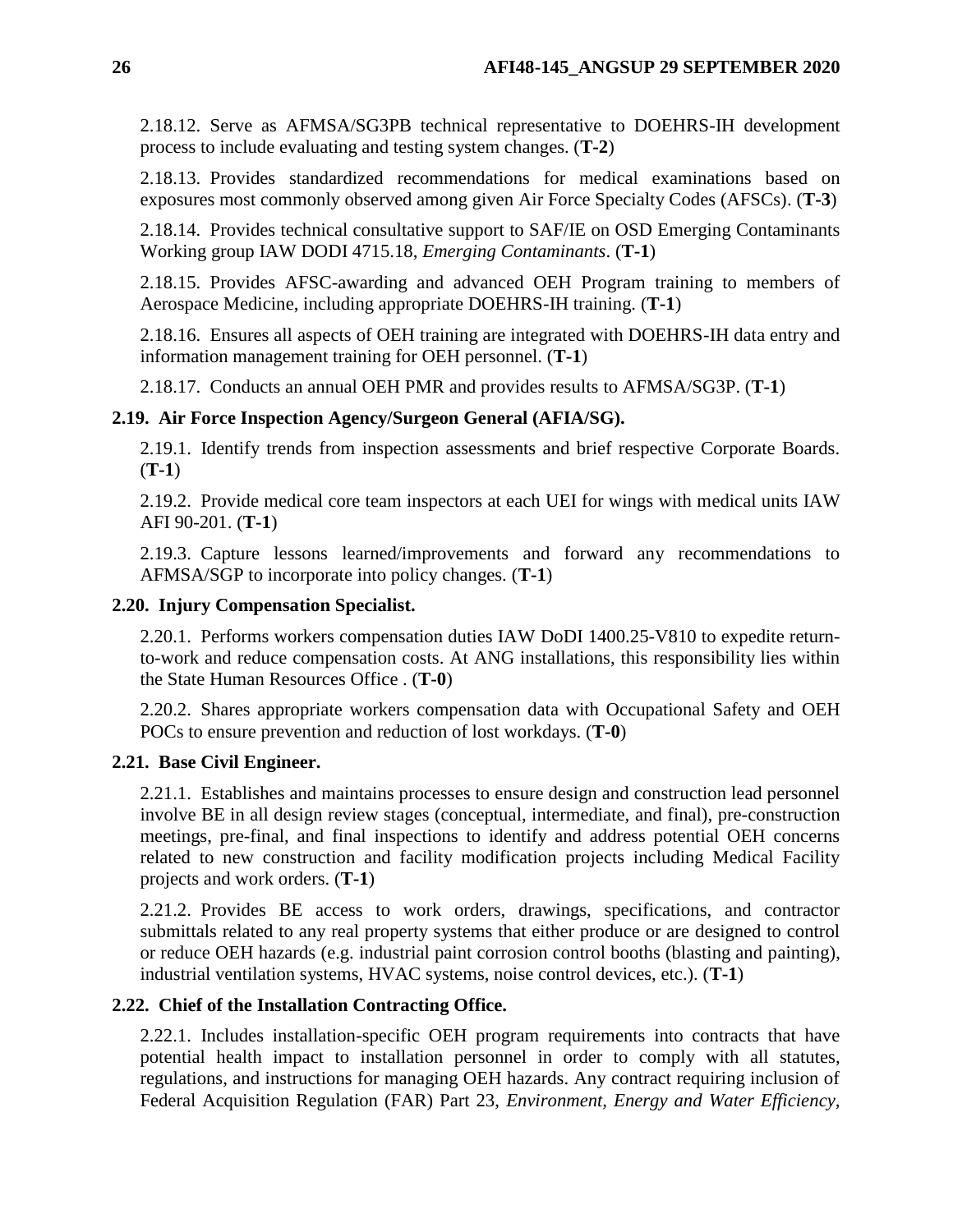2.18.12. Serve as AFMSA/SG3PB technical representative to DOEHRS-IH development process to include evaluating and testing system changes. (**T-2**)

2.18.13. Provides standardized recommendations for medical examinations based on exposures most commonly observed among given Air Force Specialty Codes (AFSCs). (**T-3**)

2.18.14. Provides technical consultative support to SAF/IE on OSD Emerging Contaminants Working group IAW DODI 4715.18, *Emerging Contaminants*. (**T-1**)

2.18.15. Provides AFSC-awarding and advanced OEH Program training to members of Aerospace Medicine, including appropriate DOEHRS-IH training. (**T-1**)

2.18.16. Ensures all aspects of OEH training are integrated with DOEHRS-IH data entry and information management training for OEH personnel. (**T-1**)

2.18.17. Conducts an annual OEH PMR and provides results to AFMSA/SG3P. (**T-1**)

# <span id="page-25-0"></span>**2.19. Air Force Inspection Agency/Surgeon General (AFIA/SG).**

2.19.1. Identify trends from inspection assessments and brief respective Corporate Boards. (**T-1**)

2.19.2. Provide medical core team inspectors at each UEI for wings with medical units IAW AFI 90-201. (**T-1**)

2.19.3. Capture lessons learned/improvements and forward any recommendations to AFMSA/SGP to incorporate into policy changes. (**T-1**)

# <span id="page-25-1"></span>**2.20. Injury Compensation Specialist.**

2.20.1. Performs workers compensation duties IAW DoDI 1400.25-V810 to expedite returnto-work and reduce compensation costs. At ANG installations, this responsibility lies within the State Human Resources Office . (**T-0**)

2.20.2. Shares appropriate workers compensation data with Occupational Safety and OEH POCs to ensure prevention and reduction of lost workdays. (**T-0**)

# <span id="page-25-2"></span>**2.21. Base Civil Engineer.**

2.21.1. Establishes and maintains processes to ensure design and construction lead personnel involve BE in all design review stages (conceptual, intermediate, and final), pre-construction meetings, pre-final, and final inspections to identify and address potential OEH concerns related to new construction and facility modification projects including Medical Facility projects and work orders. (**T-1**)

2.21.2. Provides BE access to work orders, drawings, specifications, and contractor submittals related to any real property systems that either produce or are designed to control or reduce OEH hazards (e.g. industrial paint corrosion control booths (blasting and painting), industrial ventilation systems, HVAC systems, noise control devices, etc.). (**T-1**)

# <span id="page-25-3"></span>**2.22. Chief of the Installation Contracting Office.**

2.22.1. Includes installation-specific OEH program requirements into contracts that have potential health impact to installation personnel in order to comply with all statutes, regulations, and instructions for managing OEH hazards. Any contract requiring inclusion of Federal Acquisition Regulation (FAR) Part 23, *Environment, Energy and Water Efficiency,*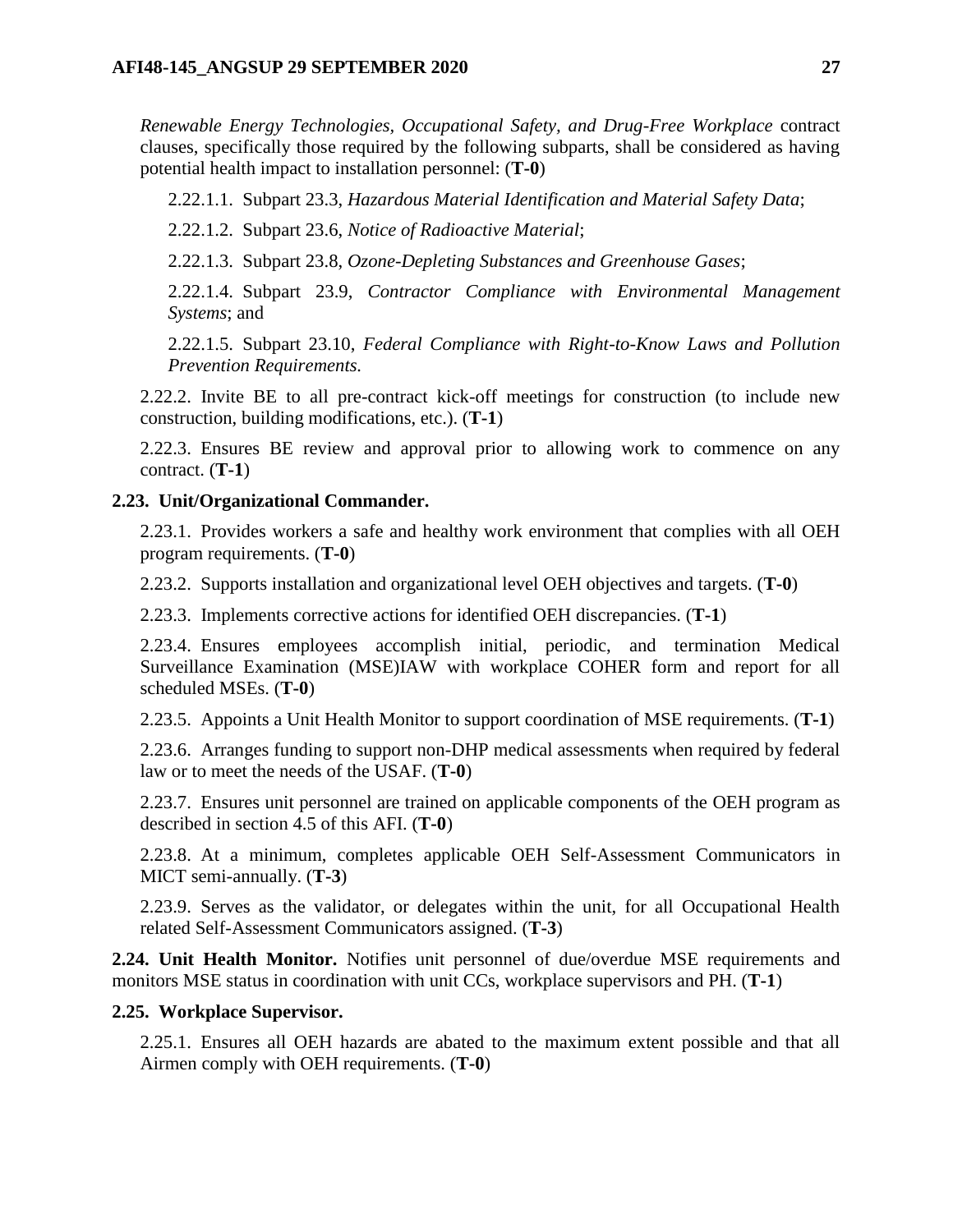*Renewable Energy Technologies, Occupational Safety, and Drug-Free Workplace* contract clauses, specifically those required by the following subparts, shall be considered as having potential health impact to installation personnel: (**T-0**)

2.22.1.1. Subpart 23.3, *Hazardous Material Identification and Material Safety Data*;

2.22.1.2. Subpart 23.6, *Notice of Radioactive Material*;

2.22.1.3. Subpart 23.8, *Ozone-Depleting Substances and Greenhouse Gases*;

2.22.1.4. Subpart 23.9, *Contractor Compliance with Environmental Management Systems*; and

2.22.1.5. Subpart 23.10, *Federal Compliance with Right-to-Know Laws and Pollution Prevention Requirements.*

2.22.2. Invite BE to all pre-contract kick-off meetings for construction (to include new construction, building modifications, etc.). (**T-1**)

2.22.3. Ensures BE review and approval prior to allowing work to commence on any contract. (**T-1**)

### <span id="page-26-0"></span>**2.23. Unit/Organizational Commander.**

2.23.1. Provides workers a safe and healthy work environment that complies with all OEH program requirements. (**T-0**)

2.23.2. Supports installation and organizational level OEH objectives and targets. (**T-0**)

2.23.3. Implements corrective actions for identified OEH discrepancies. (**T-1**)

2.23.4. Ensures employees accomplish initial, periodic, and termination Medical Surveillance Examination (MSE)IAW with workplace COHER form and report for all scheduled MSEs. (**T-0**)

2.23.5. Appoints a Unit Health Monitor to support coordination of MSE requirements. (**T-1**)

2.23.6. Arranges funding to support non-DHP medical assessments when required by federal law or to meet the needs of the USAF. (**T-0**)

2.23.7. Ensures unit personnel are trained on applicable components of the OEH program as described in section 4.5 of this AFI. (**T-0**)

2.23.8. At a minimum, completes applicable OEH Self-Assessment Communicators in MICT semi-annually. (**T-3**)

2.23.9. Serves as the validator, or delegates within the unit, for all Occupational Health related Self-Assessment Communicators assigned. (**T-3**)

<span id="page-26-1"></span>**2.24. Unit Health Monitor.** Notifies unit personnel of due/overdue MSE requirements and monitors MSE status in coordination with unit CCs, workplace supervisors and PH. (**T-1**)

#### <span id="page-26-2"></span>**2.25. Workplace Supervisor.**

2.25.1. Ensures all OEH hazards are abated to the maximum extent possible and that all Airmen comply with OEH requirements. (**T-0**)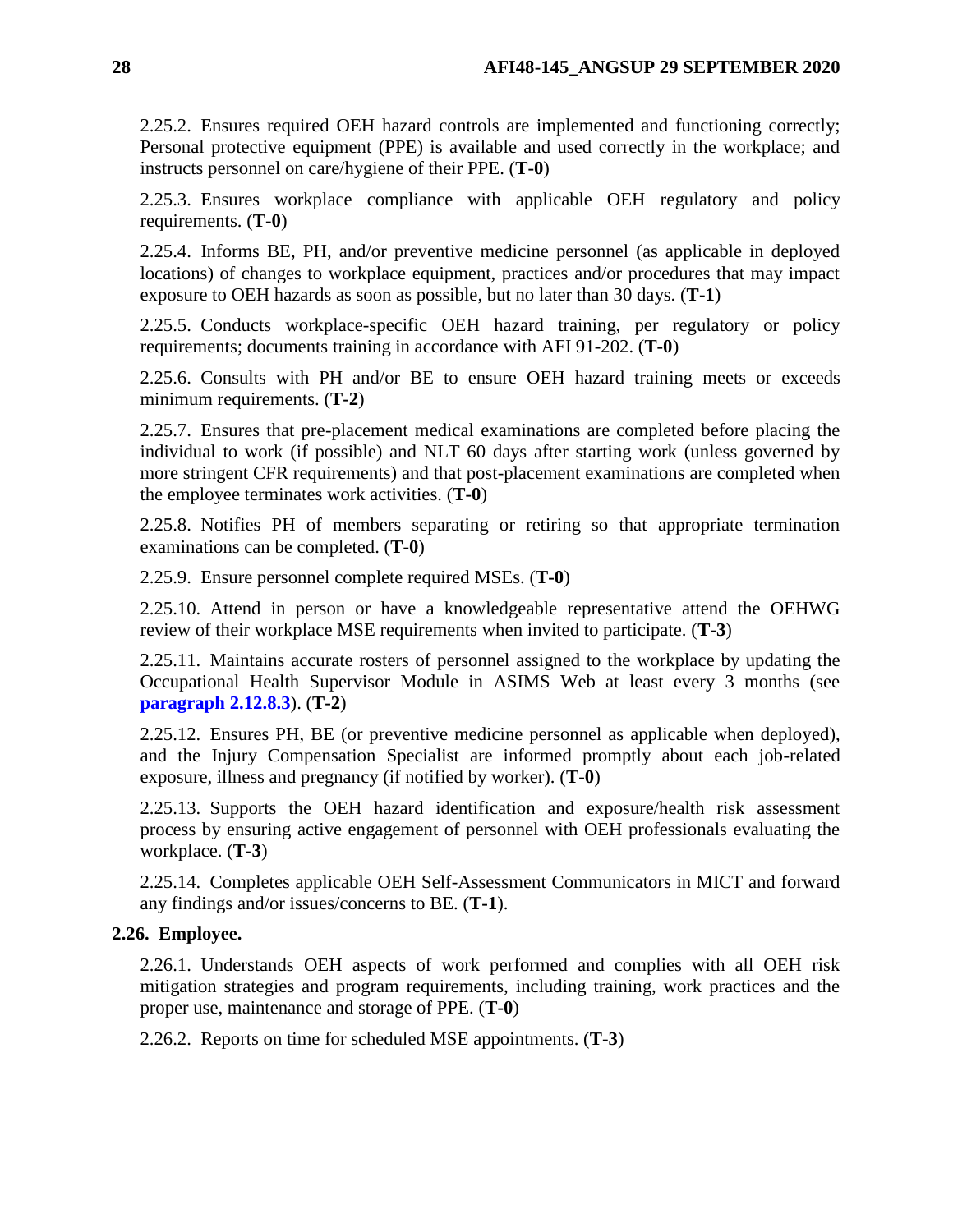2.25.2. Ensures required OEH hazard controls are implemented and functioning correctly; Personal protective equipment (PPE) is available and used correctly in the workplace; and instructs personnel on care/hygiene of their PPE. (**T-0**)

2.25.3. Ensures workplace compliance with applicable OEH regulatory and policy requirements. (**T-0**)

2.25.4. Informs BE, PH, and/or preventive medicine personnel (as applicable in deployed locations) of changes to workplace equipment, practices and/or procedures that may impact exposure to OEH hazards as soon as possible, but no later than 30 days. (**T-1**)

2.25.5. Conducts workplace-specific OEH hazard training, per regulatory or policy requirements; documents training in accordance with AFI 91-202. (**T-0**)

2.25.6. Consults with PH and/or BE to ensure OEH hazard training meets or exceeds minimum requirements. (**T-2**)

2.25.7. Ensures that pre-placement medical examinations are completed before placing the individual to work (if possible) and NLT 60 days after starting work (unless governed by more stringent CFR requirements) and that post-placement examinations are completed when the employee terminates work activities. (**T-0**)

2.25.8. Notifies PH of members separating or retiring so that appropriate termination examinations can be completed. (**T-0**)

2.25.9. Ensure personnel complete required MSEs. (**T-0**)

2.25.10. Attend in person or have a knowledgeable representative attend the OEHWG review of their workplace MSE requirements when invited to participate. (**T-3**)

2.25.11. Maintains accurate rosters of personnel assigned to the workplace by updating the Occupational Health Supervisor Module in ASIMS Web at least every 3 months (see **[paragraph](#page-20-0) 2.12.8.3**). (**T-2**)

2.25.12. Ensures PH, BE (or preventive medicine personnel as applicable when deployed), and the Injury Compensation Specialist are informed promptly about each job-related exposure, illness and pregnancy (if notified by worker). (**T-0**)

2.25.13. Supports the OEH hazard identification and exposure/health risk assessment process by ensuring active engagement of personnel with OEH professionals evaluating the workplace. (**T-3**)

2.25.14. Completes applicable OEH Self-Assessment Communicators in MICT and forward any findings and/or issues/concerns to BE. (**T-1**).

# <span id="page-27-0"></span>**2.26. Employee.**

2.26.1. Understands OEH aspects of work performed and complies with all OEH risk mitigation strategies and program requirements, including training, work practices and the proper use, maintenance and storage of PPE. (**T-0**)

2.26.2. Reports on time for scheduled MSE appointments. (**T-3**)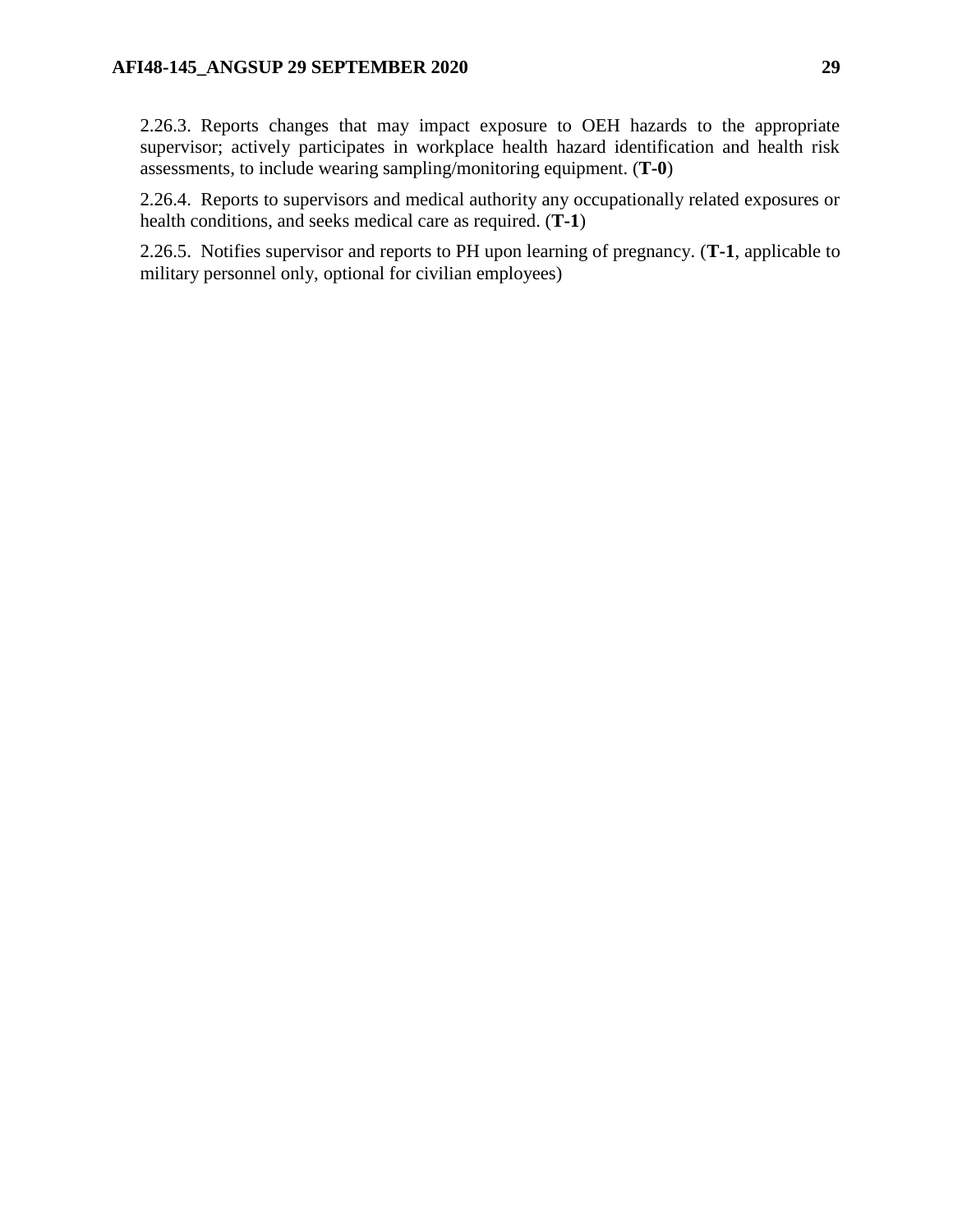2.26.3. Reports changes that may impact exposure to OEH hazards to the appropriate supervisor; actively participates in workplace health hazard identification and health risk assessments, to include wearing sampling/monitoring equipment. (**T-0**)

2.26.4. Reports to supervisors and medical authority any occupationally related exposures or health conditions, and seeks medical care as required. (**T-1**)

2.26.5. Notifies supervisor and reports to PH upon learning of pregnancy. (**T-1**, applicable to military personnel only, optional for civilian employees)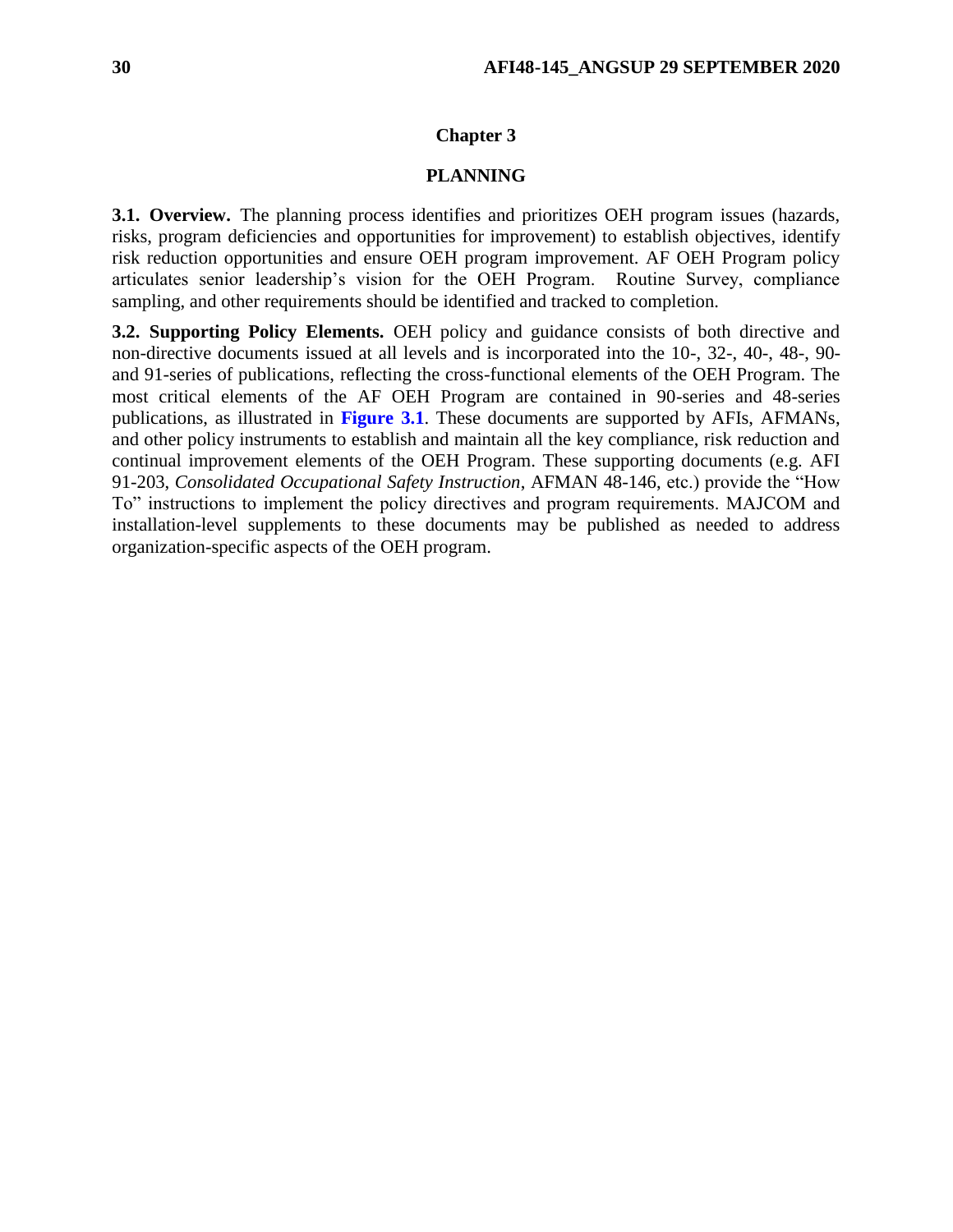#### **Chapter 3**

#### **PLANNING**

<span id="page-29-1"></span><span id="page-29-0"></span>**3.1. Overview.** The planning process identifies and prioritizes OEH program issues (hazards, risks, program deficiencies and opportunities for improvement) to establish objectives, identify risk reduction opportunities and ensure OEH program improvement. AF OEH Program policy articulates senior leadership's vision for the OEH Program. Routine Survey, compliance sampling, and other requirements should be identified and tracked to completion.

<span id="page-29-2"></span>**3.2. Supporting Policy Elements.** OEH policy and guidance consists of both directive and non-directive documents issued at all levels and is incorporated into the 10-, 32-, 40-, 48-, 90 and 91-series of publications, reflecting the cross-functional elements of the OEH Program. The most critical elements of the AF OEH Program are contained in 90-series and 48-series publications, as illustrated in **[Figure](#page-30-0) 3.1**. These documents are supported by AFIs, AFMANs, and other policy instruments to establish and maintain all the key compliance, risk reduction and continual improvement elements of the OEH Program. These supporting documents (e.g. AFI 91-203, *Consolidated Occupational Safety Instruction*, AFMAN 48-146, etc.) provide the "How To" instructions to implement the policy directives and program requirements. MAJCOM and installation-level supplements to these documents may be published as needed to address organization-specific aspects of the OEH program.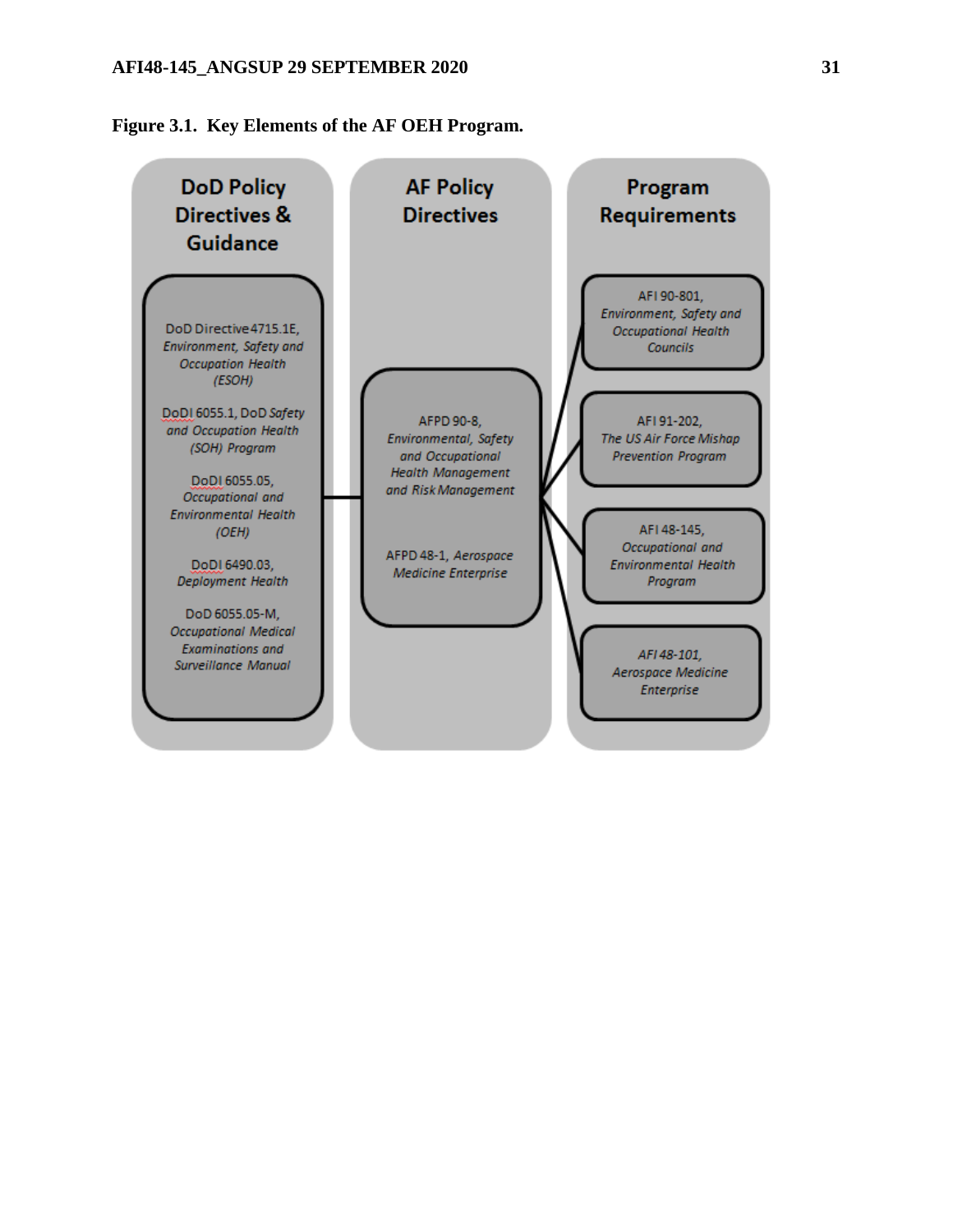### **AFI48-145\_ANGSUP 29 SEPTEMBER 2020 31**

<span id="page-30-0"></span>**Figure 3.1. Key Elements of the AF OEH Program.**

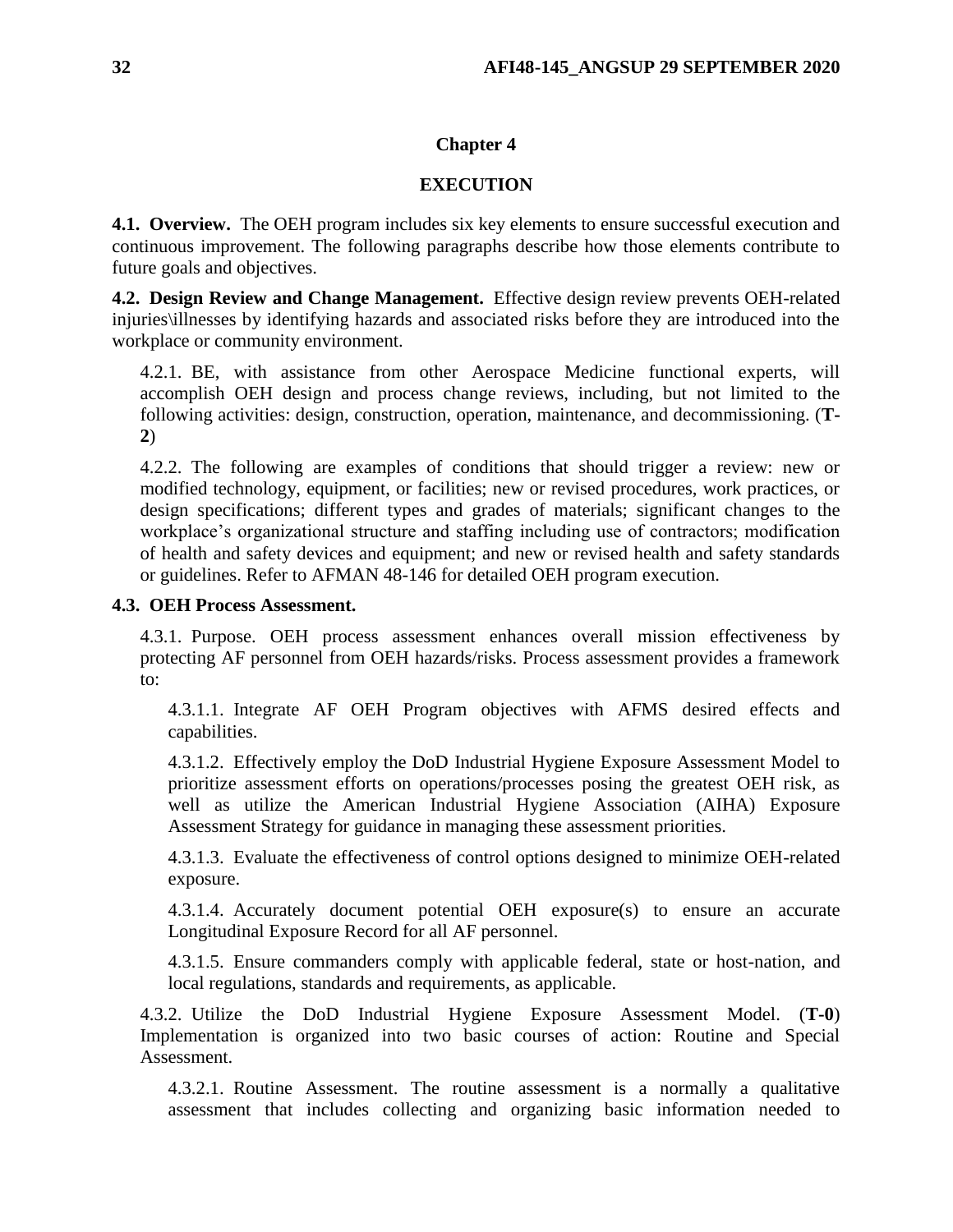### **Chapter 4**

### **EXECUTION**

<span id="page-31-1"></span><span id="page-31-0"></span>**4.1. Overview.** The OEH program includes six key elements to ensure successful execution and continuous improvement. The following paragraphs describe how those elements contribute to future goals and objectives.

<span id="page-31-2"></span>**4.2. Design Review and Change Management.** Effective design review prevents OEH-related injuries\illnesses by identifying hazards and associated risks before they are introduced into the workplace or community environment.

4.2.1. BE, with assistance from other Aerospace Medicine functional experts, will accomplish OEH design and process change reviews, including, but not limited to the following activities: design, construction, operation, maintenance, and decommissioning. (**T-2**)

4.2.2. The following are examples of conditions that should trigger a review: new or modified technology, equipment, or facilities; new or revised procedures, work practices, or design specifications; different types and grades of materials; significant changes to the workplace's organizational structure and staffing including use of contractors; modification of health and safety devices and equipment; and new or revised health and safety standards or guidelines. Refer to AFMAN 48-146 for detailed OEH program execution.

### <span id="page-31-3"></span>**4.3. OEH Process Assessment.**

4.3.1. Purpose. OEH process assessment enhances overall mission effectiveness by protecting AF personnel from OEH hazards/risks. Process assessment provides a framework to:

4.3.1.1. Integrate AF OEH Program objectives with AFMS desired effects and capabilities.

4.3.1.2. Effectively employ the DoD Industrial Hygiene Exposure Assessment Model to prioritize assessment efforts on operations/processes posing the greatest OEH risk, as well as utilize the American Industrial Hygiene Association (AIHA) Exposure Assessment Strategy for guidance in managing these assessment priorities.

4.3.1.3. Evaluate the effectiveness of control options designed to minimize OEH-related exposure.

4.3.1.4. Accurately document potential OEH exposure(s) to ensure an accurate Longitudinal Exposure Record for all AF personnel.

4.3.1.5. Ensure commanders comply with applicable federal, state or host-nation, and local regulations, standards and requirements, as applicable.

4.3.2. Utilize the DoD Industrial Hygiene Exposure Assessment Model. (**T-0**) Implementation is organized into two basic courses of action: Routine and Special Assessment.

4.3.2.1. Routine Assessment. The routine assessment is a normally a qualitative assessment that includes collecting and organizing basic information needed to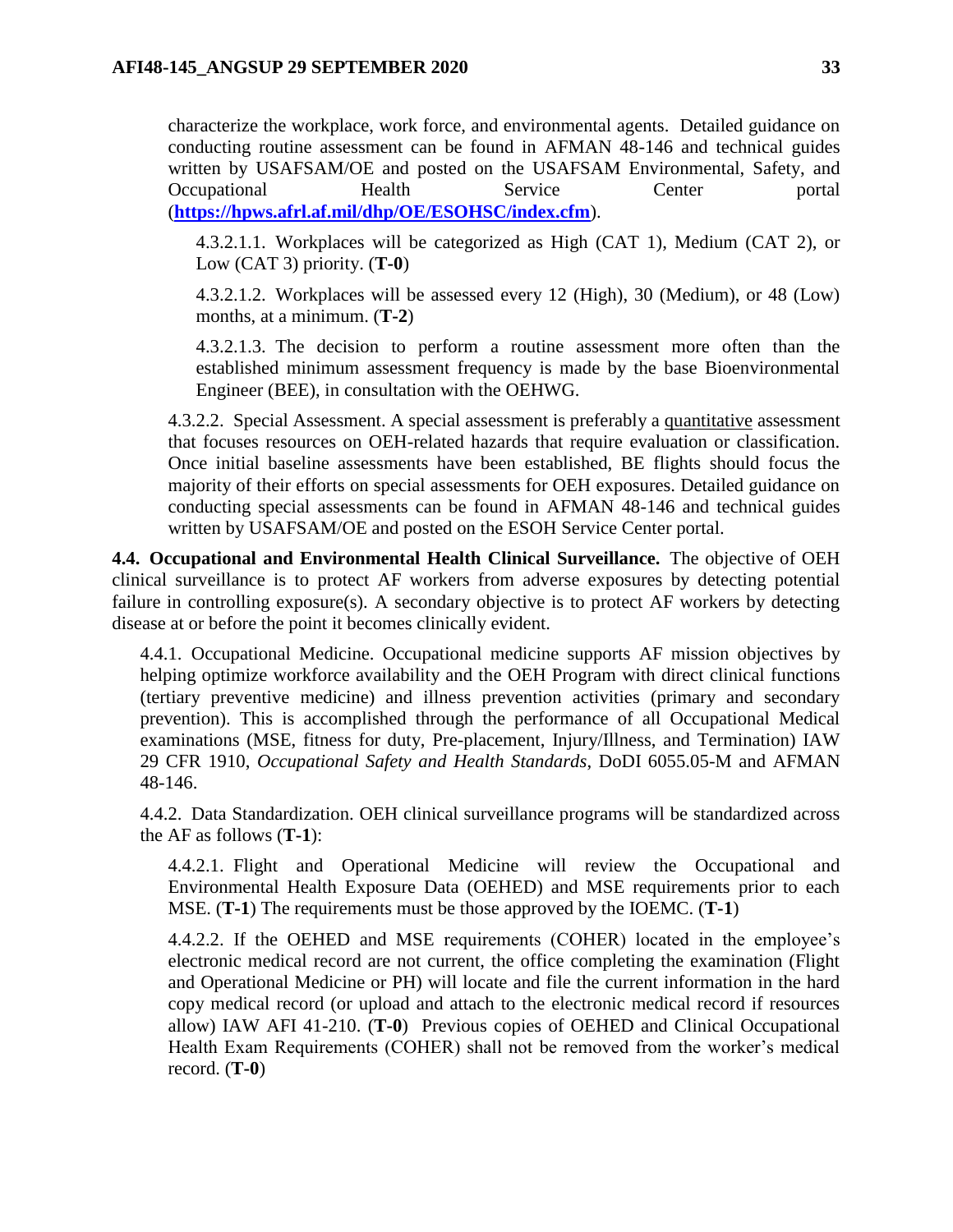characterize the workplace, work force, and environmental agents. Detailed guidance on conducting routine assessment can be found in AFMAN 48-146 and technical guides written by USAFSAM/OE and posted on the USAFSAM Environmental, Safety, and Occupational Health Service Center portal (**<https://hpws.afrl.af.mil/dhp/OE/ESOHSC/index.cfm>**).

4.3.2.1.1. Workplaces will be categorized as High (CAT 1), Medium (CAT 2), or Low (CAT 3) priority. (**T-0**)

4.3.2.1.2. Workplaces will be assessed every 12 (High), 30 (Medium), or 48 (Low) months, at a minimum. (**T-2**)

4.3.2.1.3. The decision to perform a routine assessment more often than the established minimum assessment frequency is made by the base Bioenvironmental Engineer (BEE), in consultation with the OEHWG.

4.3.2.2. Special Assessment. A special assessment is preferably a quantitative assessment that focuses resources on OEH-related hazards that require evaluation or classification. Once initial baseline assessments have been established, BE flights should focus the majority of their efforts on special assessments for OEH exposures. Detailed guidance on conducting special assessments can be found in AFMAN 48-146 and technical guides written by USAFSAM/OE and posted on the ESOH Service Center portal.

<span id="page-32-0"></span>**4.4. Occupational and Environmental Health Clinical Surveillance.** The objective of OEH clinical surveillance is to protect AF workers from adverse exposures by detecting potential failure in controlling exposure(s). A secondary objective is to protect AF workers by detecting disease at or before the point it becomes clinically evident.

4.4.1. Occupational Medicine. Occupational medicine supports AF mission objectives by helping optimize workforce availability and the OEH Program with direct clinical functions (tertiary preventive medicine) and illness prevention activities (primary and secondary prevention). This is accomplished through the performance of all Occupational Medical examinations (MSE, fitness for duty, Pre-placement, Injury/Illness, and Termination) IAW 29 CFR 1910, *Occupational Safety and Health Standards*, DoDI 6055.05-M and AFMAN 48-146.

4.4.2. Data Standardization. OEH clinical surveillance programs will be standardized across the AF as follows (**T-1**):

4.4.2.1. Flight and Operational Medicine will review the Occupational and Environmental Health Exposure Data (OEHED) and MSE requirements prior to each MSE. (**T-1**) The requirements must be those approved by the IOEMC. (**T-1**)

4.4.2.2. If the OEHED and MSE requirements (COHER) located in the employee's electronic medical record are not current, the office completing the examination (Flight and Operational Medicine or PH) will locate and file the current information in the hard copy medical record (or upload and attach to the electronic medical record if resources allow) IAW AFI 41-210. (**T-0**) Previous copies of OEHED and Clinical Occupational Health Exam Requirements (COHER) shall not be removed from the worker's medical record. (**T-0**)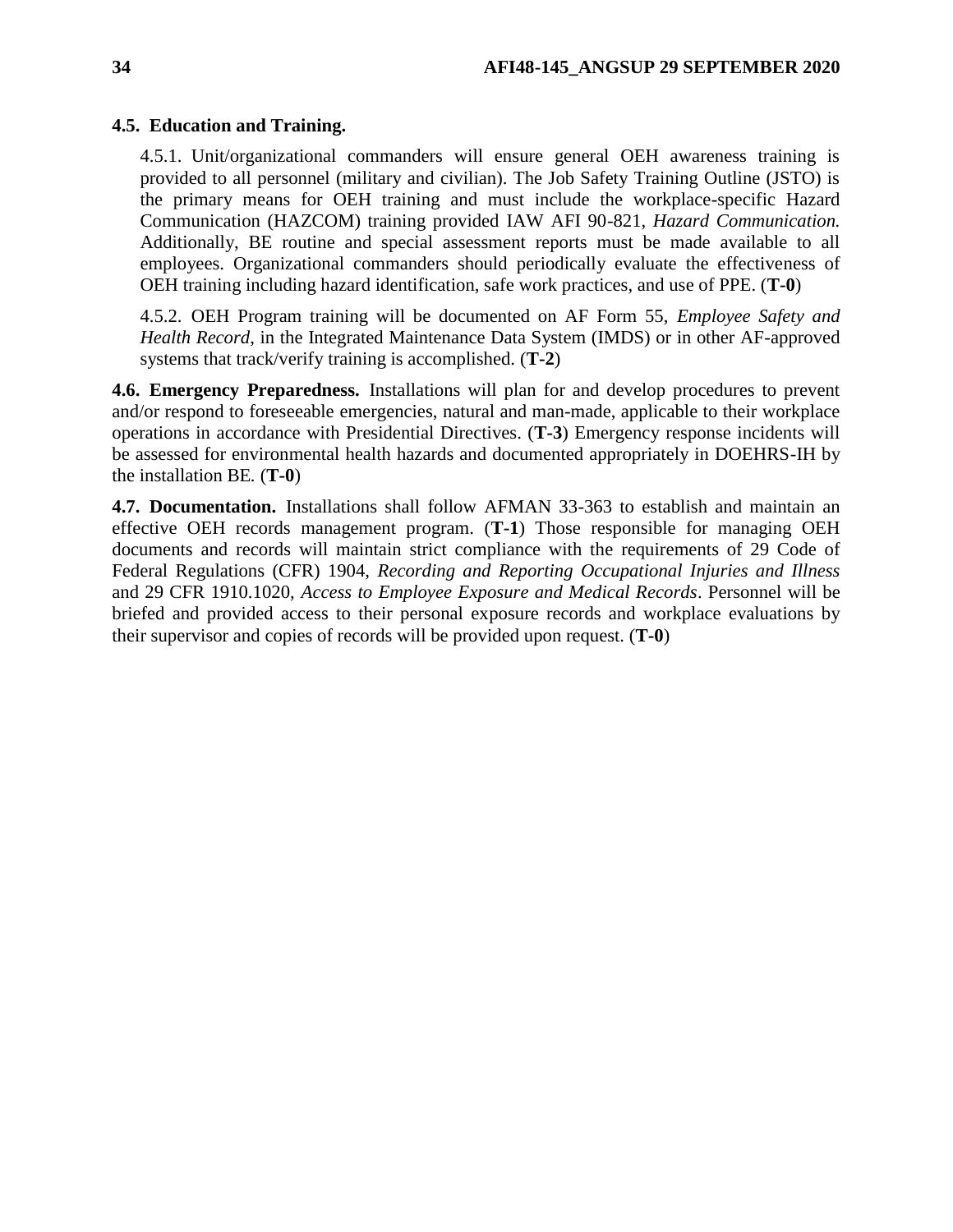### <span id="page-33-0"></span>**4.5. Education and Training.**

4.5.1. Unit/organizational commanders will ensure general OEH awareness training is provided to all personnel (military and civilian). The Job Safety Training Outline (JSTO) is the primary means for OEH training and must include the workplace-specific Hazard Communication (HAZCOM) training provided IAW AFI 90-821, *Hazard Communication.*  Additionally, BE routine and special assessment reports must be made available to all employees. Organizational commanders should periodically evaluate the effectiveness of OEH training including hazard identification, safe work practices, and use of PPE. (**T-0**)

4.5.2. OEH Program training will be documented on AF Form 55, *Employee Safety and Health Record*, in the Integrated Maintenance Data System (IMDS) or in other AF-approved systems that track/verify training is accomplished. (**T-2**)

<span id="page-33-1"></span>**4.6. Emergency Preparedness.** Installations will plan for and develop procedures to prevent and/or respond to foreseeable emergencies, natural and man-made, applicable to their workplace operations in accordance with Presidential Directives. (**T-3**) Emergency response incidents will be assessed for environmental health hazards and documented appropriately in DOEHRS-IH by the installation BE*.* (**T-0**)

<span id="page-33-2"></span>**4.7. Documentation.** Installations shall follow AFMAN 33-363 to establish and maintain an effective OEH records management program. (**T-1**) Those responsible for managing OEH documents and records will maintain strict compliance with the requirements of 29 Code of Federal Regulations (CFR) 1904, *Recording and Reporting Occupational Injuries and Illness*  and 29 CFR 1910.1020, *Access to Employee Exposure and Medical Records*. Personnel will be briefed and provided access to their personal exposure records and workplace evaluations by their supervisor and copies of records will be provided upon request. (**T-0**)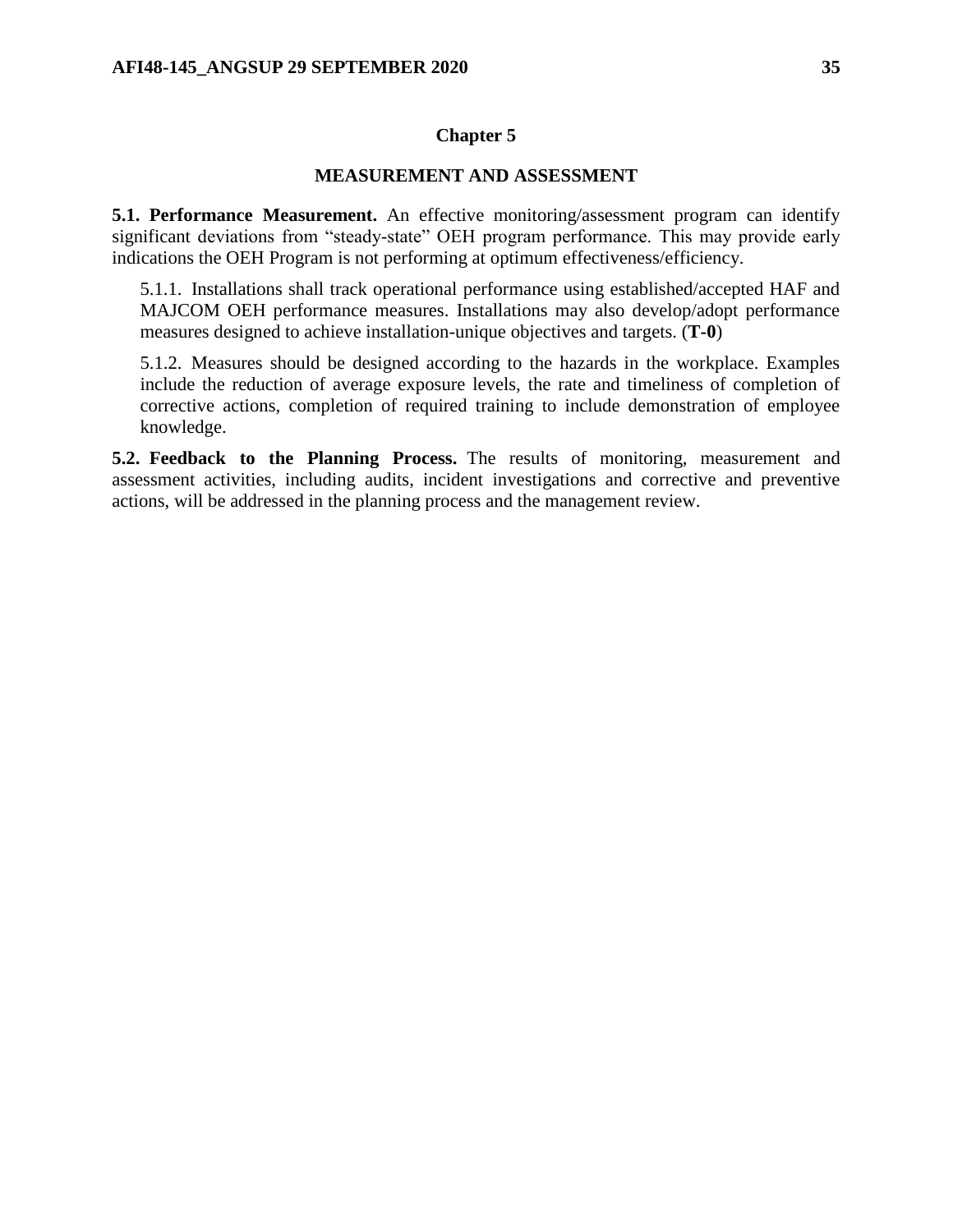### **Chapter 5**

### **MEASUREMENT AND ASSESSMENT**

<span id="page-34-1"></span><span id="page-34-0"></span>**5.1. Performance Measurement.** An effective monitoring/assessment program can identify significant deviations from "steady-state" OEH program performance. This may provide early indications the OEH Program is not performing at optimum effectiveness/efficiency.

5.1.1. Installations shall track operational performance using established/accepted HAF and MAJCOM OEH performance measures. Installations may also develop/adopt performance measures designed to achieve installation-unique objectives and targets. (**T-0**)

5.1.2. Measures should be designed according to the hazards in the workplace. Examples include the reduction of average exposure levels, the rate and timeliness of completion of corrective actions, completion of required training to include demonstration of employee knowledge.

<span id="page-34-2"></span>**5.2. Feedback to the Planning Process.** The results of monitoring, measurement and assessment activities, including audits, incident investigations and corrective and preventive actions, will be addressed in the planning process and the management review.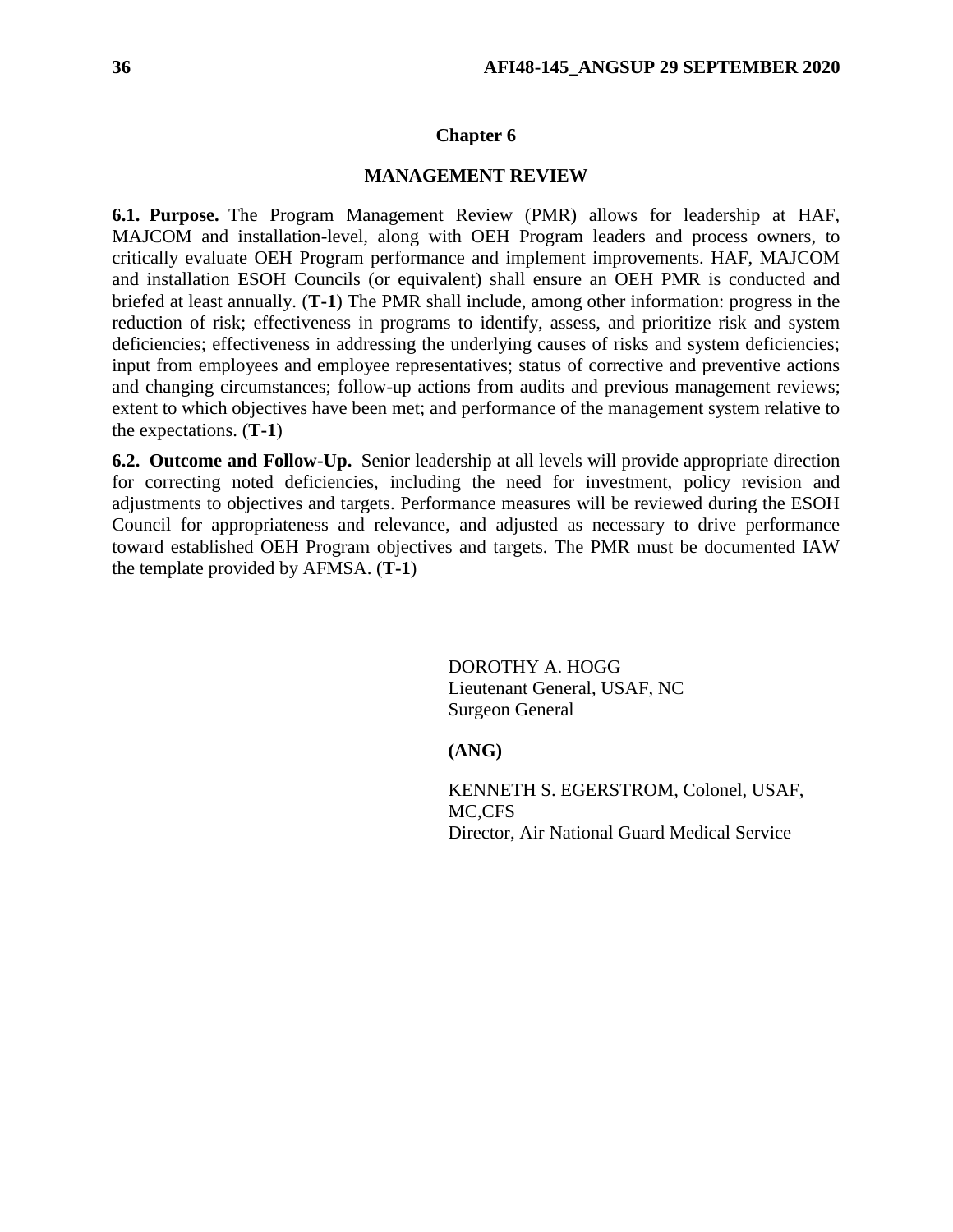#### **Chapter 6**

#### **MANAGEMENT REVIEW**

<span id="page-35-1"></span><span id="page-35-0"></span>**6.1. Purpose.** The Program Management Review (PMR) allows for leadership at HAF, MAJCOM and installation-level, along with OEH Program leaders and process owners, to critically evaluate OEH Program performance and implement improvements. HAF, MAJCOM and installation ESOH Councils (or equivalent) shall ensure an OEH PMR is conducted and briefed at least annually. (**T-1**) The PMR shall include, among other information: progress in the reduction of risk; effectiveness in programs to identify, assess, and prioritize risk and system deficiencies; effectiveness in addressing the underlying causes of risks and system deficiencies; input from employees and employee representatives; status of corrective and preventive actions and changing circumstances; follow-up actions from audits and previous management reviews; extent to which objectives have been met; and performance of the management system relative to the expectations. (**T-1**)

<span id="page-35-2"></span>**6.2. Outcome and Follow-Up.** Senior leadership at all levels will provide appropriate direction for correcting noted deficiencies, including the need for investment, policy revision and adjustments to objectives and targets. Performance measures will be reviewed during the ESOH Council for appropriateness and relevance, and adjusted as necessary to drive performance toward established OEH Program objectives and targets. The PMR must be documented IAW the template provided by AFMSA. (**T-1**)

> DOROTHY A. HOGG Lieutenant General, USAF, NC Surgeon General

#### **(ANG)**

KENNETH S. EGERSTROM, Colonel, USAF, MC,CFS Director, Air National Guard Medical Service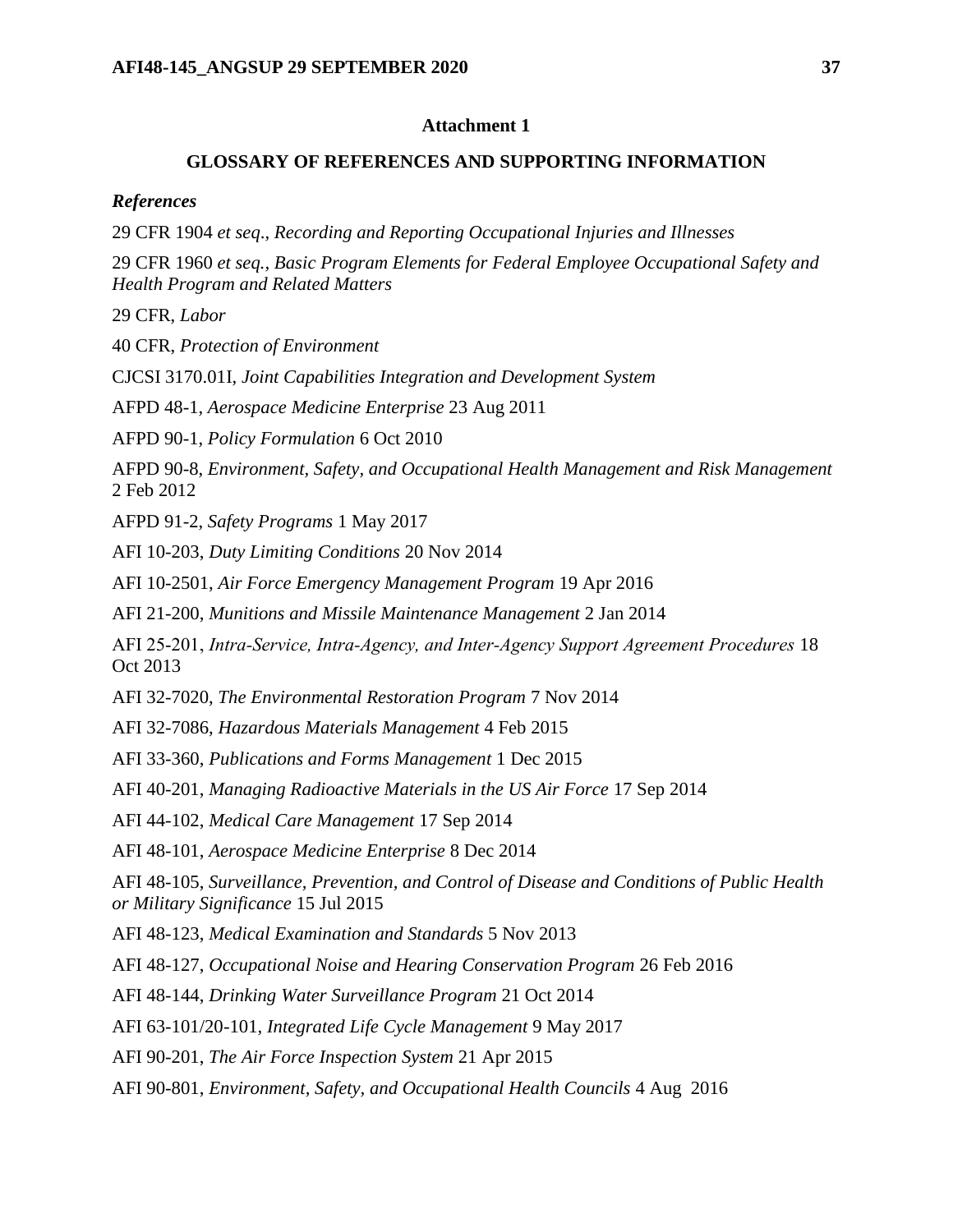## **Attachment 1**

# **GLOSSARY OF REFERENCES AND SUPPORTING INFORMATION**

<span id="page-36-0"></span>*References*

29 CFR 1904 *et seq*., *Recording and Reporting Occupational Injuries and Illnesses*

29 CFR 1960 *et seq., Basic Program Elements for Federal Employee Occupational Safety and Health Program and Related Matters*

29 CFR, *Labor*

40 CFR, *Protection of Environment*

CJCSI 3170.01I, *Joint Capabilities Integration and Development System*

AFPD 48-1, *Aerospace Medicine Enterprise* 23 Aug 2011

AFPD 90-1, *Policy Formulation* 6 Oct 2010

AFPD 90-8, *Environment, Safety, and Occupational Health Management and Risk Management* 2 Feb 2012

AFPD 91-2, *Safety Programs* 1 May 2017

AFI 10-203, *Duty Limiting Conditions* 20 Nov 2014

AFI 10-2501, *Air Force Emergency Management Program* 19 Apr 2016

AFI 21-200, *Munitions and Missile Maintenance Management* 2 Jan 2014

AFI 25‐201, *Intra‐Service, Intra‐Agency, and Inter‐Agency Support Agreement Procedures* 18 Oct 2013

AFI 32-7020, *The Environmental Restoration Program* 7 Nov 2014

AFI 32-7086, *Hazardous Materials Management* 4 Feb 2015

AFI 33-360, *Publications and Forms Management* 1 Dec 2015

AFI 40-201, *Managing Radioactive Materials in the US Air Force* 17 Sep 2014

AFI 44-102, *Medical Care Management* 17 Sep 2014

AFI 48-101, *Aerospace Medicine Enterprise* 8 Dec 2014

AFI 48-105, *Surveillance, Prevention, and Control of Disease and Conditions of Public Health or Military Significance* 15 Jul 2015

AFI 48-123, *Medical Examination and Standards* 5 Nov 2013

AFI 48-127, *Occupational Noise and Hearing Conservation Program* 26 Feb 2016

AFI 48-144, *Drinking Water Surveillance Program* 21 Oct 2014

AFI 63-101/20-101, *Integrated Life Cycle Management* 9 May 2017

AFI 90-201, *The Air Force Inspection System* 21 Apr 2015

AFI 90-801, *Environment, Safety, and Occupational Health Councils* 4 Aug 2016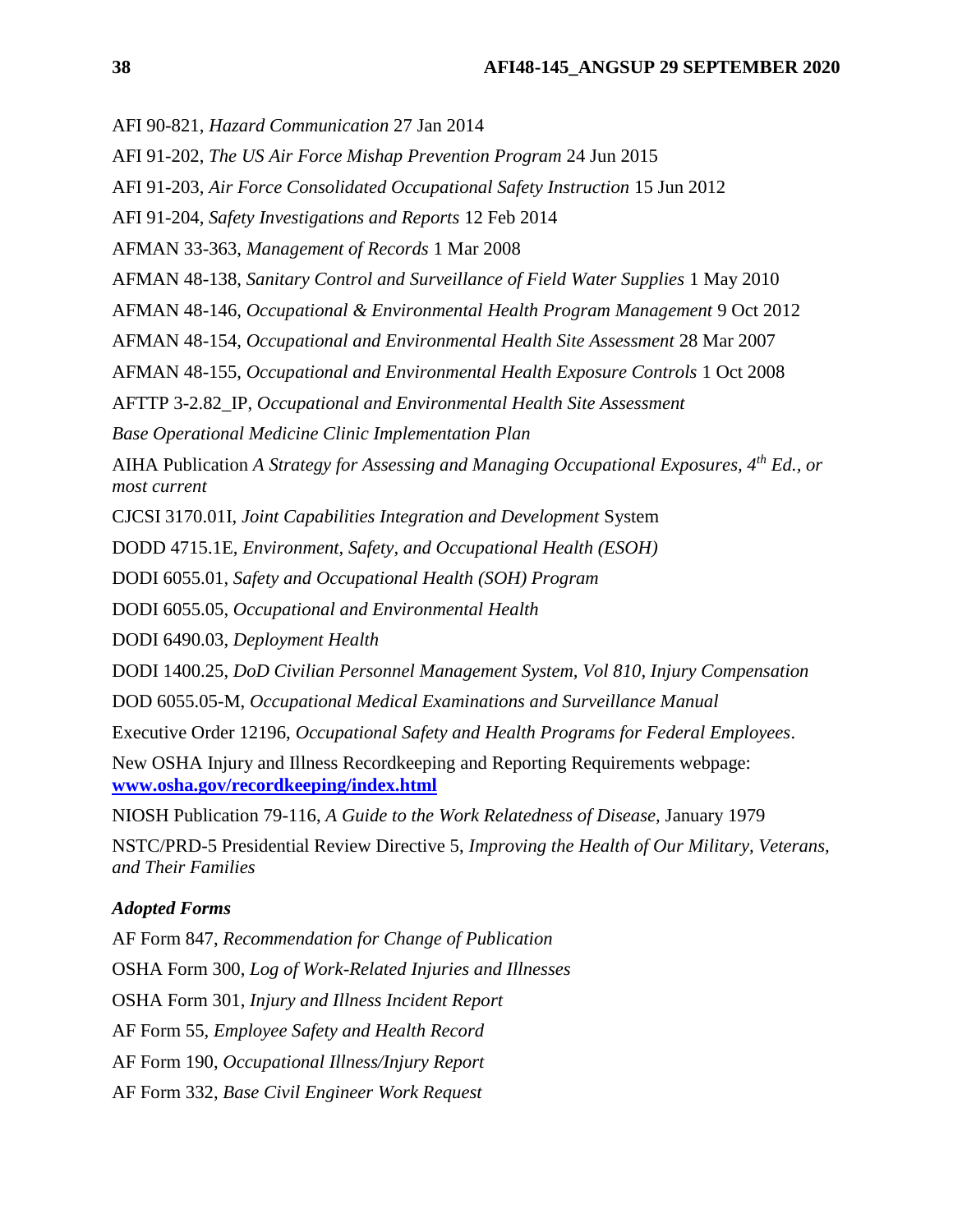AFI 90-821, *Hazard Communication* 27 Jan 2014

AFI 91-202, *The US Air Force Mishap Prevention Program* 24 Jun 2015

AFI 91-203, *Air Force Consolidated Occupational Safety Instruction* 15 Jun 2012

AFI 91-204, *Safety Investigations and Reports* 12 Feb 2014

AFMAN 33-363, *Management of Records* 1 Mar 2008

AFMAN 48-138, *Sanitary Control and Surveillance of Field Water Supplies* 1 May 2010

AFMAN 48-146, *Occupational & Environmental Health Program Management* 9 Oct 2012

AFMAN 48-154, *Occupational and Environmental Health Site Assessment* 28 Mar 2007

AFMAN 48-155, *Occupational and Environmental Health Exposure Controls* 1 Oct 2008

AFTTP 3-2.82\_IP, *Occupational and Environmental Health Site Assessment*

*Base Operational Medicine Clinic Implementation Plan*

AIHA Publication *A Strategy for Assessing and Managing Occupational Exposures, 4th Ed., or most current*

CJCSI 3170.01I, *Joint Capabilities Integration and Development* System

DODD 4715.1E, *Environment, Safety, and Occupational Health (ESOH)*

DODI 6055.01, *Safety and Occupational Health (SOH) Program*

DODI 6055.05, *Occupational and Environmental Health*

DODI 6490.03, *Deployment Health*

DODI 1400.25, *DoD Civilian Personnel Management System, Vol 810, Injury Compensation*

DOD 6055.05-M, *Occupational Medical Examinations and Surveillance Manual*

Executive Order 12196, *Occupational Safety and Health Programs for Federal Employees*.

New OSHA Injury and Illness Recordkeeping and Reporting Requirements webpage: **[www.osha.gov/recordkeeping/index.html](http://www.osha.gov/recordkeeping/index.html)**

NIOSH Publication 79-116, *A Guide to the Work Relatedness of Disease,* January 1979

NSTC/PRD-5 Presidential Review Directive 5, *Improving the Health of Our Military, Veterans, and Their Families*

### *Adopted Forms*

AF Form 847, *Recommendation for Change of Publication*  OSHA Form 300, *Log of Work-Related Injuries and Illnesses*  OSHA Form 301, *Injury and Illness Incident Report* AF Form 55, *Employee Safety and Health Record* AF Form 190, *Occupational Illness/Injury Report* AF Form 332, *Base Civil Engineer Work Request*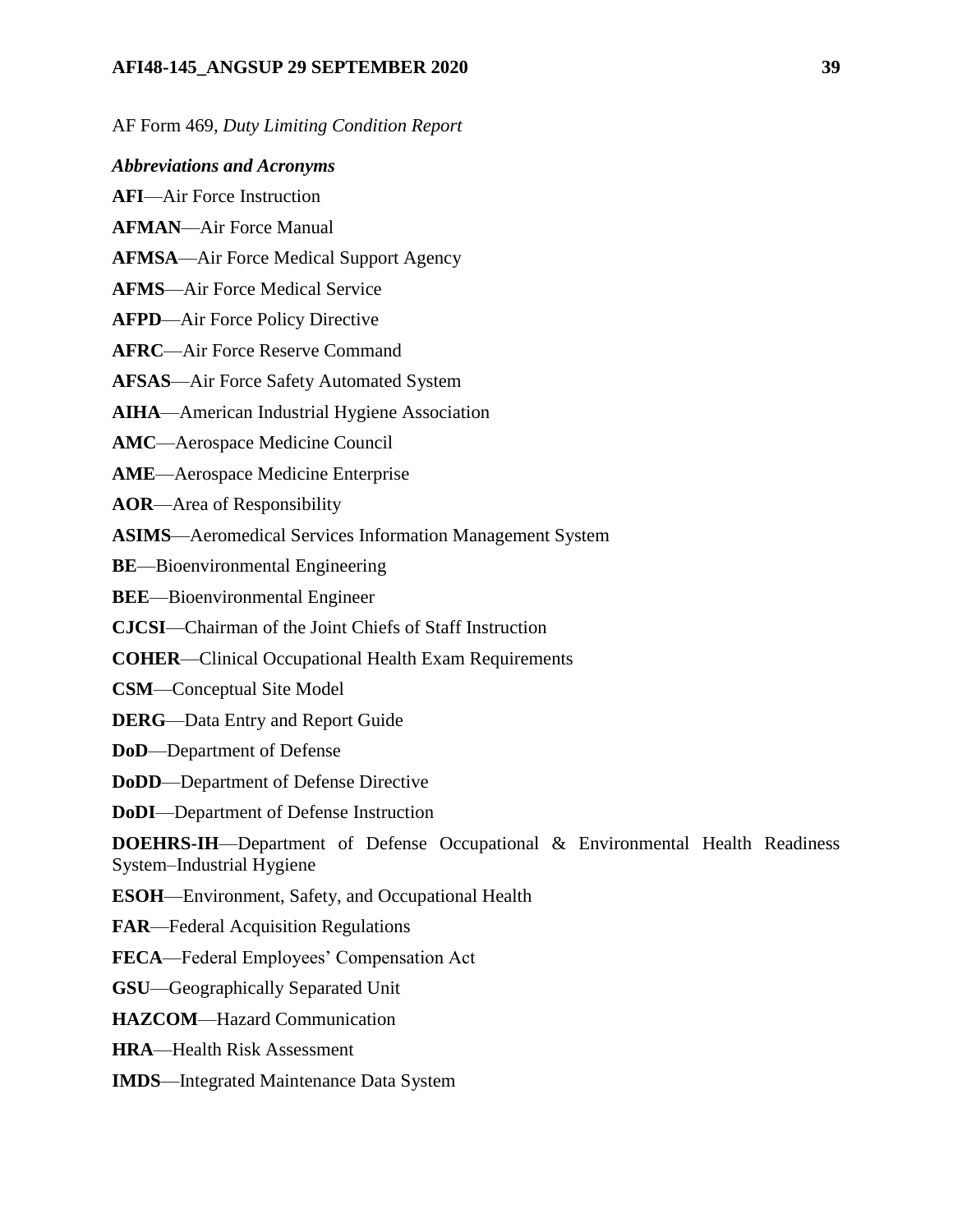### **AFI48-145\_ANGSUP 29 SEPTEMBER 2020 39**

AF Form 469, *Duty Limiting Condition Report*

*Abbreviations and Acronyms*

**AFI**—Air Force Instruction

**AFMAN**—Air Force Manual

**AFMSA**—Air Force Medical Support Agency

**AFMS**—Air Force Medical Service

**AFPD**—Air Force Policy Directive

**AFRC**—Air Force Reserve Command

**AFSAS**—Air Force Safety Automated System

**AIHA**—American Industrial Hygiene Association

**AMC**—Aerospace Medicine Council

**AME**—Aerospace Medicine Enterprise

**AOR**—Area of Responsibility

**ASIMS**—Aeromedical Services Information Management System

**BE**—Bioenvironmental Engineering

**BEE**—Bioenvironmental Engineer

**CJCSI**—Chairman of the Joint Chiefs of Staff Instruction

**COHER**—Clinical Occupational Health Exam Requirements

**CSM**—Conceptual Site Model

**DERG**—Data Entry and Report Guide

**DoD**—Department of Defense

**DoDD**—Department of Defense Directive

**DoDI**—Department of Defense Instruction

**DOEHRS-IH**—Department of Defense Occupational & Environmental Health Readiness System–Industrial Hygiene

**ESOH**—Environment, Safety, and Occupational Health

**FAR**—Federal Acquisition Regulations

**FECA**—Federal Employees' Compensation Act

**GSU**—Geographically Separated Unit

**HAZCOM**—Hazard Communication

**HRA**—Health Risk Assessment

**IMDS**—Integrated Maintenance Data System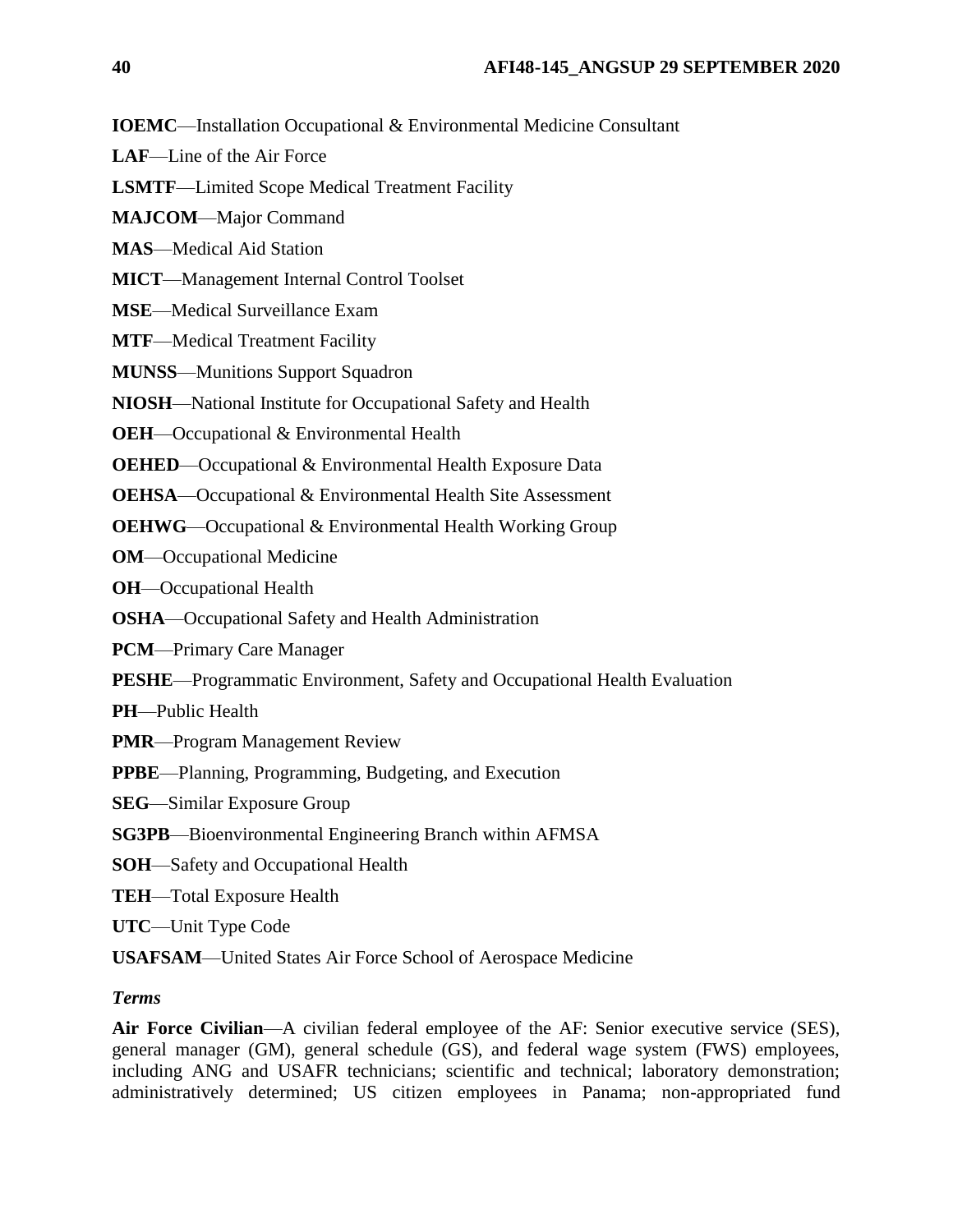**IOEMC**—Installation Occupational & Environmental Medicine Consultant

- **LAF**—Line of the Air Force
- **LSMTF**—Limited Scope Medical Treatment Facility
- **MAJCOM**—Major Command
- **MAS**—Medical Aid Station
- **MICT**—Management Internal Control Toolset
- **MSE**—Medical Surveillance Exam
- **MTF**—Medical Treatment Facility
- **MUNSS**—Munitions Support Squadron
- **NIOSH**—National Institute for Occupational Safety and Health
- **OEH**—Occupational & Environmental Health
- **OEHED**—Occupational & Environmental Health Exposure Data
- **OEHSA**—Occupational & Environmental Health Site Assessment
- **OEHWG**—Occupational & Environmental Health Working Group
- **OM**—Occupational Medicine
- **OH**—Occupational Health
- **OSHA**—Occupational Safety and Health Administration
- **PCM**—Primary Care Manager
- **PESHE**—Programmatic Environment, Safety and Occupational Health Evaluation
- **PH**—Public Health
- **PMR**—Program Management Review
- **PPBE**—Planning, Programming, Budgeting, and Execution
- **SEG**—Similar Exposure Group
- **SG3PB**—Bioenvironmental Engineering Branch within AFMSA
- **SOH**—Safety and Occupational Health
- **TEH**—Total Exposure Health
- **UTC**—Unit Type Code
- **USAFSAM**—United States Air Force School of Aerospace Medicine

# *Terms*

**Air Force Civilian**—A civilian federal employee of the AF: Senior executive service (SES), general manager (GM), general schedule (GS), and federal wage system (FWS) employees, including ANG and USAFR technicians; scientific and technical; laboratory demonstration; administratively determined; US citizen employees in Panama; non-appropriated fund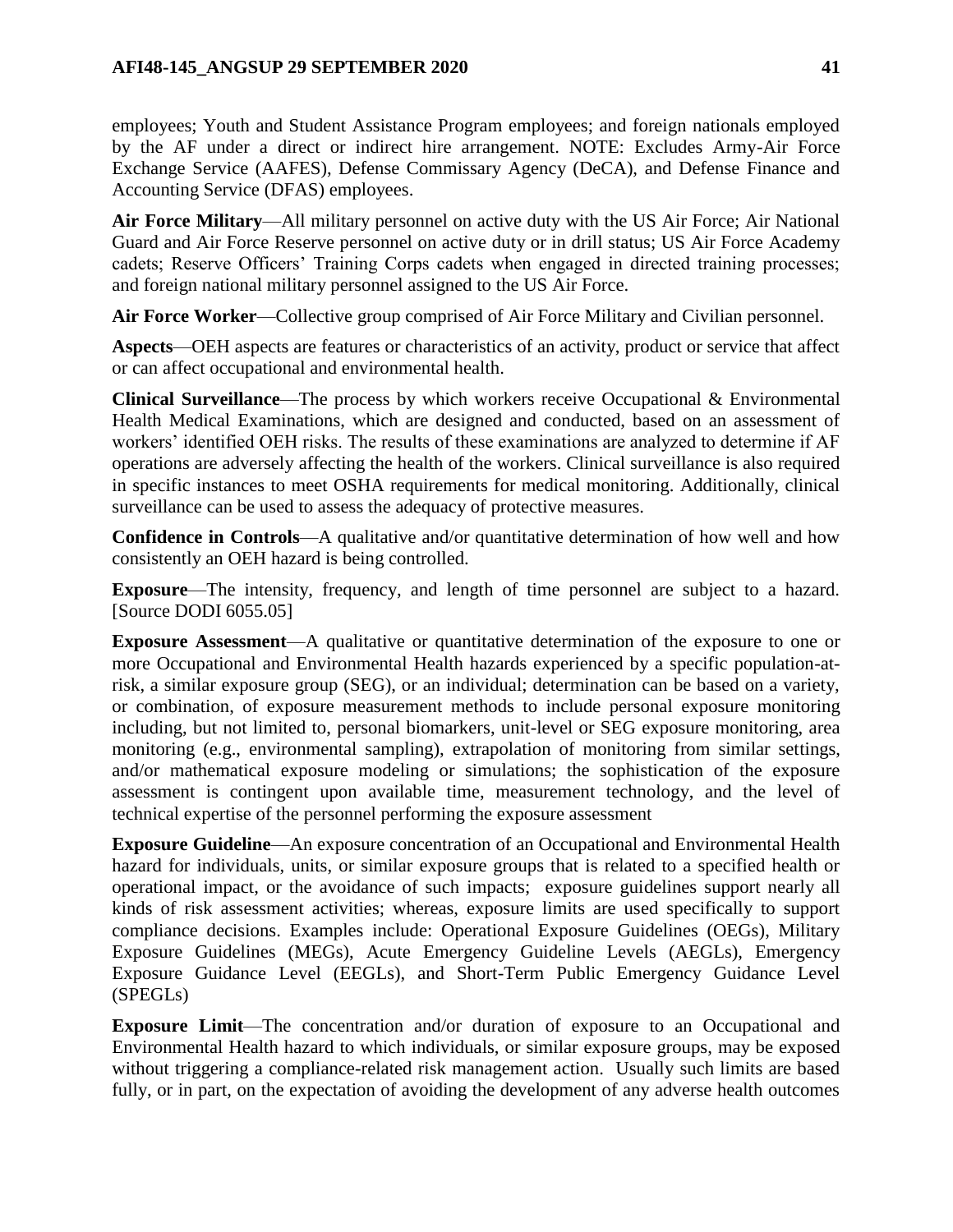## **AFI48-145\_ANGSUP 29 SEPTEMBER 2020 41**

employees; Youth and Student Assistance Program employees; and foreign nationals employed by the AF under a direct or indirect hire arrangement. NOTE: Excludes Army-Air Force Exchange Service (AAFES), Defense Commissary Agency (DeCA), and Defense Finance and Accounting Service (DFAS) employees.

**Air Force Military**—All military personnel on active duty with the US Air Force; Air National Guard and Air Force Reserve personnel on active duty or in drill status; US Air Force Academy cadets; Reserve Officers' Training Corps cadets when engaged in directed training processes; and foreign national military personnel assigned to the US Air Force.

**Air Force Worker**—Collective group comprised of Air Force Military and Civilian personnel.

**Aspects**—OEH aspects are features or characteristics of an activity, product or service that affect or can affect occupational and environmental health.

**Clinical Surveillance**—The process by which workers receive Occupational & Environmental Health Medical Examinations, which are designed and conducted, based on an assessment of workers' identified OEH risks. The results of these examinations are analyzed to determine if AF operations are adversely affecting the health of the workers. Clinical surveillance is also required in specific instances to meet OSHA requirements for medical monitoring. Additionally, clinical surveillance can be used to assess the adequacy of protective measures.

**Confidence in Controls**—A qualitative and/or quantitative determination of how well and how consistently an OEH hazard is being controlled.

**Exposure**—The intensity, frequency, and length of time personnel are subject to a hazard. [Source DODI 6055.05]

**Exposure Assessment**—A qualitative or quantitative determination of the exposure to one or more Occupational and Environmental Health hazards experienced by a specific population-atrisk, a similar exposure group (SEG), or an individual; determination can be based on a variety, or combination, of exposure measurement methods to include personal exposure monitoring including, but not limited to, personal biomarkers, unit-level or SEG exposure monitoring, area monitoring (e.g., environmental sampling), extrapolation of monitoring from similar settings, and/or mathematical exposure modeling or simulations; the sophistication of the exposure assessment is contingent upon available time, measurement technology, and the level of technical expertise of the personnel performing the exposure assessment

**Exposure Guideline**—An exposure concentration of an Occupational and Environmental Health hazard for individuals, units, or similar exposure groups that is related to a specified health or operational impact, or the avoidance of such impacts; exposure guidelines support nearly all kinds of risk assessment activities; whereas, exposure limits are used specifically to support compliance decisions. Examples include: Operational Exposure Guidelines (OEGs), Military Exposure Guidelines (MEGs), Acute Emergency Guideline Levels (AEGLs), Emergency Exposure Guidance Level (EEGLs), and Short-Term Public Emergency Guidance Level (SPEGLs)

**Exposure Limit**—The concentration and/or duration of exposure to an Occupational and Environmental Health hazard to which individuals, or similar exposure groups, may be exposed without triggering a compliance-related risk management action. Usually such limits are based fully, or in part, on the expectation of avoiding the development of any adverse health outcomes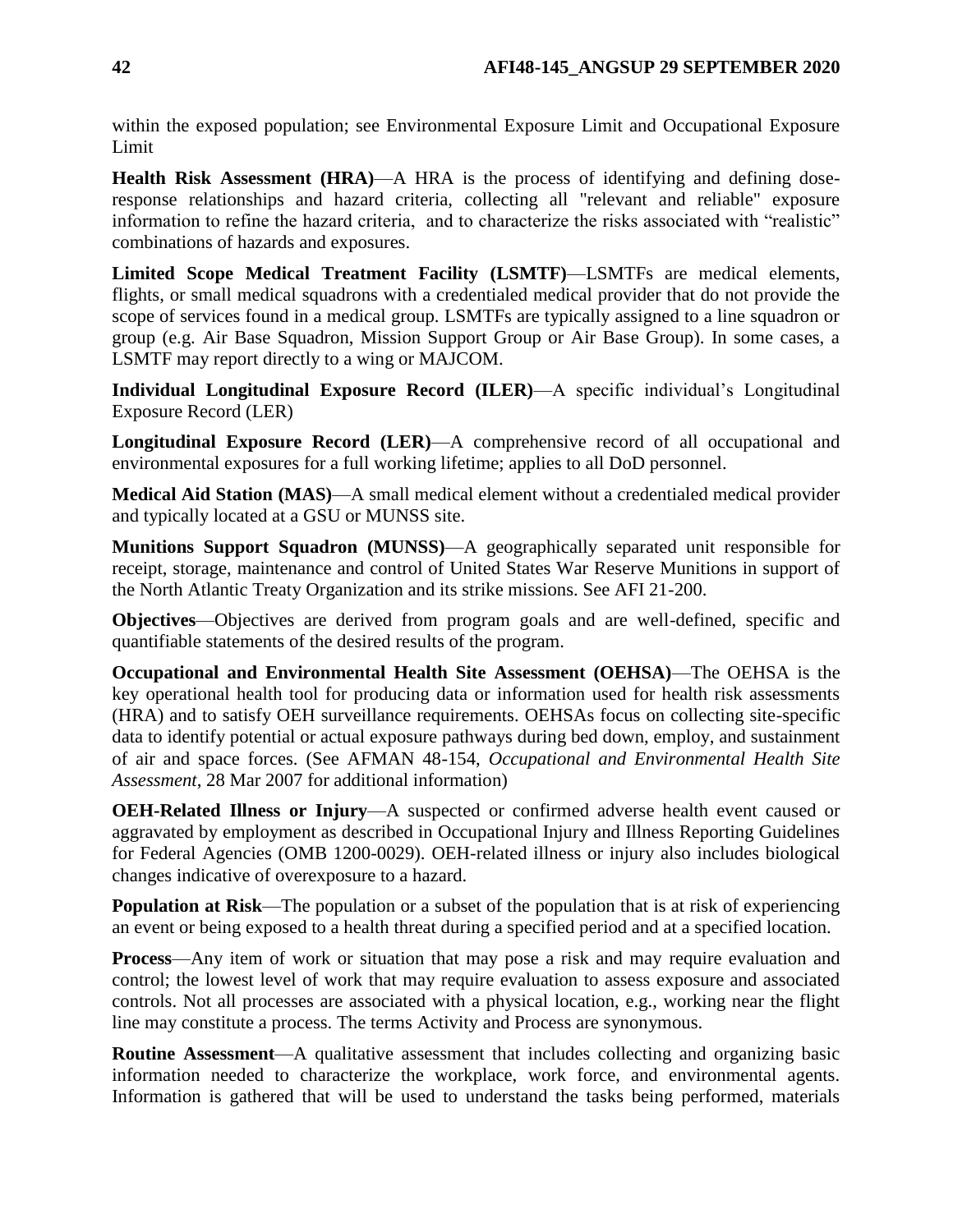within the exposed population; see Environmental Exposure Limit and Occupational Exposure Limit

**Health Risk Assessment (HRA)**—A HRA is the process of identifying and defining doseresponse relationships and hazard criteria, collecting all "relevant and reliable" exposure information to refine the hazard criteria, and to characterize the risks associated with "realistic" combinations of hazards and exposures.

**Limited Scope Medical Treatment Facility (LSMTF)**—LSMTFs are medical elements, flights, or small medical squadrons with a credentialed medical provider that do not provide the scope of services found in a medical group. LSMTFs are typically assigned to a line squadron or group (e.g. Air Base Squadron, Mission Support Group or Air Base Group). In some cases, a LSMTF may report directly to a wing or MAJCOM.

**Individual Longitudinal Exposure Record (ILER)**—A specific individual's Longitudinal Exposure Record (LER)

**Longitudinal Exposure Record (LER)**—A comprehensive record of all occupational and environmental exposures for a full working lifetime; applies to all DoD personnel.

**Medical Aid Station (MAS)**—A small medical element without a credentialed medical provider and typically located at a GSU or MUNSS site.

**Munitions Support Squadron (MUNSS)**—A geographically separated unit responsible for receipt, storage, maintenance and control of United States War Reserve Munitions in support of the North Atlantic Treaty Organization and its strike missions. See AFI 21-200.

**Objectives**—Objectives are derived from program goals and are well-defined, specific and quantifiable statements of the desired results of the program.

**Occupational and Environmental Health Site Assessment (OEHSA)**—The OEHSA is the key operational health tool for producing data or information used for health risk assessments (HRA) and to satisfy OEH surveillance requirements. OEHSAs focus on collecting site-specific data to identify potential or actual exposure pathways during bed down, employ, and sustainment of air and space forces. (See AFMAN 48-154, *Occupational and Environmental Health Site Assessment*, 28 Mar 2007 for additional information)

**OEH-Related Illness or Injury**—A suspected or confirmed adverse health event caused or aggravated by employment as described in Occupational Injury and Illness Reporting Guidelines for Federal Agencies (OMB 1200-0029). OEH-related illness or injury also includes biological changes indicative of overexposure to a hazard.

**Population at Risk**—The population or a subset of the population that is at risk of experiencing an event or being exposed to a health threat during a specified period and at a specified location.

**Process**—Any item of work or situation that may pose a risk and may require evaluation and control; the lowest level of work that may require evaluation to assess exposure and associated controls. Not all processes are associated with a physical location, e.g., working near the flight line may constitute a process. The terms Activity and Process are synonymous.

**Routine Assessment**—A qualitative assessment that includes collecting and organizing basic information needed to characterize the workplace, work force, and environmental agents. Information is gathered that will be used to understand the tasks being performed, materials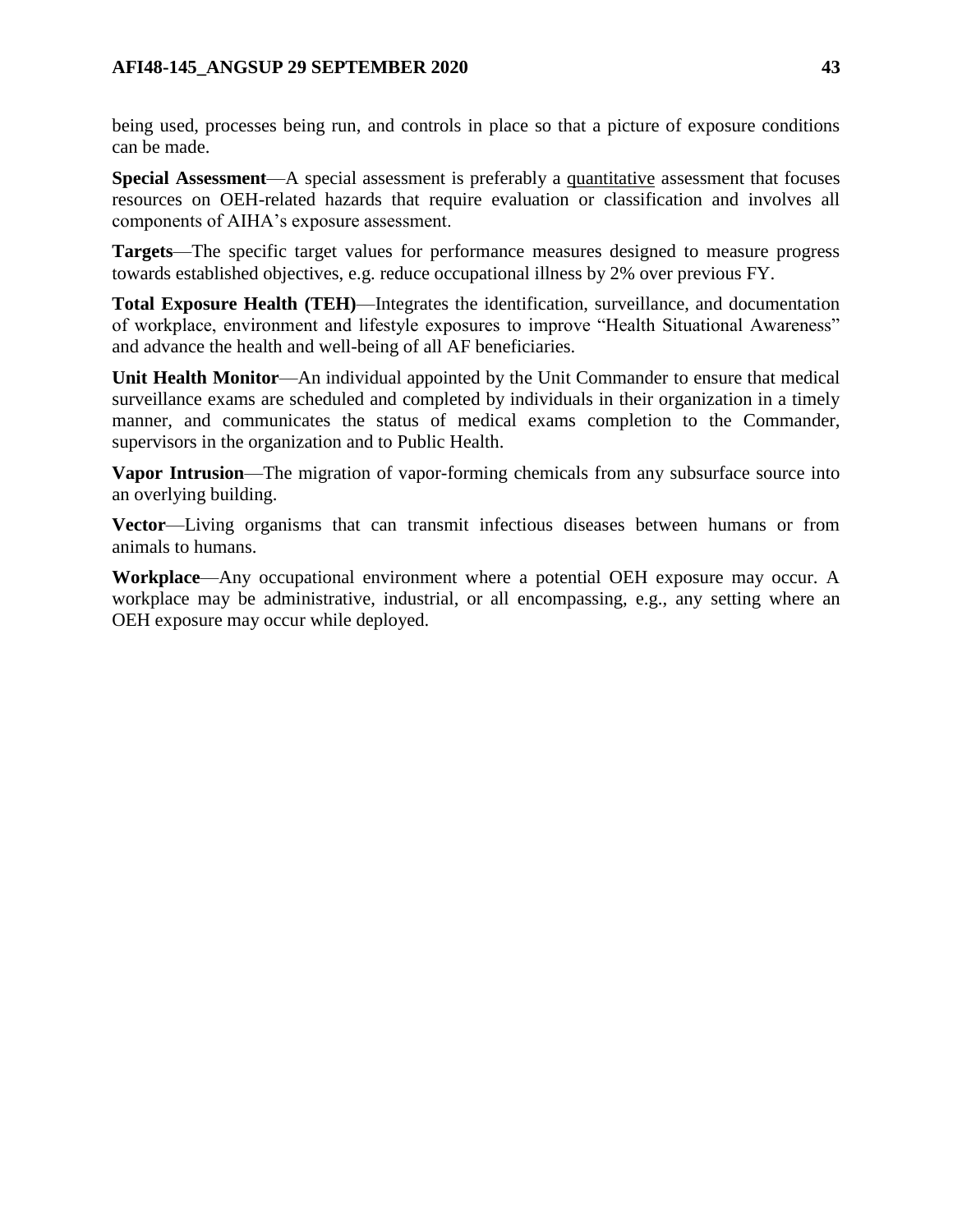being used, processes being run, and controls in place so that a picture of exposure conditions can be made.

**Special Assessment**—A special assessment is preferably a quantitative assessment that focuses resources on OEH-related hazards that require evaluation or classification and involves all components of AIHA's exposure assessment.

**Targets**—The specific target values for performance measures designed to measure progress towards established objectives, e.g. reduce occupational illness by 2% over previous FY.

**Total Exposure Health (TEH)**—Integrates the identification, surveillance, and documentation of workplace, environment and lifestyle exposures to improve "Health Situational Awareness" and advance the health and well-being of all AF beneficiaries.

**Unit Health Monitor**—An individual appointed by the Unit Commander to ensure that medical surveillance exams are scheduled and completed by individuals in their organization in a timely manner, and communicates the status of medical exams completion to the Commander, supervisors in the organization and to Public Health.

**Vapor Intrusion**—The migration of vapor-forming chemicals from any subsurface source into an overlying building.

**Vector**—Living organisms that can transmit infectious diseases between humans or from animals to humans.

**Workplace**—Any occupational environment where a potential OEH exposure may occur. A workplace may be administrative, industrial, or all encompassing, e.g., any setting where an OEH exposure may occur while deployed.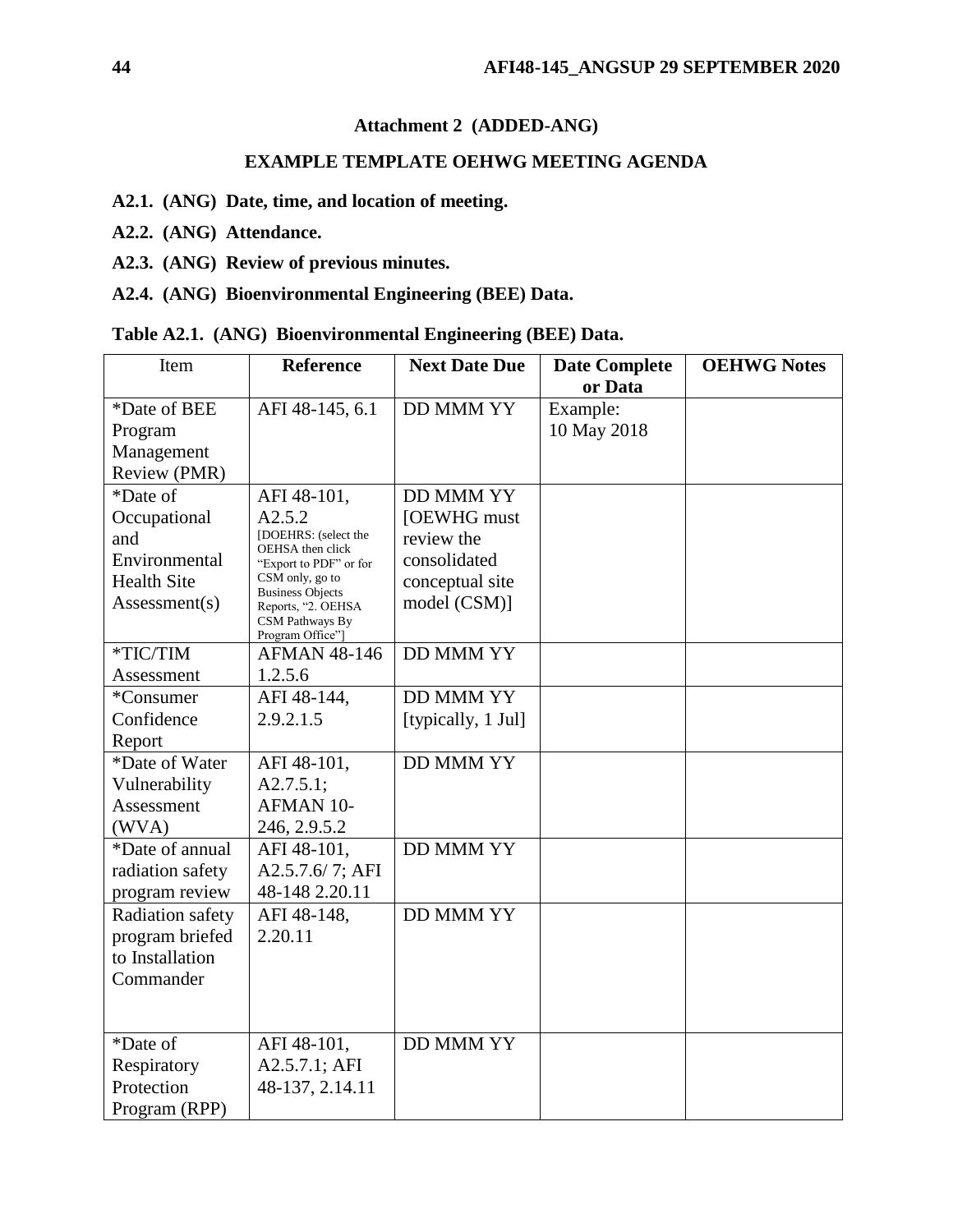# **Attachment 2 (ADDED-ANG)**

# **EXAMPLE TEMPLATE OEHWG MEETING AGENDA**

- <span id="page-43-0"></span>**A2.1. (ANG) Date, time, and location of meeting.**
- **A2.2. (ANG) Attendance.**
- **A2.3. (ANG) Review of previous minutes.**
- **A2.4. (ANG) Bioenvironmental Engineering (BEE) Data.**

|  |  |  | Table A2.1. (ANG) Bioenvironmental Engineering (BEE) Data. |  |  |
|--|--|--|------------------------------------------------------------|--|--|
|--|--|--|------------------------------------------------------------|--|--|

| Item               | <b>Reference</b>                           | <b>Next Date Due</b> | <b>Date Complete</b> | <b>OEHWG Notes</b> |
|--------------------|--------------------------------------------|----------------------|----------------------|--------------------|
|                    |                                            |                      | or Data              |                    |
| *Date of BEE       | AFI 48-145, 6.1                            | <b>DD MMM YY</b>     | Example:             |                    |
| Program            |                                            |                      | 10 May 2018          |                    |
| Management         |                                            |                      |                      |                    |
| Review (PMR)       |                                            |                      |                      |                    |
| *Date of           | AFI 48-101,                                | <b>DD MMM YY</b>     |                      |                    |
| Occupational       | A2.5.2                                     | [OEWHG must          |                      |                    |
| and                | [DOEHRS: (select the<br>OEHSA then click   | review the           |                      |                    |
| Environmental      | "Export to PDF" or for                     | consolidated         |                      |                    |
| <b>Health Site</b> | CSM only, go to<br><b>Business Objects</b> | conceptual site      |                      |                    |
| Assessment(s)      | Reports, "2. OEHSA                         | model (CSM)]         |                      |                    |
|                    | CSM Pathways By<br>Program Office"]        |                      |                      |                    |
| *TIC/TIM           | <b>AFMAN 48-146</b>                        | <b>DD MMM YY</b>     |                      |                    |
| Assessment         | 1.2.5.6                                    |                      |                      |                    |
| *Consumer          | AFI 48-144,                                | <b>DD MMM YY</b>     |                      |                    |
| Confidence         | 2.9.2.1.5                                  | [typically, 1 Jul]   |                      |                    |
| Report             |                                            |                      |                      |                    |
| *Date of Water     | AFI 48-101.                                | <b>DD MMM YY</b>     |                      |                    |
| Vulnerability      | $A2.7.5.1$ ;                               |                      |                      |                    |
| Assessment         | AFMAN 10-                                  |                      |                      |                    |
| (WVA)              | 246, 2.9.5.2                               |                      |                      |                    |
| *Date of annual    | AFI 48-101,                                | <b>DD MMM YY</b>     |                      |                    |
| radiation safety   | A2.5.7.6/7; AFI                            |                      |                      |                    |
| program review     | 48-148 2.20.11                             |                      |                      |                    |
| Radiation safety   | AFI 48-148,                                | <b>DD MMM YY</b>     |                      |                    |
| program briefed    | 2.20.11                                    |                      |                      |                    |
| to Installation    |                                            |                      |                      |                    |
| Commander          |                                            |                      |                      |                    |
|                    |                                            |                      |                      |                    |
|                    |                                            |                      |                      |                    |
| *Date of           | AFI 48-101,                                | <b>DD MMM YY</b>     |                      |                    |
| Respiratory        | A2.5.7.1; AFI                              |                      |                      |                    |
| Protection         | 48-137, 2.14.11                            |                      |                      |                    |
| Program (RPP)      |                                            |                      |                      |                    |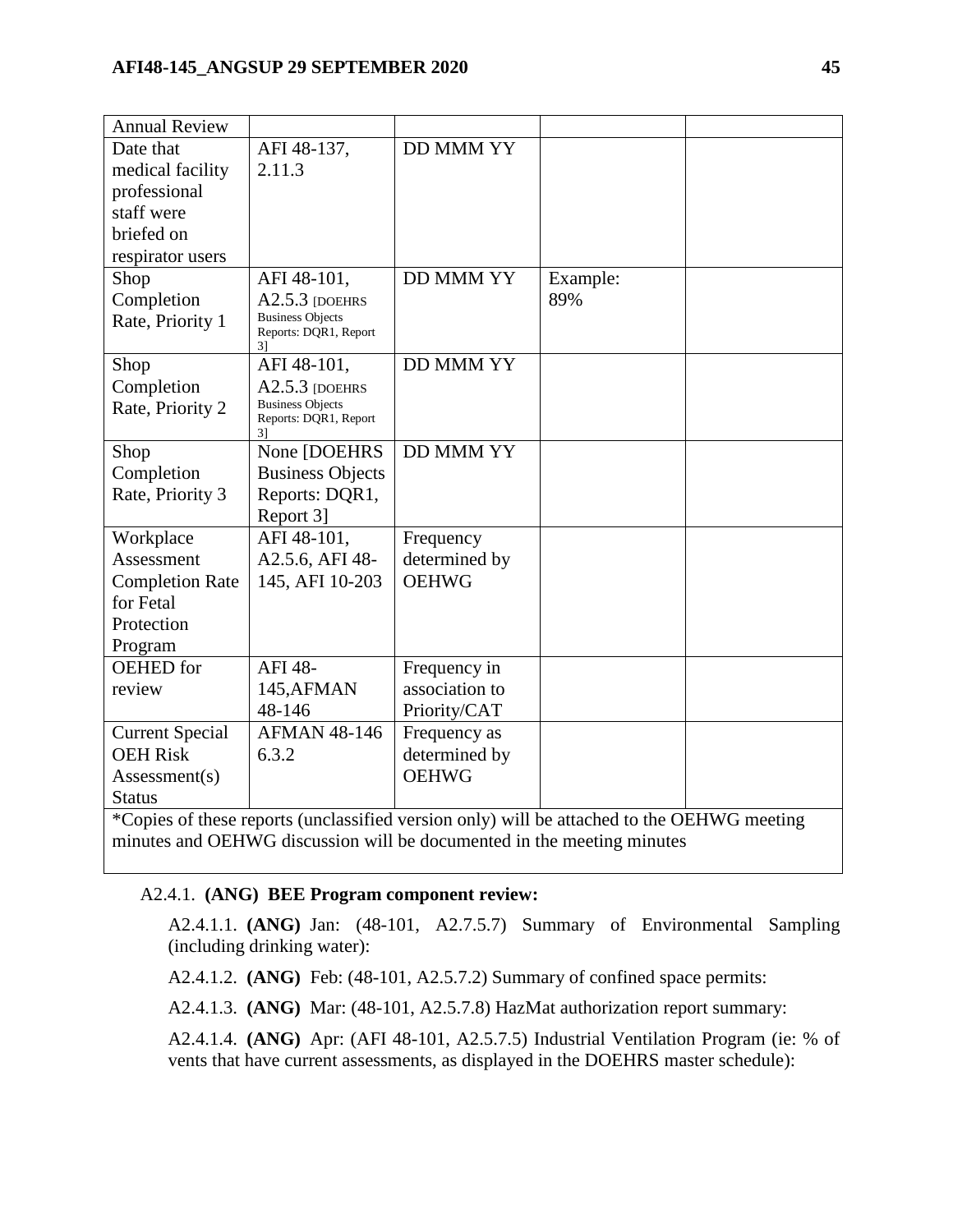| <b>Annual Review</b>                                                                       |                                                  |                  |          |  |  |
|--------------------------------------------------------------------------------------------|--------------------------------------------------|------------------|----------|--|--|
| Date that                                                                                  | AFI 48-137,                                      | <b>DD MMM YY</b> |          |  |  |
| medical facility                                                                           | 2.11.3                                           |                  |          |  |  |
| professional                                                                               |                                                  |                  |          |  |  |
| staff were                                                                                 |                                                  |                  |          |  |  |
| briefed on                                                                                 |                                                  |                  |          |  |  |
| respirator users                                                                           |                                                  |                  |          |  |  |
| Shop                                                                                       | AFI 48-101,                                      | <b>DD MMM YY</b> | Example: |  |  |
| Completion                                                                                 | $A2.5.3$ [DOEHRS                                 |                  | 89%      |  |  |
| Rate, Priority 1                                                                           | <b>Business Objects</b><br>Reports: DQR1, Report |                  |          |  |  |
|                                                                                            | 31                                               |                  |          |  |  |
| Shop                                                                                       | AFI 48-101,                                      | <b>DD MMM YY</b> |          |  |  |
| Completion                                                                                 | $A2.5.3$ [DOEHRS                                 |                  |          |  |  |
| Rate, Priority 2                                                                           | <b>Business Objects</b><br>Reports: DQR1, Report |                  |          |  |  |
|                                                                                            | 31                                               |                  |          |  |  |
| Shop                                                                                       | None [DOEHRS]                                    | <b>DD MMM YY</b> |          |  |  |
| Completion                                                                                 | <b>Business Objects</b>                          |                  |          |  |  |
| Rate, Priority 3                                                                           | Reports: DQR1,                                   |                  |          |  |  |
|                                                                                            | Report 31                                        |                  |          |  |  |
| Workplace                                                                                  | AFI 48-101,                                      | Frequency        |          |  |  |
| Assessment                                                                                 | A2.5.6, AFI 48-                                  | determined by    |          |  |  |
| <b>Completion Rate</b>                                                                     | 145, AFI 10-203                                  | <b>OEHWG</b>     |          |  |  |
| for Fetal                                                                                  |                                                  |                  |          |  |  |
| Protection                                                                                 |                                                  |                  |          |  |  |
| Program                                                                                    |                                                  |                  |          |  |  |
| OEHED for                                                                                  | AFI 48-                                          | Frequency in     |          |  |  |
| review                                                                                     | 145, AFMAN                                       | association to   |          |  |  |
|                                                                                            | 48-146                                           | Priority/CAT     |          |  |  |
| <b>Current Special</b>                                                                     | <b>AFMAN 48-146</b>                              | Frequency as     |          |  |  |
| <b>OEH Risk</b>                                                                            | 6.3.2                                            | determined by    |          |  |  |
| Assessment(s)                                                                              |                                                  | <b>OEHWG</b>     |          |  |  |
| <b>Status</b>                                                                              |                                                  |                  |          |  |  |
| *Copies of these reports (unclassified version only) will be attached to the OEHWG meeting |                                                  |                  |          |  |  |

minutes and OEHWG discussion will be documented in the meeting minutes

# A2.4.1. **(ANG) BEE Program component review:**

A2.4.1.1. **(ANG)** Jan: (48-101, A2.7.5.7) Summary of Environmental Sampling (including drinking water):

A2.4.1.2. **(ANG)** Feb: (48-101, A2.5.7.2) Summary of confined space permits:

A2.4.1.3. **(ANG)** Mar: (48-101, A2.5.7.8) HazMat authorization report summary:

A2.4.1.4. **(ANG)** Apr: (AFI 48-101, A2.5.7.5) Industrial Ventilation Program (ie: % of vents that have current assessments, as displayed in the DOEHRS master schedule):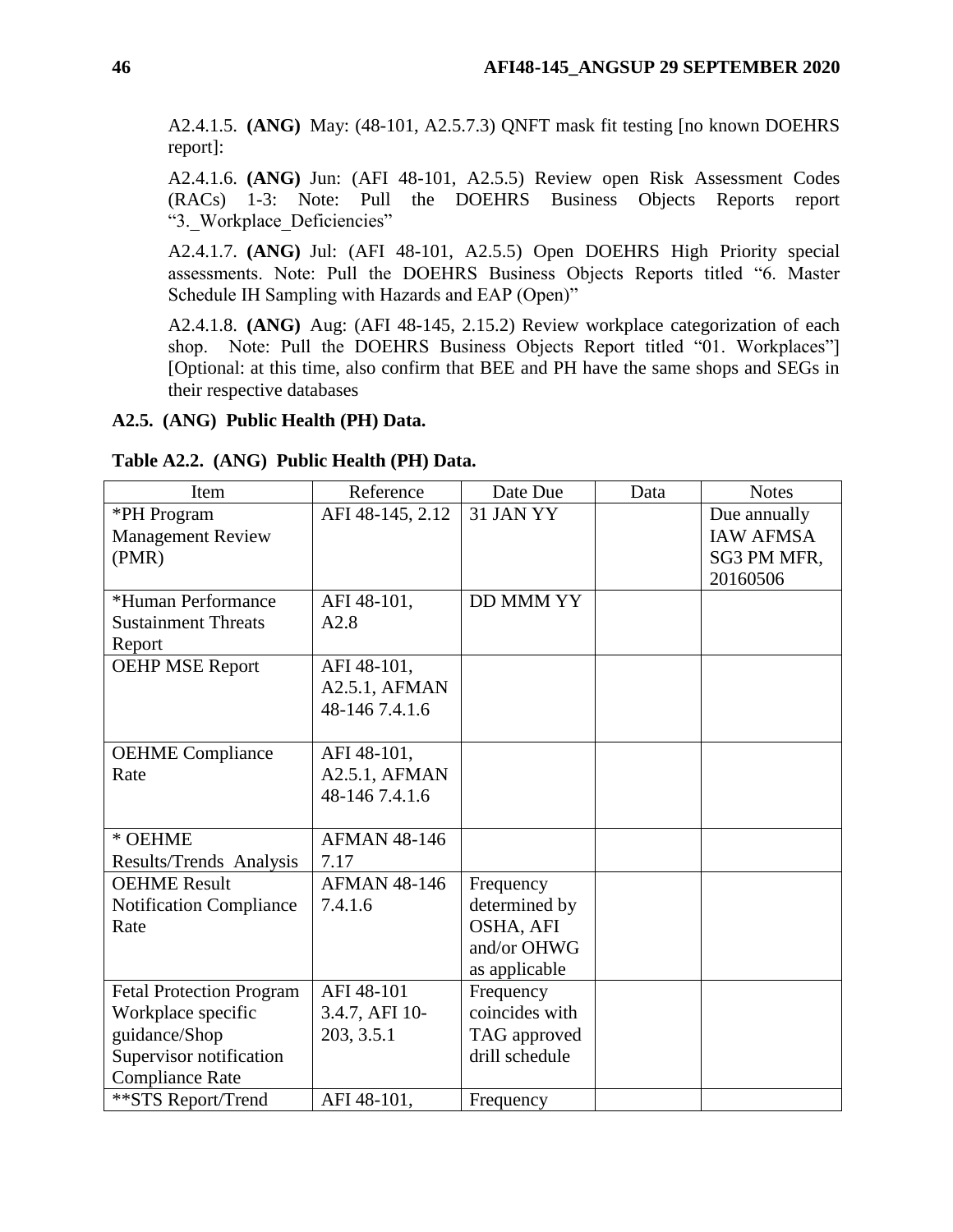A2.4.1.5. **(ANG)** May: (48-101, A2.5.7.3) QNFT mask fit testing [no known DOEHRS report]:

A2.4.1.6. **(ANG)** Jun: (AFI 48-101, A2.5.5) Review open Risk Assessment Codes (RACs) 1-3: Note: Pull the DOEHRS Business Objects Reports report "3. Workplace Deficiencies"

A2.4.1.7. **(ANG)** Jul: (AFI 48-101, A2.5.5) Open DOEHRS High Priority special assessments. Note: Pull the DOEHRS Business Objects Reports titled "6. Master Schedule IH Sampling with Hazards and EAP (Open)"

A2.4.1.8. **(ANG)** Aug: (AFI 48-145, 2.15.2) Review workplace categorization of each shop. Note: Pull the DOEHRS Business Objects Report titled "01. Workplaces"] [Optional: at this time, also confirm that BEE and PH have the same shops and SEGs in their respective databases

### **A2.5. (ANG) Public Health (PH) Data.**

| Item                            | Reference           | Date Due         | Data | <b>Notes</b>     |
|---------------------------------|---------------------|------------------|------|------------------|
| *PH Program                     | AFI 48-145, 2.12    | 31 JAN YY        |      | Due annually     |
| Management Review               |                     |                  |      | <b>IAW AFMSA</b> |
| (PMR)                           |                     |                  |      | SG3 PM MFR,      |
|                                 |                     |                  |      | 20160506         |
| *Human Performance              | AFI 48-101,         | <b>DD MMM YY</b> |      |                  |
| <b>Sustainment Threats</b>      | A2.8                |                  |      |                  |
| Report                          |                     |                  |      |                  |
| <b>OEHP MSE Report</b>          | AFI 48-101,         |                  |      |                  |
|                                 | A2.5.1, AFMAN       |                  |      |                  |
|                                 | 48-146 7.4.1.6      |                  |      |                  |
|                                 |                     |                  |      |                  |
| <b>OEHME</b> Compliance         | AFI 48-101,         |                  |      |                  |
| Rate                            | A2.5.1, AFMAN       |                  |      |                  |
|                                 | 48-146 7.4.1.6      |                  |      |                  |
|                                 |                     |                  |      |                  |
| * OEHME                         | <b>AFMAN 48-146</b> |                  |      |                  |
| Results/Trends Analysis         | 7.17                |                  |      |                  |
| <b>OEHME Result</b>             | <b>AFMAN 48-146</b> | Frequency        |      |                  |
| <b>Notification Compliance</b>  | 7.4.1.6             | determined by    |      |                  |
| Rate                            |                     | OSHA, AFI        |      |                  |
|                                 |                     | and/or OHWG      |      |                  |
|                                 |                     | as applicable    |      |                  |
| <b>Fetal Protection Program</b> | AFI 48-101          | Frequency        |      |                  |
| Workplace specific              | 3.4.7, AFI 10-      | coincides with   |      |                  |
| guidance/Shop                   | 203, 3.5.1          | TAG approved     |      |                  |
| Supervisor notification         |                     | drill schedule   |      |                  |
| <b>Compliance Rate</b>          |                     |                  |      |                  |
| **STS Report/Trend              | AFI 48-101,         | Frequency        |      |                  |

**Table A2.2. (ANG) Public Health (PH) Data.**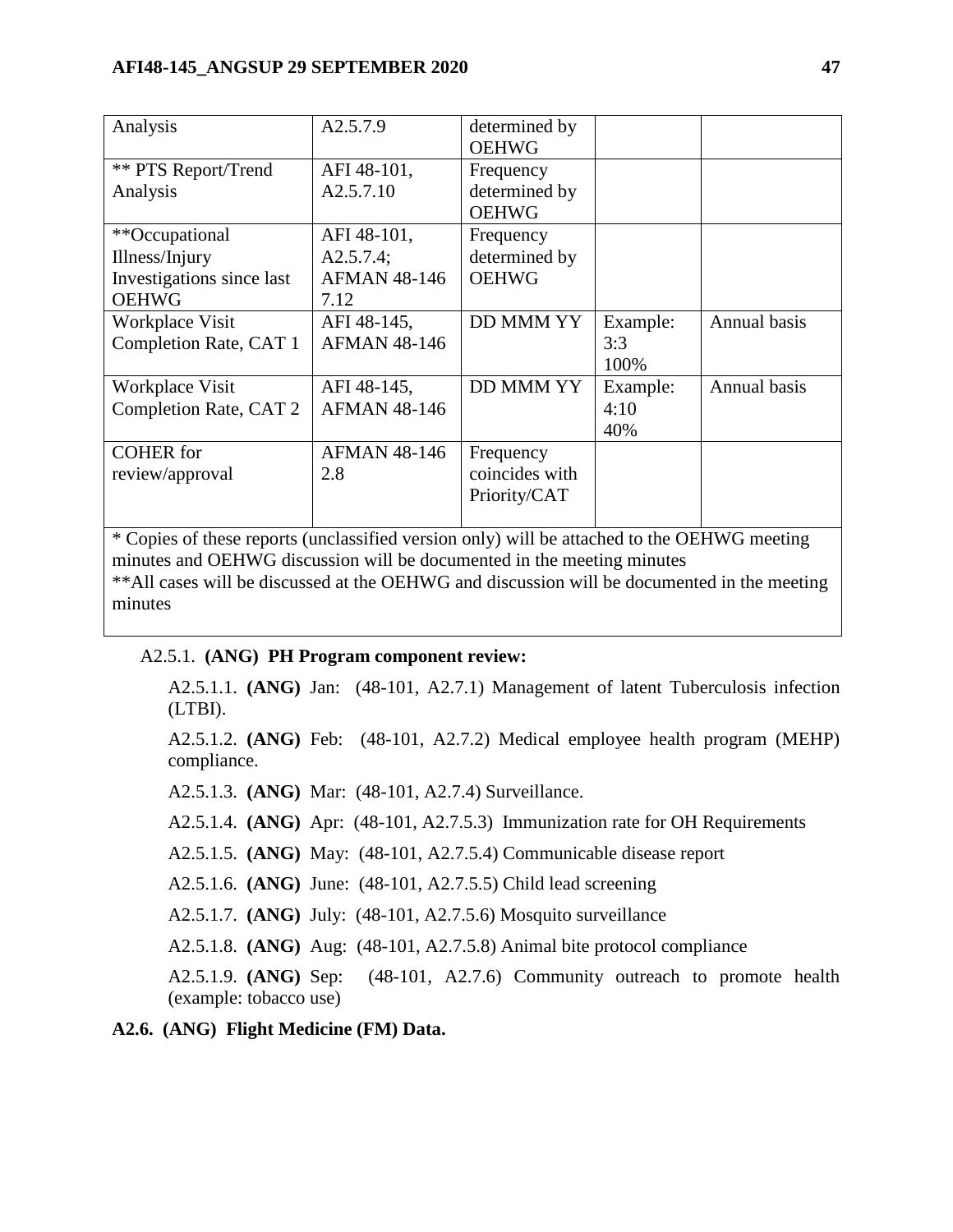| Analysis                   | A2.5.7.9            | determined by<br><b>OEHWG</b> |          |              |
|----------------------------|---------------------|-------------------------------|----------|--------------|
| <b>** PTS Report/Trend</b> | AFI 48-101,         | Frequency                     |          |              |
| Analysis                   | A2.5.7.10           | determined by                 |          |              |
|                            |                     | <b>OEHWG</b>                  |          |              |
| **Occupational             | AFI 48-101,         | Frequency                     |          |              |
| Illness/Injury             | A2.5.7.4;           | determined by                 |          |              |
| Investigations since last  | <b>AFMAN 48-146</b> | <b>OEHWG</b>                  |          |              |
| <b>OEHWG</b>               | 7.12                |                               |          |              |
| Workplace Visit            | AFI 48-145,         | <b>DD MMM YY</b>              | Example: | Annual basis |
| Completion Rate, CAT 1     | <b>AFMAN 48-146</b> |                               | 3:3      |              |
|                            |                     |                               | 100%     |              |
| Workplace Visit            | AFI 48-145,         | <b>DD MMM YY</b>              | Example: | Annual basis |
| Completion Rate, CAT 2     | <b>AFMAN 48-146</b> |                               | 4:10     |              |
|                            |                     |                               | 40%      |              |
| <b>COHER</b> for           | <b>AFMAN 48-146</b> | Frequency                     |          |              |
| review/approval            | 2.8                 | coincides with                |          |              |
|                            |                     | Priority/CAT                  |          |              |
|                            |                     |                               |          |              |

\* Copies of these reports (unclassified version only) will be attached to the OEHWG meeting minutes and OEHWG discussion will be documented in the meeting minutes \*\*All cases will be discussed at the OEHWG and discussion will be documented in the meeting minutes

### A2.5.1. **(ANG) PH Program component review:**

A2.5.1.1. **(ANG)** Jan: (48-101, A2.7.1) Management of latent Tuberculosis infection (LTBI).

A2.5.1.2. **(ANG)** Feb: (48-101, A2.7.2) Medical employee health program (MEHP) compliance.

A2.5.1.3. **(ANG)** Mar: (48-101, A2.7.4) Surveillance.

A2.5.1.4. **(ANG)** Apr: (48-101, A2.7.5.3) Immunization rate for OH Requirements

A2.5.1.5. **(ANG)** May: (48-101, A2.7.5.4) Communicable disease report

A2.5.1.6. **(ANG)** June: (48-101, A2.7.5.5) Child lead screening

A2.5.1.7. **(ANG)** July: (48-101, A2.7.5.6) Mosquito surveillance

A2.5.1.8. **(ANG)** Aug: (48-101, A2.7.5.8) Animal bite protocol compliance

A2.5.1.9. **(ANG)** Sep: (48-101, A2.7.6) Community outreach to promote health (example: tobacco use)

**A2.6. (ANG) Flight Medicine (FM) Data.**